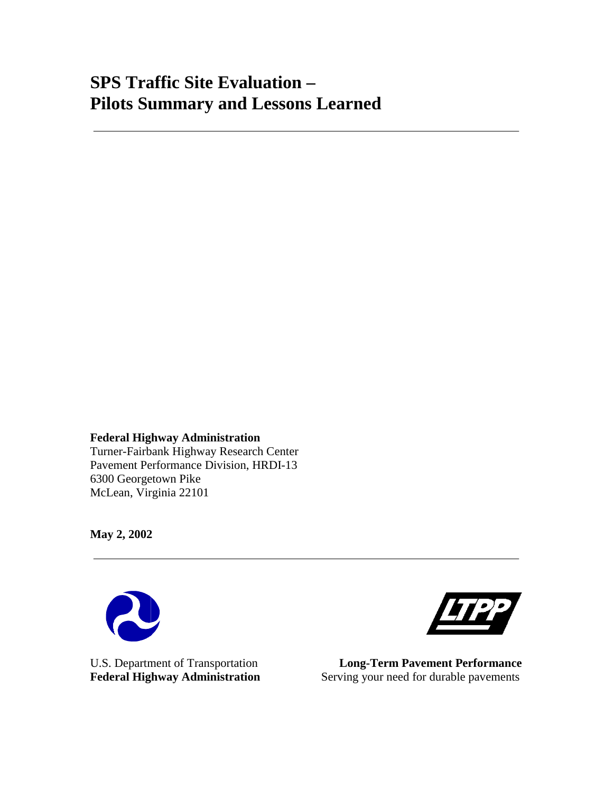# **SPS Traffic Site Evaluation – Pilots Summary and Lessons Learned**

**Federal Highway Administration**  Turner-Fairbank Highway Research Center Pavement Performance Division, HRDI-13 6300 Georgetown Pike McLean, Virginia 22101

**May 2, 2002** 





U.S. Department of Transportation **Long-Term Pavement Performance**  Federal Highway Administration Serving your need for durable pavements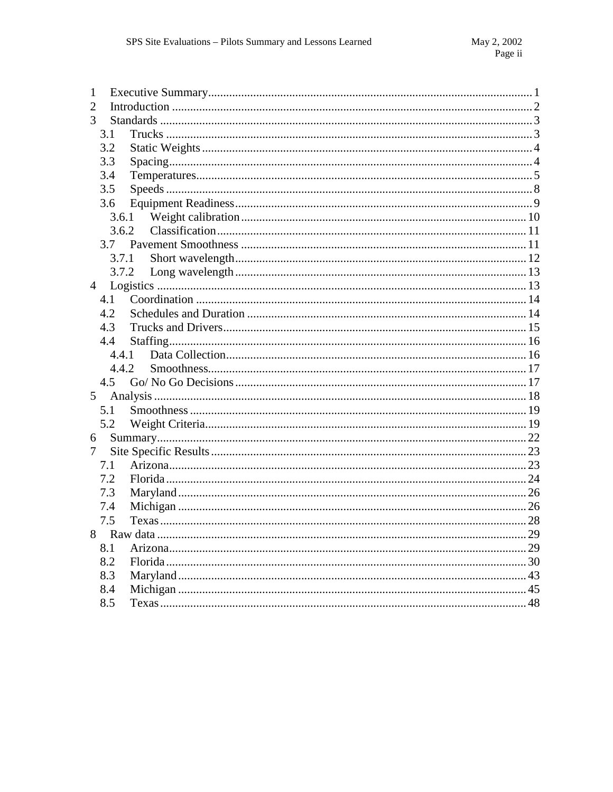| 1              |    |
|----------------|----|
| 2              |    |
| 3              |    |
| 3.1            |    |
| 3.2            |    |
| 3.3            |    |
| 3.4            |    |
| 3.5            |    |
| 3.6            |    |
|                |    |
| 3.6.2          |    |
| 3.7            |    |
| 3.7.1          |    |
| 3.7.2          |    |
| $\overline{4}$ |    |
| 4.1            |    |
| 4.2            |    |
| 4.3            |    |
| 4.4            |    |
| 4.4.1          |    |
| 4.4.2          |    |
| 4.5            |    |
| 5              |    |
| 5.1            |    |
| 5.2            |    |
| 6              |    |
| 7              |    |
|                |    |
| 7.1            |    |
| 7.2            |    |
| 7.3            |    |
| 7.4            |    |
| 7.5            |    |
|                | 29 |
| 8.1            |    |
| 8.2            |    |
| 8.3            |    |
| 8.4<br>8.5     |    |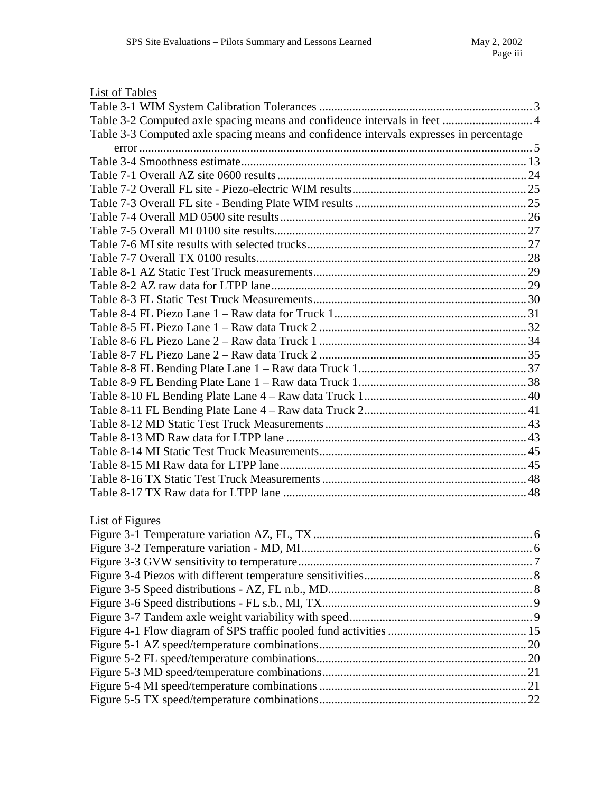# List of Tables

| Table 3-2 Computed axle spacing means and confidence intervals in feet  4              |  |
|----------------------------------------------------------------------------------------|--|
| Table 3-3 Computed axle spacing means and confidence intervals expresses in percentage |  |
|                                                                                        |  |
|                                                                                        |  |
|                                                                                        |  |
|                                                                                        |  |
|                                                                                        |  |
|                                                                                        |  |
|                                                                                        |  |
|                                                                                        |  |
|                                                                                        |  |
|                                                                                        |  |
|                                                                                        |  |
|                                                                                        |  |
|                                                                                        |  |
|                                                                                        |  |
|                                                                                        |  |
|                                                                                        |  |
|                                                                                        |  |
|                                                                                        |  |
|                                                                                        |  |
|                                                                                        |  |
|                                                                                        |  |
|                                                                                        |  |
|                                                                                        |  |
|                                                                                        |  |
|                                                                                        |  |
|                                                                                        |  |
|                                                                                        |  |

# List of Figures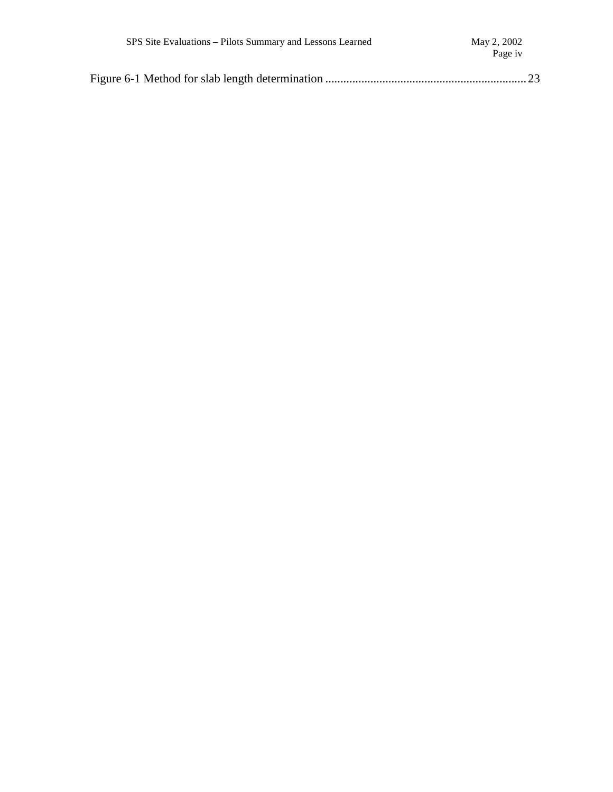| SPS Site Evaluations – Pilots Summary and Lessons Learned | May 2, 2002<br>Page iv |
|-----------------------------------------------------------|------------------------|
|                                                           |                        |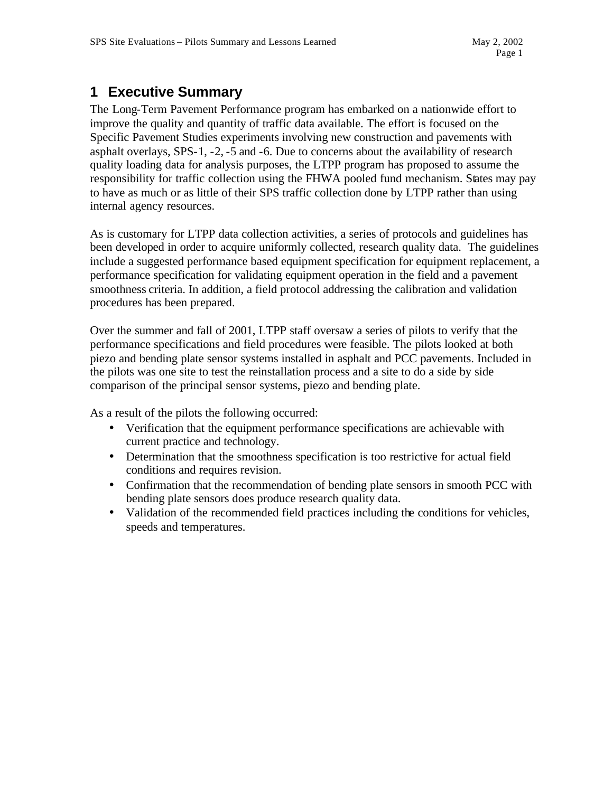# **1 Executive Summary**

The Long-Term Pavement Performance program has embarked on a nationwide effort to improve the quality and quantity of traffic data available. The effort is focused on the Specific Pavement Studies experiments involving new construction and pavements with asphalt overlays, SPS-1, -2, -5 and -6. Due to concerns about the availability of research quality loading data for analysis purposes, the LTPP program has proposed to assume the responsibility for traffic collection using the FHWA pooled fund mechanism. States may pay to have as much or as little of their SPS traffic collection done by LTPP rather than using internal agency resources.

As is customary for LTPP data collection activities, a series of protocols and guidelines has been developed in order to acquire uniformly collected, research quality data. The guidelines include a suggested performance based equipment specification for equipment replacement, a performance specification for validating equipment operation in the field and a pavement smoothness criteria. In addition, a field protocol addressing the calibration and validation procedures has been prepared.

Over the summer and fall of 2001, LTPP staff oversaw a series of pilots to verify that the performance specifications and field procedures were feasible. The pilots looked at both piezo and bending plate sensor systems installed in asphalt and PCC pavements. Included in the pilots was one site to test the reinstallation process and a site to do a side by side comparison of the principal sensor systems, piezo and bending plate.

As a result of the pilots the following occurred:

- Verification that the equipment performance specifications are achievable with current practice and technology.
- Determination that the smoothness specification is too restrictive for actual field conditions and requires revision.
- Confirmation that the recommendation of bending plate sensors in smooth PCC with bending plate sensors does produce research quality data.
- Validation of the recommended field practices including the conditions for vehicles, speeds and temperatures.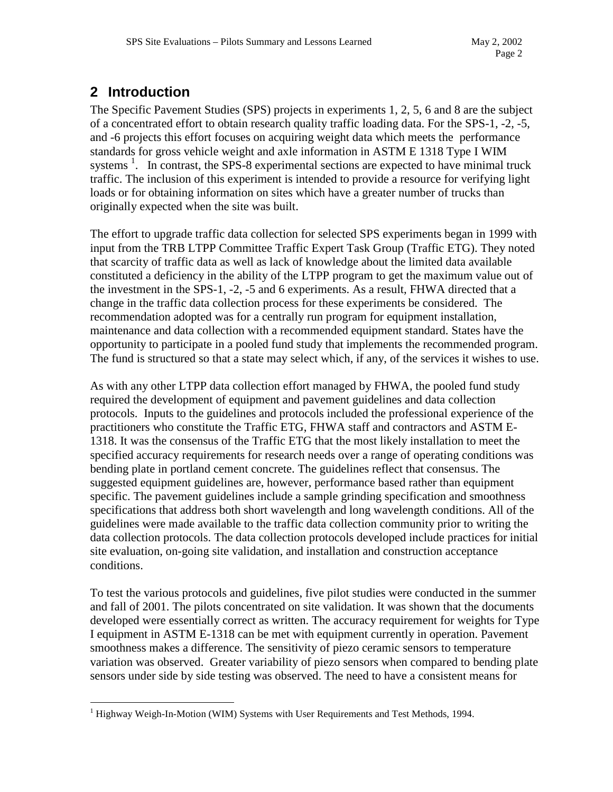# **2 Introduction**

The Specific Pavement Studies (SPS) projects in experiments 1, 2, 5, 6 and 8 are the subject of a concentrated effort to obtain research quality traffic loading data. For the SPS-1, -2, -5, and -6 projects this effort focuses on acquiring weight data which meets the performance standards for gross vehicle weight and axle information in ASTM E 1318 Type I WIM systems  $\frac{1}{1}$ . In contrast, the SPS-8 experimental sections are expected to have minimal truck traffic. The inclusion of this experiment is intended to provide a resource for verifying light loads or for obtaining information on sites which have a greater number of trucks than originally expected when the site was built.

The effort to upgrade traffic data collection for selected SPS experiments began in 1999 with input from the TRB LTPP Committee Traffic Expert Task Group (Traffic ETG). They noted that scarcity of traffic data as well as lack of knowledge about the limited data available constituted a deficiency in the ability of the LTPP program to get the maximum value out of the investment in the SPS-1, -2, -5 and 6 experiments. As a result, FHWA directed that a change in the traffic data collection process for these experiments be considered. The recommendation adopted was for a centrally run program for equipment installation, maintenance and data collection with a recommended equipment standard. States have the opportunity to participate in a pooled fund study that implements the recommended program. The fund is structured so that a state may select which, if any, of the services it wishes to use.

As with any other LTPP data collection effort managed by FHWA, the pooled fund study required the development of equipment and pavement guidelines and data collection protocols. Inputs to the guidelines and protocols included the professional experience of the practitioners who constitute the Traffic ETG, FHWA staff and contractors and ASTM E-1318. It was the consensus of the Traffic ETG that the most likely installation to meet the specified accuracy requirements for research needs over a range of operating conditions was bending plate in portland cement concrete. The guidelines reflect that consensus. The suggested equipment guidelines are, however, performance based rather than equipment specific. The pavement guidelines include a sample grinding specification and smoothness specifications that address both short wavelength and long wavelength conditions. All of the guidelines were made available to the traffic data collection community prior to writing the data collection protocols. The data collection protocols developed include practices for initial site evaluation, on-going site validation, and installation and construction acceptance conditions.

To test the various protocols and guidelines, five pilot studies were conducted in the summer and fall of 2001. The pilots concentrated on site validation. It was shown that the documents developed were essentially correct as written. The accuracy requirement for weights for Type I equipment in ASTM E-1318 can be met with equipment currently in operation. Pavement smoothness makes a difference. The sensitivity of piezo ceramic sensors to temperature variation was observed. Greater variability of piezo sensors when compared to bending plate sensors under side by side testing was observed. The need to have a consistent means for

 $\overline{a}$ <sup>1</sup> Highway Weigh-In-Motion (WIM) Systems with User Requirements and Test Methods, 1994.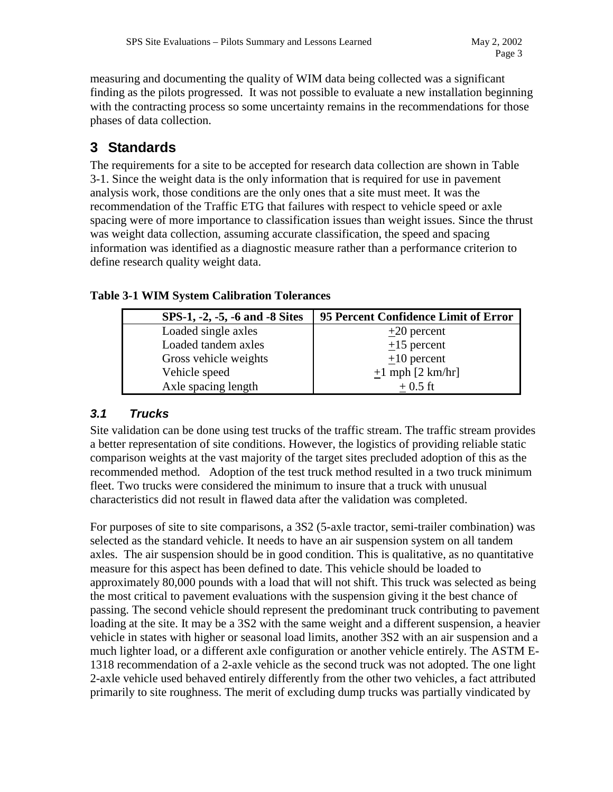measuring and documenting the quality of WIM data being collected was a significant finding as the pilots progressed. It was not possible to evaluate a new installation beginning with the contracting process so some uncertainty remains in the recommendations for those phases of data collection.

# **3 Standards**

The requirements for a site to be accepted for research data collection are shown in Table 3-1. Since the weight data is the only information that is required for use in pavement analysis work, those conditions are the only ones that a site must meet. It was the recommendation of the Traffic ETG that failures with respect to vehicle speed or axle spacing were of more importance to classification issues than weight issues. Since the thrust was weight data collection, assuming accurate classification, the speed and spacing information was identified as a diagnostic measure rather than a performance criterion to define research quality weight data.

| SPS-1, -2, -5, -6 and -8 Sites | 95 Percent Confidence Limit of Error |
|--------------------------------|--------------------------------------|
| Loaded single axles            | $+20$ percent                        |
| Loaded tandem axles            | $+15$ percent                        |
| Gross vehicle weights          | $\pm 10$ percent                     |
| Vehicle speed                  | $\pm 1$ mph [2 km/hr]                |
| Axle spacing length            | $+0.5$ ft                            |

#### **Table 3-1 WIM System Calibration Tolerances**

### *3.1 Trucks*

Site validation can be done using test trucks of the traffic stream. The traffic stream provides a better representation of site conditions. However, the logistics of providing reliable static comparison weights at the vast majority of the target sites precluded adoption of this as the recommended method. Adoption of the test truck method resulted in a two truck minimum fleet. Two trucks were considered the minimum to insure that a truck with unusual characteristics did not result in flawed data after the validation was completed.

For purposes of site to site comparisons, a 3S2 (5-axle tractor, semi-trailer combination) was selected as the standard vehicle. It needs to have an air suspension system on all tandem axles. The air suspension should be in good condition. This is qualitative, as no quantitative measure for this aspect has been defined to date. This vehicle should be loaded to approximately 80,000 pounds with a load that will not shift. This truck was selected as being the most critical to pavement evaluations with the suspension giving it the best chance of passing. The second vehicle should represent the predominant truck contributing to pavement loading at the site. It may be a 3S2 with the same weight and a different suspension, a heavier vehicle in states with higher or seasonal load limits, another 3S2 with an air suspension and a much lighter load, or a different axle configuration or another vehicle entirely. The ASTM E-1318 recommendation of a 2-axle vehicle as the second truck was not adopted. The one light 2-axle vehicle used behaved entirely differently from the other two vehicles, a fact attributed primarily to site roughness. The merit of excluding dump trucks was partially vindicated by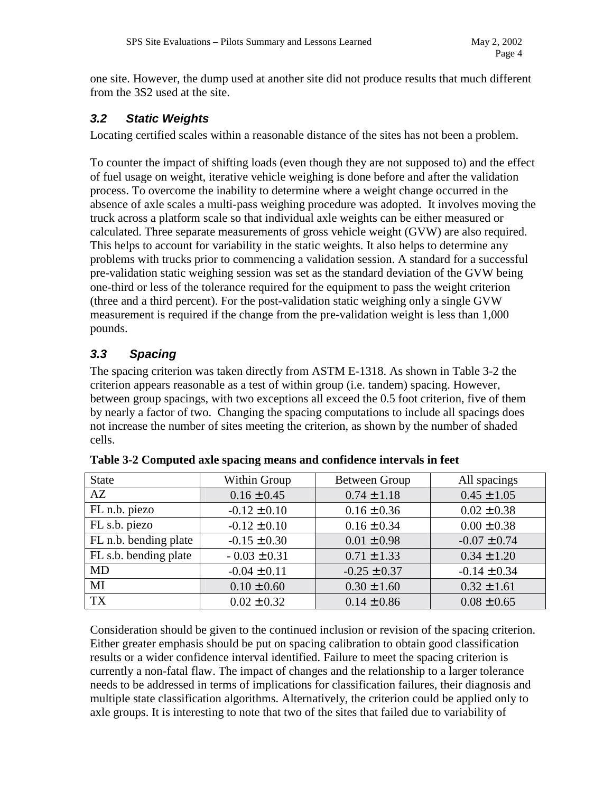one site. However, the dump used at another site did not produce results that much different from the 3S2 used at the site.

#### *3.2 Static Weights*

Locating certified scales within a reasonable distance of the sites has not been a problem.

To counter the impact of shifting loads (even though they are not supposed to) and the effect of fuel usage on weight, iterative vehicle weighing is done before and after the validation process. To overcome the inability to determine where a weight change occurred in the absence of axle scales a multi-pass weighing procedure was adopted. It involves moving the truck across a platform scale so that individual axle weights can be either measured or calculated. Three separate measurements of gross vehicle weight (GVW) are also required. This helps to account for variability in the static weights. It also helps to determine any problems with trucks prior to commencing a validation session. A standard for a successful pre-validation static weighing session was set as the standard deviation of the GVW being one-third or less of the tolerance required for the equipment to pass the weight criterion (three and a third percent). For the post-validation static weighing only a single GVW measurement is required if the change from the pre-validation weight is less than 1,000 pounds.

# *3.3 Spacing*

The spacing criterion was taken directly from ASTM E-1318. As shown in Table 3-2 the criterion appears reasonable as a test of within group (i.e. tandem) spacing. However, between group spacings, with two exceptions all exceed the 0.5 foot criterion, five of them by nearly a factor of two. Changing the spacing computations to include all spacings does not increase the number of sites meeting the criterion, as shown by the number of shaded cells.

| <b>State</b>          | Within Group     | <b>Between Group</b> | All spacings     |
|-----------------------|------------------|----------------------|------------------|
| AZ                    | $0.16 \pm 0.45$  | $0.74 \pm 1.18$      | $0.45 \pm 1.05$  |
| FL n.b. piezo         | $-0.12 \pm 0.10$ | $0.16 \pm 0.36$      | $0.02 \pm 0.38$  |
| FL s.b. piezo         | $-0.12 \pm 0.10$ | $0.16 \pm 0.34$      | $0.00 \pm 0.38$  |
| FL n.b. bending plate | $-0.15 \pm 0.30$ | $0.01 \pm 0.98$      | $-0.07 \pm 0.74$ |
| FL s.b. bending plate | $-0.03 \pm 0.31$ | $0.71 \pm 1.33$      | $0.34 \pm 1.20$  |
| <b>MD</b>             | $-0.04 \pm 0.11$ | $-0.25 \pm 0.37$     | $-0.14 \pm 0.34$ |
| MI                    | $0.10 \pm 0.60$  | $0.30 \pm 1.60$      | $0.32 \pm 1.61$  |
| <b>TX</b>             | $0.02 \pm 0.32$  | $0.14 \pm 0.86$      | $0.08 \pm 0.65$  |

|  |  | Table 3-2 Computed axle spacing means and confidence intervals in feet |
|--|--|------------------------------------------------------------------------|
|  |  |                                                                        |

Consideration should be given to the continued inclusion or revision of the spacing criterion. Either greater emphasis should be put on spacing calibration to obtain good classification results or a wider confidence interval identified. Failure to meet the spacing criterion is currently a non-fatal flaw. The impact of changes and the relationship to a larger tolerance needs to be addressed in terms of implications for classification failures, their diagnosis and multiple state classification algorithms. Alternatively, the criterion could be applied only to axle groups. It is interesting to note that two of the sites that failed due to variability of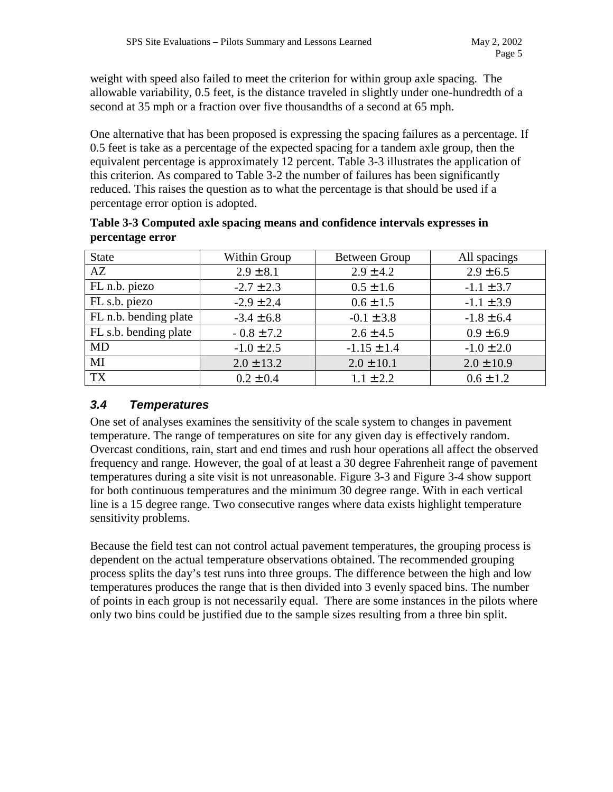weight with speed also failed to meet the criterion for within group axle spacing. The allowable variability, 0.5 feet, is the distance traveled in slightly under one-hundredth of a second at 35 mph or a fraction over five thousandths of a second at 65 mph.

One alternative that has been proposed is expressing the spacing failures as a percentage. If 0.5 feet is take as a percentage of the expected spacing for a tandem axle group, then the equivalent percentage is approximately 12 percent. Table 3-3 illustrates the application of this criterion. As compared to Table 3-2 the number of failures has been significantly reduced. This raises the question as to what the percentage is that should be used if a percentage error option is adopted.

| <b>State</b>          | Within Group   | <b>Between Group</b> | All spacings   |
|-----------------------|----------------|----------------------|----------------|
| AZ                    | $2.9 \pm 8.1$  | $2.9 \pm 4.2$        | $2.9 \pm 6.5$  |
| FL n.b. piezo         | $-2.7 \pm 2.3$ | $0.5 \pm 1.6$        | $-1.1 \pm 3.7$ |
| FL s.b. piezo         | $-2.9 \pm 2.4$ | $0.6 \pm 1.5$        | $-1.1 \pm 3.9$ |
| FL n.b. bending plate | $-3.4 \pm 6.8$ | $-0.1 \pm 3.8$       | $-1.8 \pm 6.4$ |
| FL s.b. bending plate | $-0.8 \pm 7.2$ | $2.6 \pm 4.5$        | $0.9 \pm 6.9$  |
| MD                    | $-1.0 \pm 2.5$ | $-1.15 \pm 1.4$      | $-1.0 \pm 2.0$ |
| MI                    | $2.0 \pm 13.2$ | $2.0 \pm 10.1$       | $2.0 \pm 10.9$ |
| TX                    | $0.2 \pm 0.4$  | $1.1 \pm 2.2$        | $0.6 \pm 1.2$  |

**Table 3-3 Computed axle spacing means and confidence intervals expresses in percentage error** 

### *3.4 Temperatures*

One set of analyses examines the sensitivity of the scale system to changes in pavement temperature. The range of temperatures on site for any given day is effectively random. Overcast conditions, rain, start and end times and rush hour operations all affect the observed frequency and range. However, the goal of at least a 30 degree Fahrenheit range of pavement temperatures during a site visit is not unreasonable. Figure 3-3 and Figure 3-4 show support for both continuous temperatures and the minimum 30 degree range. With in each vertical line is a 15 degree range. Two consecutive ranges where data exists highlight temperature sensitivity problems.

Because the field test can not control actual pavement temperatures, the grouping process is dependent on the actual temperature observations obtained. The recommended grouping process splits the day's test runs into three groups. The difference between the high and low temperatures produces the range that is then divided into 3 evenly spaced bins. The number of points in each group is not necessarily equal. There are some instances in the pilots where only two bins could be justified due to the sample sizes resulting from a three bin split.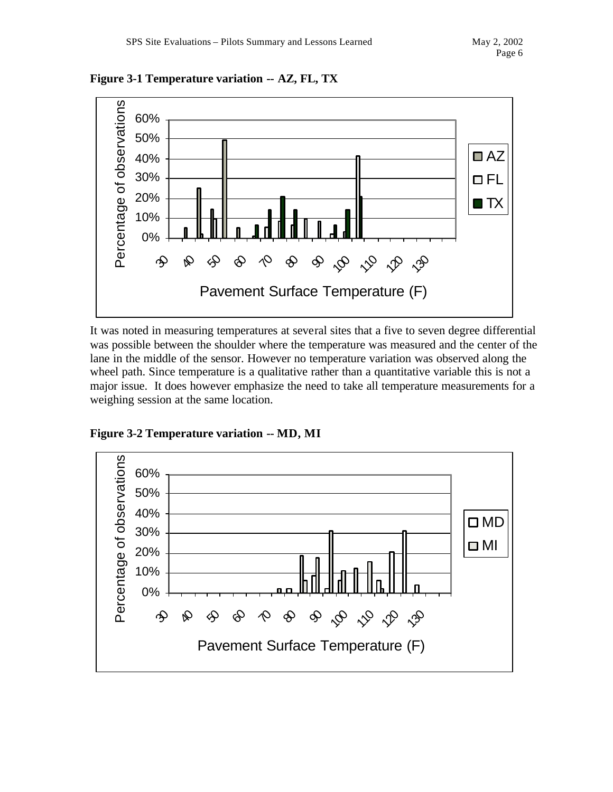

**Figure 3-1 Temperature variation -- AZ, FL, TX**

It was noted in measuring temperatures at several sites that a five to seven degree differential was possible between the shoulder where the temperature was measured and the center of the lane in the middle of the sensor. However no temperature variation was observed along the wheel path. Since temperature is a qualitative rather than a quantitative variable this is not a major issue. It does however emphasize the need to take all temperature measurements for a weighing session at the same location.



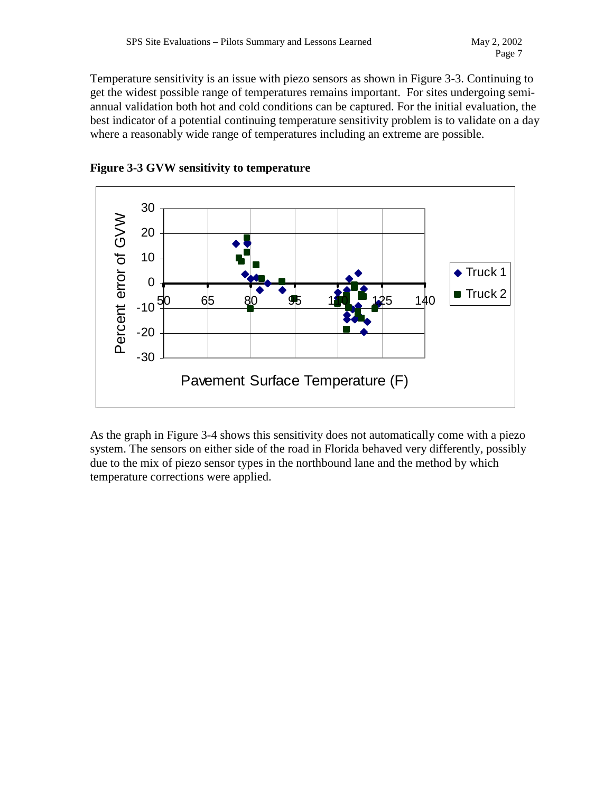Temperature sensitivity is an issue with piezo sensors as shown in Figure 3-3. Continuing to get the widest possible range of temperatures remains important. For sites undergoing semiannual validation both hot and cold conditions can be captured. For the initial evaluation, the best indicator of a potential continuing temperature sensitivity problem is to validate on a day where a reasonably wide range of temperatures including an extreme are possible.





As the graph in Figure 3-4 shows this sensitivity does not automatically come with a piezo system. The sensors on either side of the road in Florida behaved very differently, possibly due to the mix of piezo sensor types in the northbound lane and the method by which temperature corrections were applied.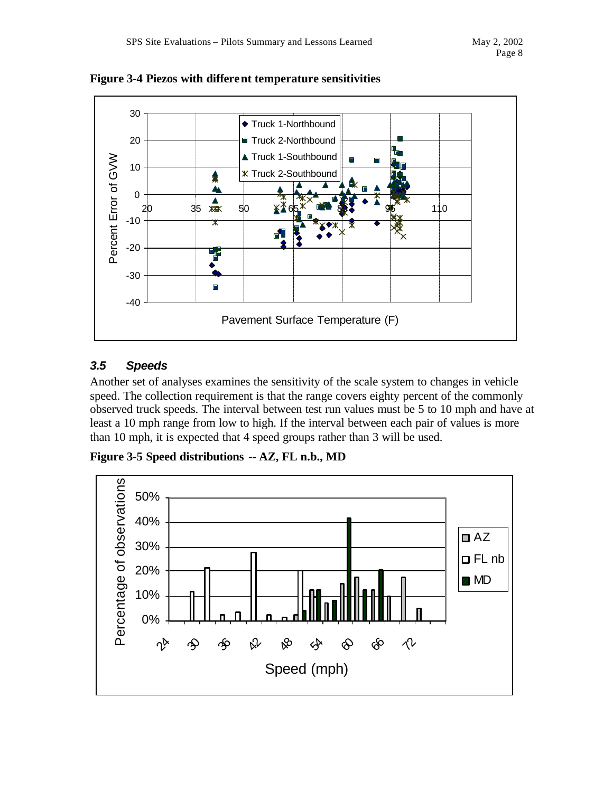

**Figure 3-4 Piezos with different temperature sensitivities**

# *3.5 Speeds*

Another set of analyses examines the sensitivity of the scale system to changes in vehicle speed. The collection requirement is that the range covers eighty percent of the commonly observed truck speeds. The interval between test run values must be 5 to 10 mph and have at least a 10 mph range from low to high. If the interval between each pair of values is more than 10 mph, it is expected that 4 speed groups rather than 3 will be used.

**Figure 3-5 Speed distributions -- AZ, FL n.b., MD**

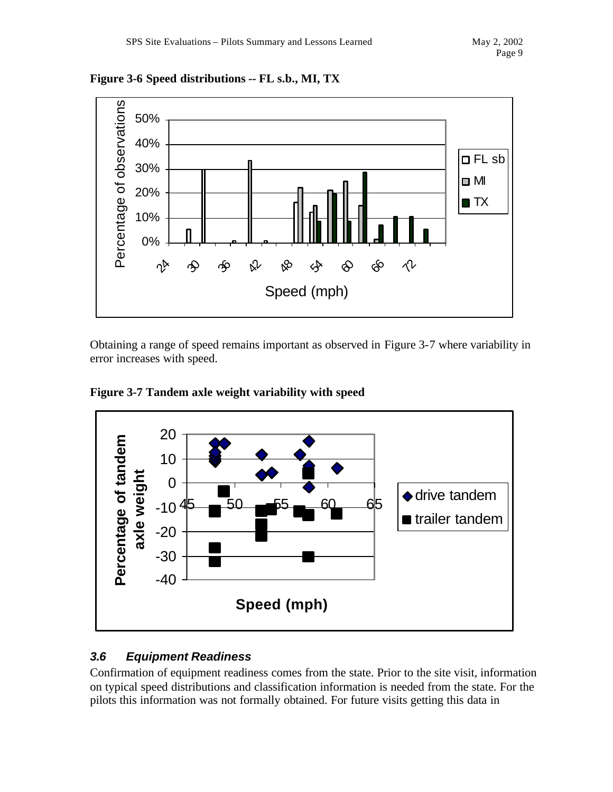



Obtaining a range of speed remains important as observed in Figure 3-7 where variability in error increases with speed.



**Figure 3-7 Tandem axle weight variability with speed**

### *3.6 Equipment Readiness*

Confirmation of equipment readiness comes from the state. Prior to the site visit, information on typical speed distributions and classification information is needed from the state. For the pilots this information was not formally obtained. For future visits getting this data in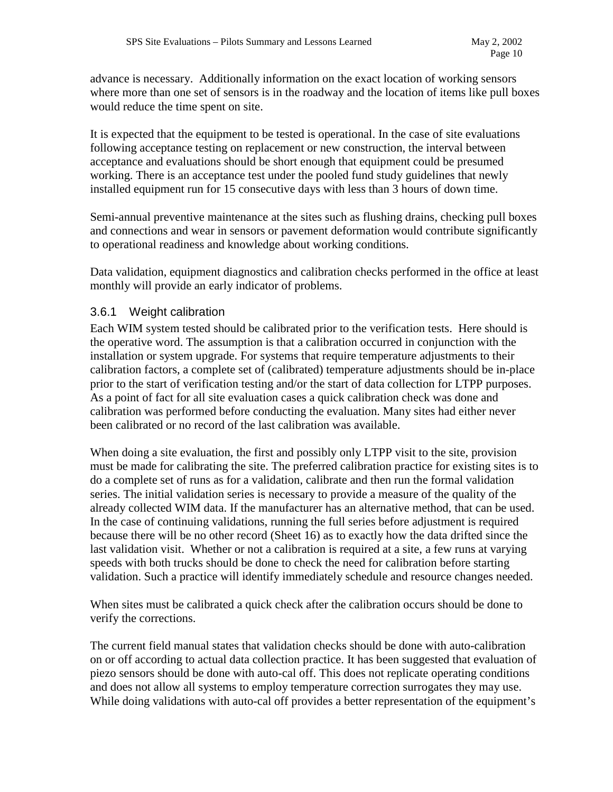advance is necessary. Additionally information on the exact location of working sensors where more than one set of sensors is in the roadway and the location of items like pull boxes would reduce the time spent on site.

It is expected that the equipment to be tested is operational. In the case of site evaluations following acceptance testing on replacement or new construction, the interval between acceptance and evaluations should be short enough that equipment could be presumed working. There is an acceptance test under the pooled fund study guidelines that newly installed equipment run for 15 consecutive days with less than 3 hours of down time.

Semi-annual preventive maintenance at the sites such as flushing drains, checking pull boxes and connections and wear in sensors or pavement deformation would contribute significantly to operational readiness and knowledge about working conditions.

Data validation, equipment diagnostics and calibration checks performed in the office at least monthly will provide an early indicator of problems.

#### 3.6.1 Weight calibration

Each WIM system tested should be calibrated prior to the verification tests. Here should is the operative word. The assumption is that a calibration occurred in conjunction with the installation or system upgrade. For systems that require temperature adjustments to their calibration factors, a complete set of (calibrated) temperature adjustments should be in-place prior to the start of verification testing and/or the start of data collection for LTPP purposes. As a point of fact for all site evaluation cases a quick calibration check was done and calibration was performed before conducting the evaluation. Many sites had either never been calibrated or no record of the last calibration was available.

When doing a site evaluation, the first and possibly only LTPP visit to the site, provision must be made for calibrating the site. The preferred calibration practice for existing sites is to do a complete set of runs as for a validation, calibrate and then run the formal validation series. The initial validation series is necessary to provide a measure of the quality of the already collected WIM data. If the manufacturer has an alternative method, that can be used. In the case of continuing validations, running the full series before adjustment is required because there will be no other record (Sheet 16) as to exactly how the data drifted since the last validation visit. Whether or not a calibration is required at a site, a few runs at varying speeds with both trucks should be done to check the need for calibration before starting validation. Such a practice will identify immediately schedule and resource changes needed.

When sites must be calibrated a quick check after the calibration occurs should be done to verify the corrections.

The current field manual states that validation checks should be done with auto-calibration on or off according to actual data collection practice. It has been suggested that evaluation of piezo sensors should be done with auto-cal off. This does not replicate operating conditions and does not allow all systems to employ temperature correction surrogates they may use. While doing validations with auto-cal off provides a better representation of the equipment's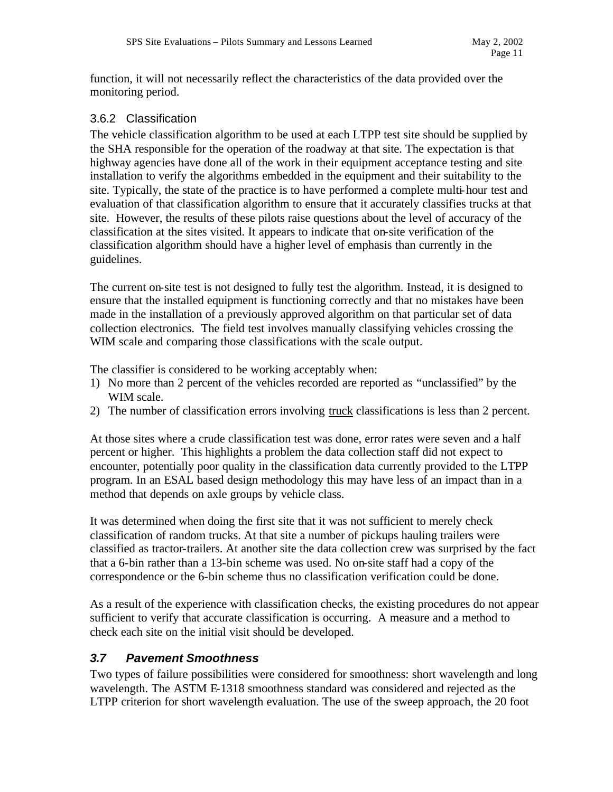function, it will not necessarily reflect the characteristics of the data provided over the monitoring period.

#### 3.6.2 Classification

The vehicle classification algorithm to be used at each LTPP test site should be supplied by the SHA responsible for the operation of the roadway at that site. The expectation is that highway agencies have done all of the work in their equipment acceptance testing and site installation to verify the algorithms embedded in the equipment and their suitability to the site. Typically, the state of the practice is to have performed a complete multi-hour test and evaluation of that classification algorithm to ensure that it accurately classifies trucks at that site. However, the results of these pilots raise questions about the level of accuracy of the classification at the sites visited. It appears to indicate that on-site verification of the classification algorithm should have a higher level of emphasis than currently in the guidelines.

The current on-site test is not designed to fully test the algorithm. Instead, it is designed to ensure that the installed equipment is functioning correctly and that no mistakes have been made in the installation of a previously approved algorithm on that particular set of data collection electronics. The field test involves manually classifying vehicles crossing the WIM scale and comparing those classifications with the scale output.

The classifier is considered to be working acceptably when:

- 1) No more than 2 percent of the vehicles recorded are reported as "unclassified" by the WIM scale.
- 2) The number of classification errors involving truck classifications is less than 2 percent.

At those sites where a crude classification test was done, error rates were seven and a half percent or higher. This highlights a problem the data collection staff did not expect to encounter, potentially poor quality in the classification data currently provided to the LTPP program. In an ESAL based design methodology this may have less of an impact than in a method that depends on axle groups by vehicle class.

It was determined when doing the first site that it was not sufficient to merely check classification of random trucks. At that site a number of pickups hauling trailers were classified as tractor-trailers. At another site the data collection crew was surprised by the fact that a 6-bin rather than a 13-bin scheme was used. No on-site staff had a copy of the correspondence or the 6-bin scheme thus no classification verification could be done.

As a result of the experience with classification checks, the existing procedures do not appear sufficient to verify that accurate classification is occurring. A measure and a method to check each site on the initial visit should be developed.

### *3.7 Pavement Smoothness*

Two types of failure possibilities were considered for smoothness: short wavelength and long wavelength. The ASTM E-1318 smoothness standard was considered and rejected as the LTPP criterion for short wavelength evaluation. The use of the sweep approach, the 20 foot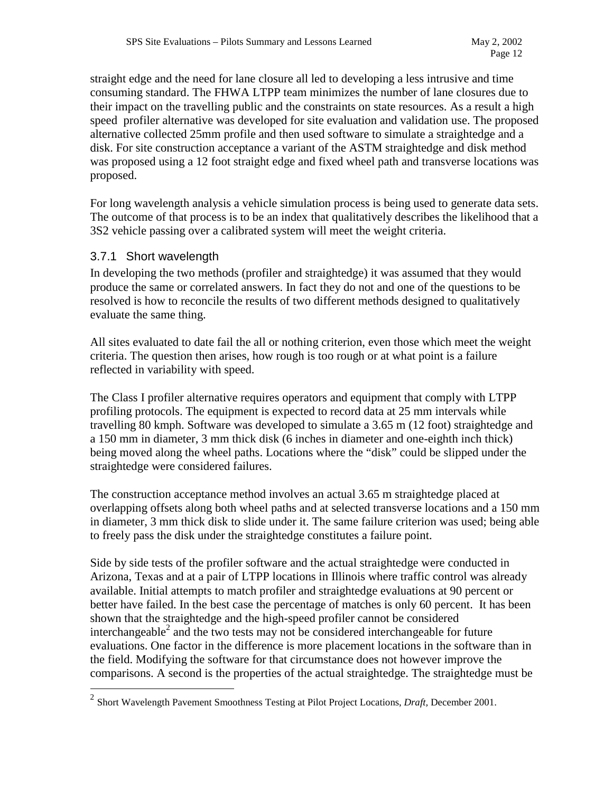straight edge and the need for lane closure all led to developing a less intrusive and time consuming standard. The FHWA LTPP team minimizes the number of lane closures due to their impact on the travelling public and the constraints on state resources. As a result a high speed profiler alternative was developed for site evaluation and validation use. The proposed alternative collected 25mm profile and then used software to simulate a straightedge and a disk. For site construction acceptance a variant of the ASTM straightedge and disk method was proposed using a 12 foot straight edge and fixed wheel path and transverse locations was proposed.

For long wavelength analysis a vehicle simulation process is being used to generate data sets. The outcome of that process is to be an index that qualitatively describes the likelihood that a 3S2 vehicle passing over a calibrated system will meet the weight criteria.

#### 3.7.1 Short wavelength

 $\overline{a}$ 

In developing the two methods (profiler and straightedge) it was assumed that they would produce the same or correlated answers. In fact they do not and one of the questions to be resolved is how to reconcile the results of two different methods designed to qualitatively evaluate the same thing.

All sites evaluated to date fail the all or nothing criterion, even those which meet the weight criteria. The question then arises, how rough is too rough or at what point is a failure reflected in variability with speed.

The Class I profiler alternative requires operators and equipment that comply with LTPP profiling protocols. The equipment is expected to record data at 25 mm intervals while travelling 80 kmph. Software was developed to simulate a 3.65 m (12 foot) straightedge and a 150 mm in diameter, 3 mm thick disk (6 inches in diameter and one-eighth inch thick) being moved along the wheel paths. Locations where the "disk" could be slipped under the straightedge were considered failures.

The construction acceptance method involves an actual 3.65 m straightedge placed at overlapping offsets along both wheel paths and at selected transverse locations and a 150 mm in diameter, 3 mm thick disk to slide under it. The same failure criterion was used; being able to freely pass the disk under the straightedge constitutes a failure point.

Side by side tests of the profiler software and the actual straightedge were conducted in Arizona, Texas and at a pair of LTPP locations in Illinois where traffic control was already available. Initial attempts to match profiler and straightedge evaluations at 90 percent or better have failed. In the best case the percentage of matches is only 60 percent. It has been shown that the straightedge and the high-speed profiler cannot be considered interchangeable<sup>2</sup> and the two tests may not be considered interchangeable for future evaluations. One factor in the difference is more placement locations in the software than in the field. Modifying the software for that circumstance does not however improve the comparisons. A second is the properties of the actual straightedge. The straightedge must be

<sup>2</sup> Short Wavelength Pavement Smoothness Testing at Pilot Project Locations, *Draft,* December 2001.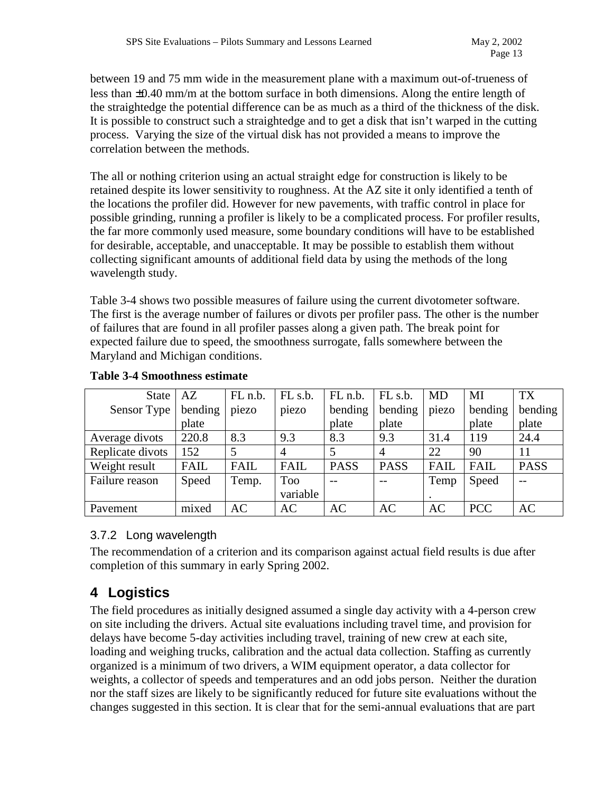between 19 and 75 mm wide in the measurement plane with a maximum out-of-trueness of less than ±0.40 mm/m at the bottom surface in both dimensions. Along the entire length of the straightedge the potential difference can be as much as a third of the thickness of the disk. It is possible to construct such a straightedge and to get a disk that isn't warped in the cutting process. Varying the size of the virtual disk has not provided a means to improve the correlation between the methods.

The all or nothing criterion using an actual straight edge for construction is likely to be retained despite its lower sensitivity to roughness. At the AZ site it only identified a tenth of the locations the profiler did. However for new pavements, with traffic control in place for possible grinding, running a profiler is likely to be a complicated process. For profiler results, the far more commonly used measure, some boundary conditions will have to be established for desirable, acceptable, and unacceptable. It may be possible to establish them without collecting significant amounts of additional field data by using the methods of the long wavelength study.

Table 3-4 shows two possible measures of failure using the current divotometer software. The first is the average number of failures or divots per profiler pass. The other is the number of failures that are found in all profiler passes along a given path. The break point for expected failure due to speed, the smoothness surrogate, falls somewhere between the Maryland and Michigan conditions.

| <b>State</b>     | AZ      | FL n.b.     | FL <sub>s.b.</sub> | FL n.b.     | FL <sub>s.b.</sub> | MD        | MI          | <b>TX</b>   |
|------------------|---------|-------------|--------------------|-------------|--------------------|-----------|-------------|-------------|
| Sensor Type      | bending | piezo       | piezo              | bending     | bending            | piezo     | bending     | bending     |
|                  | plate   |             |                    | plate       | plate              |           | plate       | plate       |
| Average divots   | 220.8   | 8.3         | 9.3                | 8.3         | 9.3                | 31.4      | 119         | 24.4        |
| Replicate divots | 152     |             |                    |             | $\overline{4}$     | 22        | 90          | 11          |
| Weight result    | FAIL    | <b>FAIL</b> | <b>FAIL</b>        | <b>PASS</b> | <b>PASS</b>        | FAIL      | <b>FAIL</b> | <b>PASS</b> |
| Failure reason   | Speed   | Temp.       | Too                |             |                    | Temp      | Speed       |             |
|                  |         |             | variable           |             |                    |           |             |             |
| Pavement         | mixed   | AC          | AC                 | AC          | AC                 | <b>AC</b> | <b>PCC</b>  | AC          |

#### **Table 3-4 Smoothness estimate**

#### 3.7.2 Long wavelength

The recommendation of a criterion and its comparison against actual field results is due after completion of this summary in early Spring 2002.

# **4 Logistics**

The field procedures as initially designed assumed a single day activity with a 4-person crew on site including the drivers. Actual site evaluations including travel time, and provision for delays have become 5-day activities including travel, training of new crew at each site, loading and weighing trucks, calibration and the actual data collection. Staffing as currently organized is a minimum of two drivers, a WIM equipment operator, a data collector for weights, a collector of speeds and temperatures and an odd jobs person. Neither the duration nor the staff sizes are likely to be significantly reduced for future site evaluations without the changes suggested in this section. It is clear that for the semi-annual evaluations that are part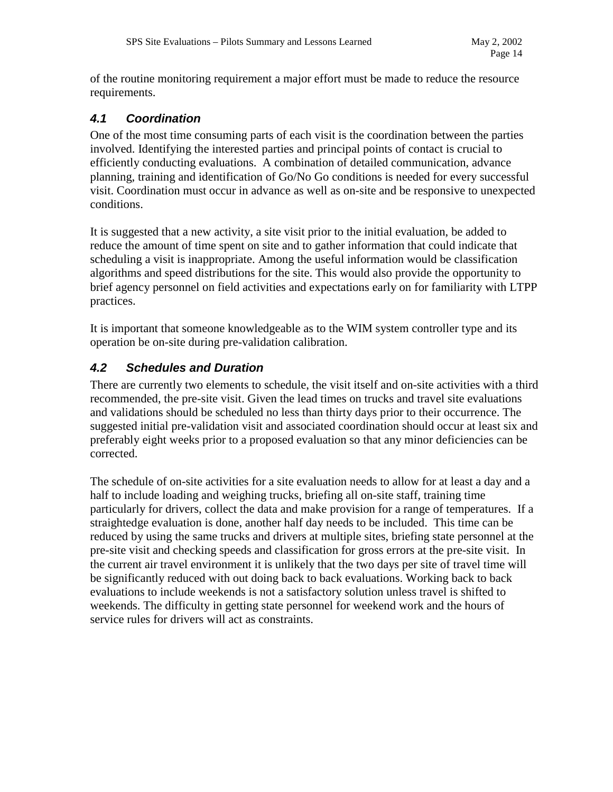of the routine monitoring requirement a major effort must be made to reduce the resource requirements.

#### *4.1 Coordination*

One of the most time consuming parts of each visit is the coordination between the parties involved. Identifying the interested parties and principal points of contact is crucial to efficiently conducting evaluations. A combination of detailed communication, advance planning, training and identification of Go/No Go conditions is needed for every successful visit. Coordination must occur in advance as well as on-site and be responsive to unexpected conditions.

It is suggested that a new activity, a site visit prior to the initial evaluation, be added to reduce the amount of time spent on site and to gather information that could indicate that scheduling a visit is inappropriate. Among the useful information would be classification algorithms and speed distributions for the site. This would also provide the opportunity to brief agency personnel on field activities and expectations early on for familiarity with LTPP practices.

It is important that someone knowledgeable as to the WIM system controller type and its operation be on-site during pre-validation calibration.

### *4.2 Schedules and Duration*

There are currently two elements to schedule, the visit itself and on-site activities with a third recommended, the pre-site visit. Given the lead times on trucks and travel site evaluations and validations should be scheduled no less than thirty days prior to their occurrence. The suggested initial pre-validation visit and associated coordination should occur at least six and preferably eight weeks prior to a proposed evaluation so that any minor deficiencies can be corrected.

The schedule of on-site activities for a site evaluation needs to allow for at least a day and a half to include loading and weighing trucks, briefing all on-site staff, training time particularly for drivers, collect the data and make provision for a range of temperatures. If a straightedge evaluation is done, another half day needs to be included. This time can be reduced by using the same trucks and drivers at multiple sites, briefing state personnel at the pre-site visit and checking speeds and classification for gross errors at the pre-site visit. In the current air travel environment it is unlikely that the two days per site of travel time will be significantly reduced with out doing back to back evaluations. Working back to back evaluations to include weekends is not a satisfactory solution unless travel is shifted to weekends. The difficulty in getting state personnel for weekend work and the hours of service rules for drivers will act as constraints.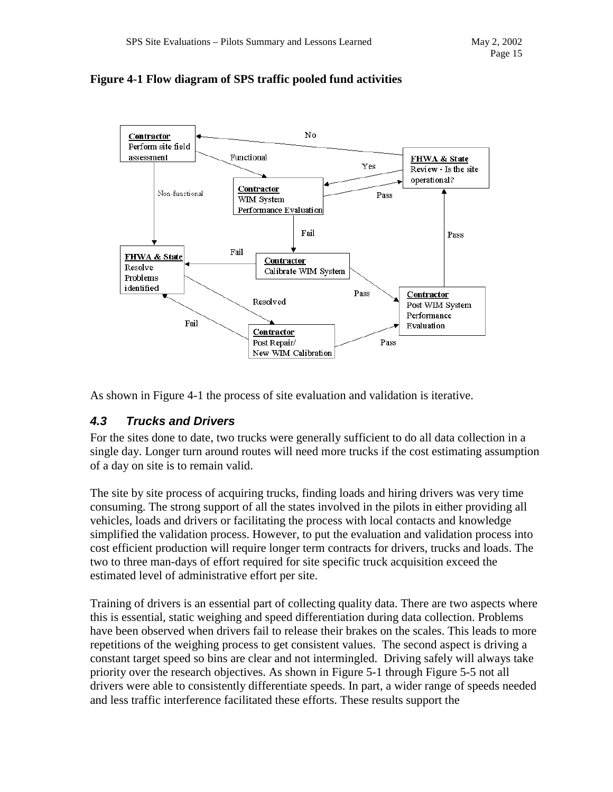

#### **Figure 4-1 Flow diagram of SPS traffic pooled fund activities**

As shown in Figure 4-1 the process of site evaluation and validation is iterative.

### *4.3 Trucks and Drivers*

For the sites done to date, two trucks were generally sufficient to do all data collection in a single day. Longer turn around routes will need more trucks if the cost estimating assumption of a day on site is to remain valid.

The site by site process of acquiring trucks, finding loads and hiring drivers was very time consuming. The strong support of all the states involved in the pilots in either providing all vehicles, loads and drivers or facilitating the process with local contacts and knowledge simplified the validation process. However, to put the evaluation and validation process into cost efficient production will require longer term contracts for drivers, trucks and loads. The two to three man-days of effort required for site specific truck acquisition exceed the estimated level of administrative effort per site.

Training of drivers is an essential part of collecting quality data. There are two aspects where this is essential, static weighing and speed differentiation during data collection. Problems have been observed when drivers fail to release their brakes on the scales. This leads to more repetitions of the weighing process to get consistent values. The second aspect is driving a constant target speed so bins are clear and not intermingled. Driving safely will always take priority over the research objectives. As shown in Figure 5-1 through Figure 5-5 not all drivers were able to consistently differentiate speeds. In part, a wider range of speeds needed and less traffic interference facilitated these efforts. These results support the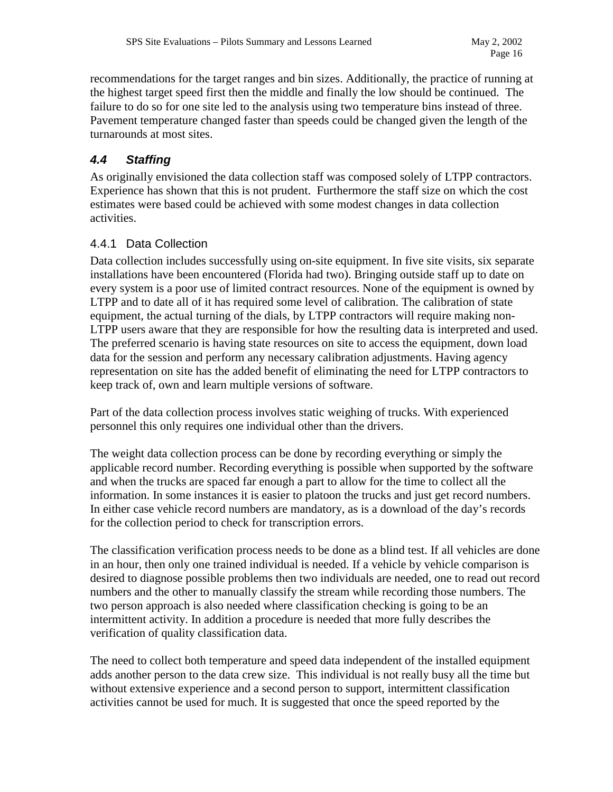recommendations for the target ranges and bin sizes. Additionally, the practice of running at the highest target speed first then the middle and finally the low should be continued. The failure to do so for one site led to the analysis using two temperature bins instead of three. Pavement temperature changed faster than speeds could be changed given the length of the turnarounds at most sites.

# *4.4 Staffing*

As originally envisioned the data collection staff was composed solely of LTPP contractors. Experience has shown that this is not prudent. Furthermore the staff size on which the cost estimates were based could be achieved with some modest changes in data collection activities.

#### 4.4.1 Data Collection

Data collection includes successfully using on-site equipment. In five site visits, six separate installations have been encountered (Florida had two). Bringing outside staff up to date on every system is a poor use of limited contract resources. None of the equipment is owned by LTPP and to date all of it has required some level of calibration. The calibration of state equipment, the actual turning of the dials, by LTPP contractors will require making non-LTPP users aware that they are responsible for how the resulting data is interpreted and used. The preferred scenario is having state resources on site to access the equipment, down load data for the session and perform any necessary calibration adjustments. Having agency representation on site has the added benefit of eliminating the need for LTPP contractors to keep track of, own and learn multiple versions of software.

Part of the data collection process involves static weighing of trucks. With experienced personnel this only requires one individual other than the drivers.

The weight data collection process can be done by recording everything or simply the applicable record number. Recording everything is possible when supported by the software and when the trucks are spaced far enough a part to allow for the time to collect all the information. In some instances it is easier to platoon the trucks and just get record numbers. In either case vehicle record numbers are mandatory, as is a download of the day's records for the collection period to check for transcription errors.

The classification verification process needs to be done as a blind test. If all vehicles are done in an hour, then only one trained individual is needed. If a vehicle by vehicle comparison is desired to diagnose possible problems then two individuals are needed, one to read out record numbers and the other to manually classify the stream while recording those numbers. The two person approach is also needed where classification checking is going to be an intermittent activity. In addition a procedure is needed that more fully describes the verification of quality classification data.

The need to collect both temperature and speed data independent of the installed equipment adds another person to the data crew size. This individual is not really busy all the time but without extensive experience and a second person to support, intermittent classification activities cannot be used for much. It is suggested that once the speed reported by the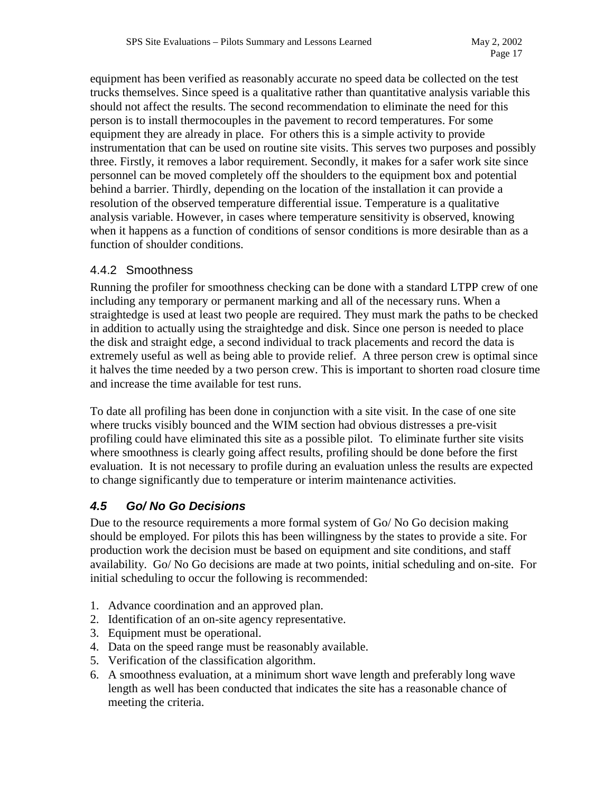equipment has been verified as reasonably accurate no speed data be collected on the test trucks themselves. Since speed is a qualitative rather than quantitative analysis variable this should not affect the results. The second recommendation to eliminate the need for this person is to install thermocouples in the pavement to record temperatures. For some equipment they are already in place. For others this is a simple activity to provide instrumentation that can be used on routine site visits. This serves two purposes and possibly three. Firstly, it removes a labor requirement. Secondly, it makes for a safer work site since personnel can be moved completely off the shoulders to the equipment box and potential behind a barrier. Thirdly, depending on the location of the installation it can provide a resolution of the observed temperature differential issue. Temperature is a qualitative analysis variable. However, in cases where temperature sensitivity is observed, knowing when it happens as a function of conditions of sensor conditions is more desirable than as a function of shoulder conditions.

#### 4.4.2 Smoothness

Running the profiler for smoothness checking can be done with a standard LTPP crew of one including any temporary or permanent marking and all of the necessary runs. When a straightedge is used at least two people are required. They must mark the paths to be checked in addition to actually using the straightedge and disk. Since one person is needed to place the disk and straight edge, a second individual to track placements and record the data is extremely useful as well as being able to provide relief. A three person crew is optimal since it halves the time needed by a two person crew. This is important to shorten road closure time and increase the time available for test runs.

To date all profiling has been done in conjunction with a site visit. In the case of one site where trucks visibly bounced and the WIM section had obvious distresses a pre-visit profiling could have eliminated this site as a possible pilot. To eliminate further site visits where smoothness is clearly going affect results, profiling should be done before the first evaluation. It is not necessary to profile during an evaluation unless the results are expected to change significantly due to temperature or interim maintenance activities.

### *4.5 Go/ No Go Decisions*

Due to the resource requirements a more formal system of Go/ No Go decision making should be employed. For pilots this has been willingness by the states to provide a site. For production work the decision must be based on equipment and site conditions, and staff availability. Go/ No Go decisions are made at two points, initial scheduling and on-site. For initial scheduling to occur the following is recommended:

- 1. Advance coordination and an approved plan.
- 2. Identification of an on-site agency representative.
- 3. Equipment must be operational.
- 4. Data on the speed range must be reasonably available.
- 5. Verification of the classification algorithm.
- 6. A smoothness evaluation, at a minimum short wave length and preferably long wave length as well has been conducted that indicates the site has a reasonable chance of meeting the criteria.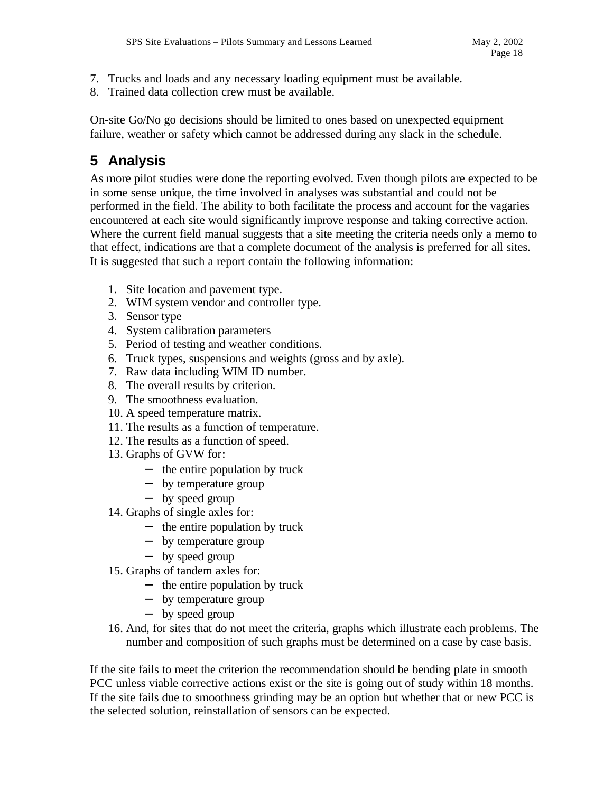- 7. Trucks and loads and any necessary loading equipment must be available.
- 8. Trained data collection crew must be available.

On-site Go/No go decisions should be limited to ones based on unexpected equipment failure, weather or safety which cannot be addressed during any slack in the schedule.

# **5 Analysis**

As more pilot studies were done the reporting evolved. Even though pilots are expected to be in some sense unique, the time involved in analyses was substantial and could not be performed in the field. The ability to both facilitate the process and account for the vagaries encountered at each site would significantly improve response and taking corrective action. Where the current field manual suggests that a site meeting the criteria needs only a memo to that effect, indications are that a complete document of the analysis is preferred for all sites. It is suggested that such a report contain the following information:

- 1. Site location and pavement type.
- 2. WIM system vendor and controller type.
- 3. Sensor type
- 4. System calibration parameters
- 5. Period of testing and weather conditions.
- 6. Truck types, suspensions and weights (gross and by axle).
- 7. Raw data including WIM ID number.
- 8. The overall results by criterion.
- 9. The smoothness evaluation.
- 10. A speed temperature matrix.
- 11. The results as a function of temperature.
- 12. The results as a function of speed.
- 13. Graphs of GVW for:
	- − the entire population by truck
	- − by temperature group
	- − by speed group
- 14. Graphs of single axles for:
	- − the entire population by truck
	- − by temperature group
	- − by speed group
- 15. Graphs of tandem axles for:
	- − the entire population by truck
	- − by temperature group
	- − by speed group
- 16. And, for sites that do not meet the criteria, graphs which illustrate each problems. The number and composition of such graphs must be determined on a case by case basis.

If the site fails to meet the criterion the recommendation should be bending plate in smooth PCC unless viable corrective actions exist or the site is going out of study within 18 months. If the site fails due to smoothness grinding may be an option but whether that or new PCC is the selected solution, reinstallation of sensors can be expected.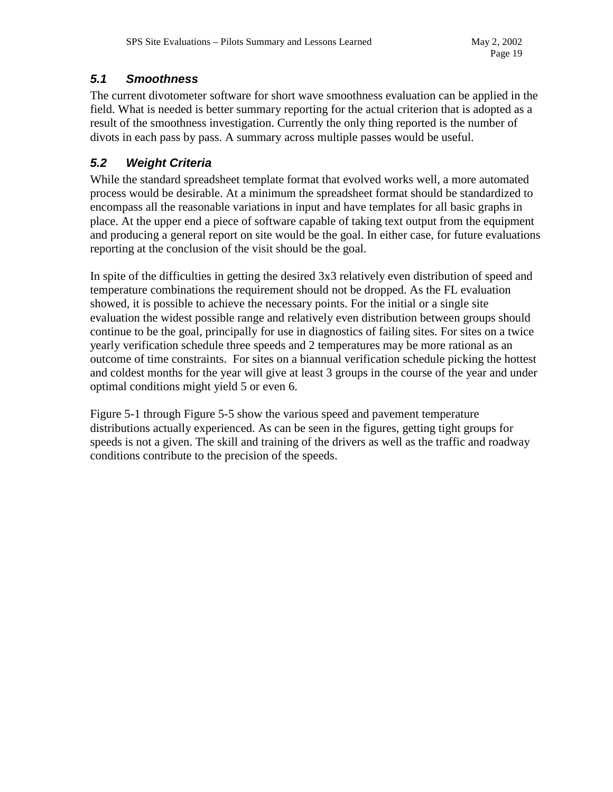#### *5.1 Smoothness*

The current divotometer software for short wave smoothness evaluation can be applied in the field. What is needed is better summary reporting for the actual criterion that is adopted as a result of the smoothness investigation. Currently the only thing reported is the number of divots in each pass by pass. A summary across multiple passes would be useful.

## *5.2 Weight Criteria*

While the standard spreadsheet template format that evolved works well, a more automated process would be desirable. At a minimum the spreadsheet format should be standardized to encompass all the reasonable variations in input and have templates for all basic graphs in place. At the upper end a piece of software capable of taking text output from the equipment and producing a general report on site would be the goal. In either case, for future evaluations reporting at the conclusion of the visit should be the goal.

In spite of the difficulties in getting the desired 3x3 relatively even distribution of speed and temperature combinations the requirement should not be dropped. As the FL evaluation showed, it is possible to achieve the necessary points. For the initial or a single site evaluation the widest possible range and relatively even distribution between groups should continue to be the goal, principally for use in diagnostics of failing sites. For sites on a twice yearly verification schedule three speeds and 2 temperatures may be more rational as an outcome of time constraints. For sites on a biannual verification schedule picking the hottest and coldest months for the year will give at least 3 groups in the course of the year and under optimal conditions might yield 5 or even 6.

Figure 5-1 through Figure 5-5 show the various speed and pavement temperature distributions actually experienced. As can be seen in the figures, getting tight groups for speeds is not a given. The skill and training of the drivers as well as the traffic and roadway conditions contribute to the precision of the speeds.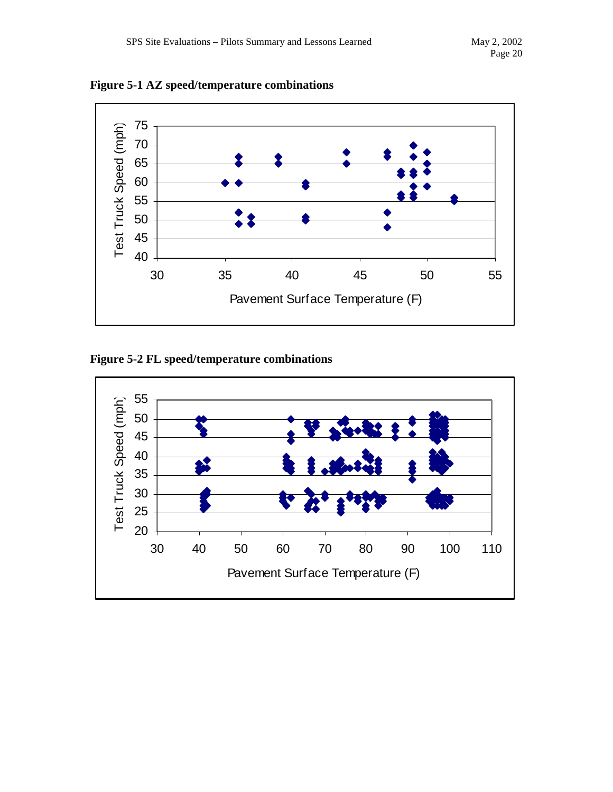



**Figure 5-2 FL speed/temperature combinations** 

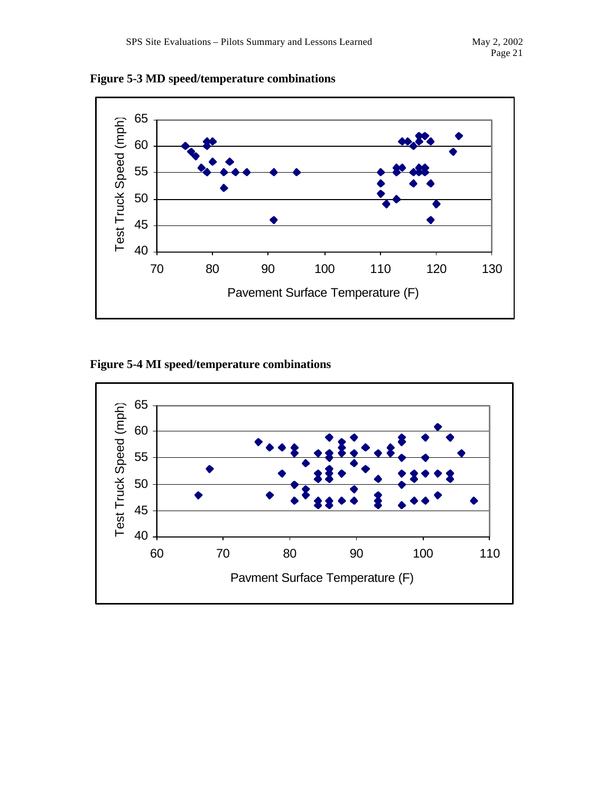



**Figure 5-4 MI speed/temperature combinations**

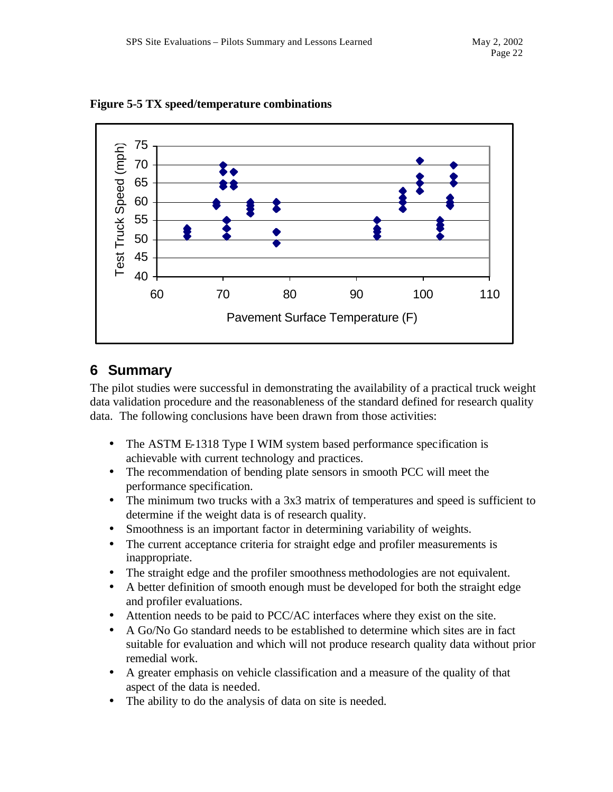

**Figure 5-5 TX speed/temperature combinations**

# **6 Summary**

The pilot studies were successful in demonstrating the availability of a practical truck weight data validation procedure and the reasonableness of the standard defined for research quality data. The following conclusions have been drawn from those activities:

- The ASTM E-1318 Type I WIM system based performance specification is achievable with current technology and practices.
- The recommendation of bending plate sensors in smooth PCC will meet the performance specification.
- The minimum two trucks with a 3x3 matrix of temperatures and speed is sufficient to determine if the weight data is of research quality.
- Smoothness is an important factor in determining variability of weights.
- The current acceptance criteria for straight edge and profiler measurements is inappropriate.
- The straight edge and the profiler smoothness methodologies are not equivalent.
- A better definition of smooth enough must be developed for both the straight edge and profiler evaluations.
- Attention needs to be paid to PCC/AC interfaces where they exist on the site.
- A Go/No Go standard needs to be established to determine which sites are in fact suitable for evaluation and which will not produce research quality data without prior remedial work.
- A greater emphasis on vehicle classification and a measure of the quality of that aspect of the data is needed.
- The ability to do the analysis of data on site is needed.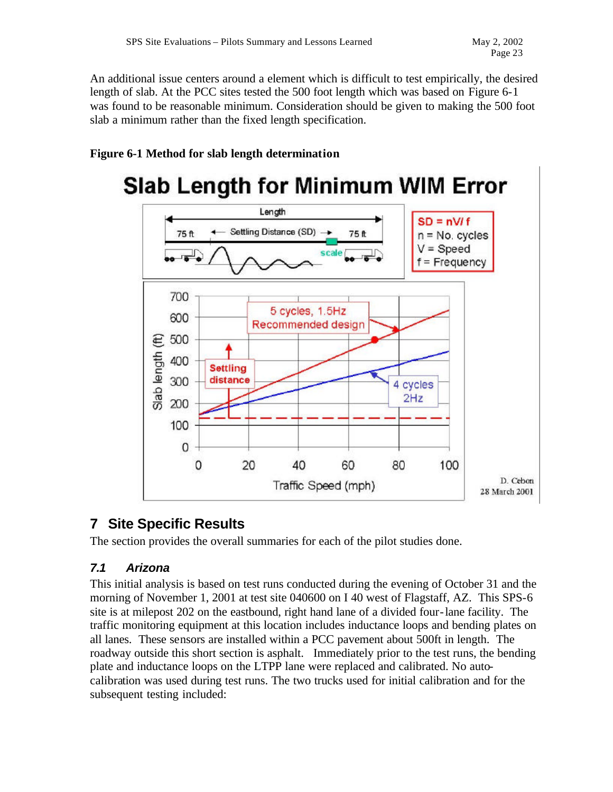An additional issue centers around a element which is difficult to test empirically, the desired length of slab. At the PCC sites tested the 500 foot length which was based on Figure 6-1 was found to be reasonable minimum. Consideration should be given to making the 500 foot slab a minimum rather than the fixed length specification.

### **Figure 6-1 Method for slab length determination**

#### **Slab Length for Minimum WIM Error** Length  $SD = nV/f$ Settling Distance (SD) 75 ft 75 ft  $n = No.$  cycles  $V = Speed$ scale  $f = Frequency$ 700 5 cycles, 1.5Hz 600 Recommended design 500 Slab length (ft) 400 **Settling** distance 300 4 cycles  $2Hz$ 200 100 0 0 20 40 60 80 100 D. Cebon Traffic Speed (mph) 28 March 2001

# **7 Site Specific Results**

The section provides the overall summaries for each of the pilot studies done.

### *7.1 Arizona*

This initial analysis is based on test runs conducted during the evening of October 31 and the morning of November 1, 2001 at test site 040600 on I 40 west of Flagstaff, AZ. This SPS-6 site is at milepost 202 on the eastbound, right hand lane of a divided four-lane facility. The traffic monitoring equipment at this location includes inductance loops and bending plates on all lanes. These sensors are installed within a PCC pavement about 500ft in length. The roadway outside this short section is asphalt. Immediately prior to the test runs, the bending plate and inductance loops on the LTPP lane were replaced and calibrated. No autocalibration was used during test runs. The two trucks used for initial calibration and for the subsequent testing included: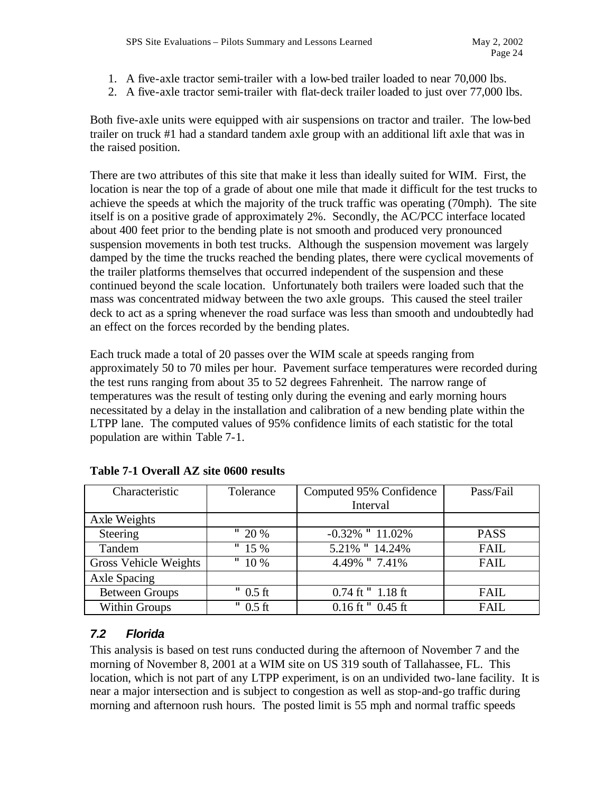- 1. A five-axle tractor semi-trailer with a low-bed trailer loaded to near 70,000 lbs.
- 2. A five-axle tractor semi-trailer with flat-deck trailer loaded to just over 77,000 lbs.

Both five-axle units were equipped with air suspensions on tractor and trailer. The low-bed trailer on truck #1 had a standard tandem axle group with an additional lift axle that was in the raised position.

There are two attributes of this site that make it less than ideally suited for WIM. First, the location is near the top of a grade of about one mile that made it difficult for the test trucks to achieve the speeds at which the majority of the truck traffic was operating (70mph). The site itself is on a positive grade of approximately 2%. Secondly, the AC/PCC interface located about 400 feet prior to the bending plate is not smooth and produced very pronounced suspension movements in both test trucks. Although the suspension movement was largely damped by the time the trucks reached the bending plates, there were cyclical movements of the trailer platforms themselves that occurred independent of the suspension and these continued beyond the scale location. Unfortunately both trailers were loaded such that the mass was concentrated midway between the two axle groups. This caused the steel trailer deck to act as a spring whenever the road surface was less than smooth and undoubtedly had an effect on the forces recorded by the bending plates.

Each truck made a total of 20 passes over the WIM scale at speeds ranging from approximately 50 to 70 miles per hour. Pavement surface temperatures were recorded during the test runs ranging from about 35 to 52 degrees Fahrenheit. The narrow range of temperatures was the result of testing only during the evening and early morning hours necessitated by a delay in the installation and calibration of a new bending plate within the LTPP lane. The computed values of 95% confidence limits of each statistic for the total population are within Table 7-1.

| Characteristic        | Tolerance  | Computed 95% Confidence | Pass/Fail   |
|-----------------------|------------|-------------------------|-------------|
|                       |            | Interval                |             |
| Axle Weights          |            |                         |             |
| Steering              | " $20%$    | $-0.32\%$ " $11.02\%$   | <b>PASS</b> |
| Tandem                | " $15%$    | 5.21% " 14.24%          | <b>FAIL</b> |
| Gross Vehicle Weights | " $10\%$   | 4.49% "7.41%            | <b>FAIL</b> |
| Axle Spacing          |            |                         |             |
| <b>Between Groups</b> | $"$ 0.5 ft | $0.74$ ft $"1.18$ ft    | <b>FAIL</b> |
| Within Groups         | $"$ 0.5 ft | $0.16$ ft $"$ 0.45 ft   | <b>FAIL</b> |

#### **Table 7-1 Overall AZ site 0600 results**

#### *7.2 Florida*

This analysis is based on test runs conducted during the afternoon of November 7 and the morning of November 8, 2001 at a WIM site on US 319 south of Tallahassee, FL. This location, which is not part of any LTPP experiment, is on an undivided two-lane facility. It is near a major intersection and is subject to congestion as well as stop-and-go traffic during morning and afternoon rush hours. The posted limit is 55 mph and normal traffic speeds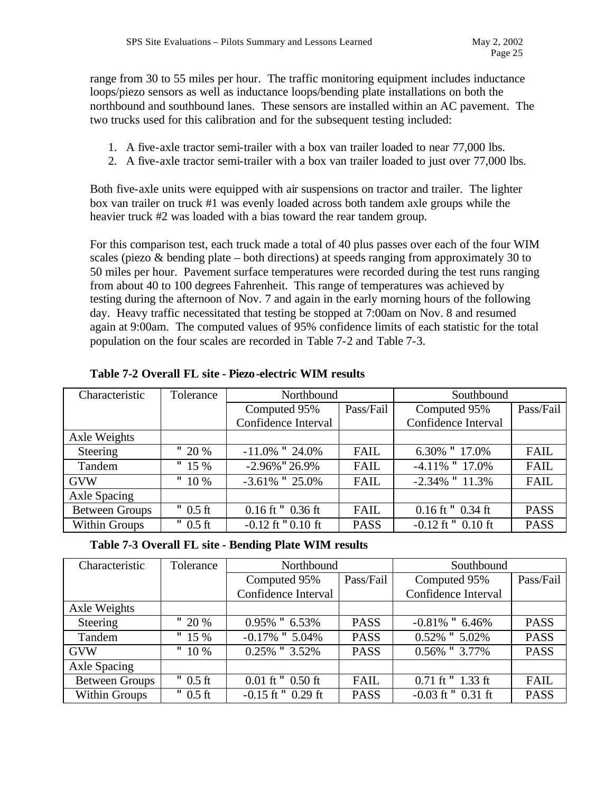range from 30 to 55 miles per hour. The traffic monitoring equipment includes inductance loops/piezo sensors as well as inductance loops/bending plate installations on both the northbound and southbound lanes. These sensors are installed within an AC pavement. The two trucks used for this calibration and for the subsequent testing included:

- 1. A five-axle tractor semi-trailer with a box van trailer loaded to near 77,000 lbs.
- 2. A five-axle tractor semi-trailer with a box van trailer loaded to just over 77,000 lbs.

Both five-axle units were equipped with air suspensions on tractor and trailer. The lighter box van trailer on truck #1 was evenly loaded across both tandem axle groups while the heavier truck #2 was loaded with a bias toward the rear tandem group.

For this comparison test, each truck made a total of 40 plus passes over each of the four WIM scales (piezo & bending plate – both directions) at speeds ranging from approximately 30 to 50 miles per hour. Pavement surface temperatures were recorded during the test runs ranging from about 40 to 100 degrees Fahrenheit. This range of temperatures was achieved by testing during the afternoon of Nov. 7 and again in the early morning hours of the following day. Heavy traffic necessitated that testing be stopped at 7:00am on Nov. 8 and resumed again at 9:00am. The computed values of 95% confidence limits of each statistic for the total population on the four scales are recorded in Table 7-2 and Table 7-3.

| Characteristic        | Tolerance  | Northbound            |             | Southbound             |             |  |
|-----------------------|------------|-----------------------|-------------|------------------------|-------------|--|
|                       |            | Computed 95%          | Pass/Fail   | Computed 95%           | Pass/Fail   |  |
|                       |            | Confidence Interval   |             | Confidence Interval    |             |  |
| Axle Weights          |            |                       |             |                        |             |  |
| Steering              | " $20%$    | $-11.0\%$ " 24.0%     | <b>FAIL</b> | 6.30% "17.0%           | FAIL        |  |
| Tandem                | " $15%$    | $-2.96\%$ "26.9%      | <b>FAIL</b> | $-4.11\%$ " 17.0%      | <b>FAIL</b> |  |
| <b>GVW</b>            | " $10\%$   | $-3.61\%$ " 25.0%     | <b>FAIL</b> | $-2.34\%$ " $11.3\%$   | <b>FAIL</b> |  |
| Axle Spacing          |            |                       |             |                        |             |  |
| <b>Between Groups</b> | $"$ 0.5 ft | $0.16$ ft $"$ 0.36 ft | <b>FAIL</b> | $0.16$ ft $"$ 0.34 ft  | <b>PASS</b> |  |
| Within Groups         | $"$ 0.5 ft | $-0.12$ ft "0.10 ft   | <b>PASS</b> | $-0.12$ ft $"$ 0.10 ft | <b>PASS</b> |  |

**Table 7-2 Overall FL site - Piezo-electric WIM results**

|  |  | Table 7-3 Overall FL site - Bending Plate WIM results |  |  |
|--|--|-------------------------------------------------------|--|--|
|  |  |                                                       |  |  |
|  |  |                                                       |  |  |

| Characteristic        | Tolerance  | Northbound                            |             | Southbound             |             |  |  |
|-----------------------|------------|---------------------------------------|-------------|------------------------|-------------|--|--|
|                       |            | Computed 95%                          | Pass/Fail   | Computed 95%           | Pass/Fail   |  |  |
|                       |            | Confidence Interval                   |             | Confidence Interval    |             |  |  |
| Axle Weights          |            |                                       |             |                        |             |  |  |
| Steering              | " $20%$    | $0.95\%$ " 6.53%                      | <b>PASS</b> | $-0.81\%$ " 6.46%      | <b>PASS</b> |  |  |
| Tandem                | " $15%$    | $-0.17\%$ " 5.04%                     | <b>PASS</b> | $0.52\%$ " $5.02\%$    | <b>PASS</b> |  |  |
| <b>GVW</b>            | " $10\%$   | $0.25\%$ " 3.52%                      | <b>PASS</b> | 0.56% " 3.77%          | <b>PASS</b> |  |  |
| Axle Spacing          |            |                                       |             |                        |             |  |  |
| <b>Between Groups</b> | $"$ 0.5 ft | $0.01 \text{ ft}$ " $0.50 \text{ ft}$ | <b>FAIL</b> | $0.71$ ft $" 1.33$ ft  | FAIL        |  |  |
| Within Groups         | $"$ 0.5 ft | $-0.15$ ft $"$ 0.29 ft                | <b>PASS</b> | $-0.03$ ft $"$ 0.31 ft | <b>PASS</b> |  |  |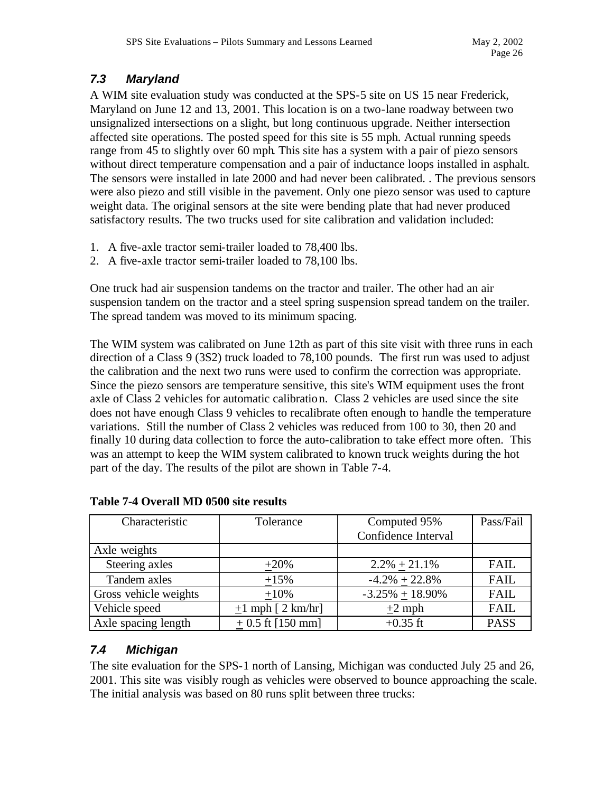# *7.3 Maryland*

A WIM site evaluation study was conducted at the SPS-5 site on US 15 near Frederick, Maryland on June 12 and 13, 2001. This location is on a two-lane roadway between two unsignalized intersections on a slight, but long continuous upgrade. Neither intersection affected site operations. The posted speed for this site is 55 mph. Actual running speeds range from 45 to slightly over 60 mph. This site has a system with a pair of piezo sensors without direct temperature compensation and a pair of inductance loops installed in asphalt. The sensors were installed in late 2000 and had never been calibrated. . The previous sensors were also piezo and still visible in the pavement. Only one piezo sensor was used to capture weight data. The original sensors at the site were bending plate that had never produced satisfactory results. The two trucks used for site calibration and validation included:

- 1. A five-axle tractor semi-trailer loaded to 78,400 lbs.
- 2. A five-axle tractor semi-trailer loaded to 78,100 lbs.

One truck had air suspension tandems on the tractor and trailer. The other had an air suspension tandem on the tractor and a steel spring suspension spread tandem on the trailer. The spread tandem was moved to its minimum spacing.

The WIM system was calibrated on June 12th as part of this site visit with three runs in each direction of a Class 9 (3S2) truck loaded to 78,100 pounds. The first run was used to adjust the calibration and the next two runs were used to confirm the correction was appropriate. Since the piezo sensors are temperature sensitive, this site's WIM equipment uses the front axle of Class 2 vehicles for automatic calibration. Class 2 vehicles are used since the site does not have enough Class 9 vehicles to recalibrate often enough to handle the temperature variations. Still the number of Class 2 vehicles was reduced from 100 to 30, then 20 and finally 10 during data collection to force the auto-calibration to take effect more often. This was an attempt to keep the WIM system calibrated to known truck weights during the hot part of the day. The results of the pilot are shown in Table 7-4.

| Characteristic        | Tolerance           | Computed 95%        | Pass/Fail   |
|-----------------------|---------------------|---------------------|-------------|
|                       |                     | Confidence Interval |             |
| Axle weights          |                     |                     |             |
| Steering axles        | $+20%$              | $2.2\% + 21.1\%$    | <b>FAIL</b> |
| Tandem axles          | $+15%$              | $-4.2\% + 22.8\%$   | FAIL        |
| Gross vehicle weights | $+10%$              | $-3.25\% + 18.90\%$ | <b>FAIL</b> |
| Vehicle speed         | $+1$ mph [ 2 km/hr] | $\pm 2$ mph         | <b>FAIL</b> |
| Axle spacing length   | $+0.5$ ft [150 mm]  | $+0.35$ ft          | <b>PASS</b> |

#### **Table 7-4 Overall MD 0500 site results**

### *7.4 Michigan*

The site evaluation for the SPS-1 north of Lansing, Michigan was conducted July 25 and 26, 2001. This site was visibly rough as vehicles were observed to bounce approaching the scale. The initial analysis was based on 80 runs split between three trucks: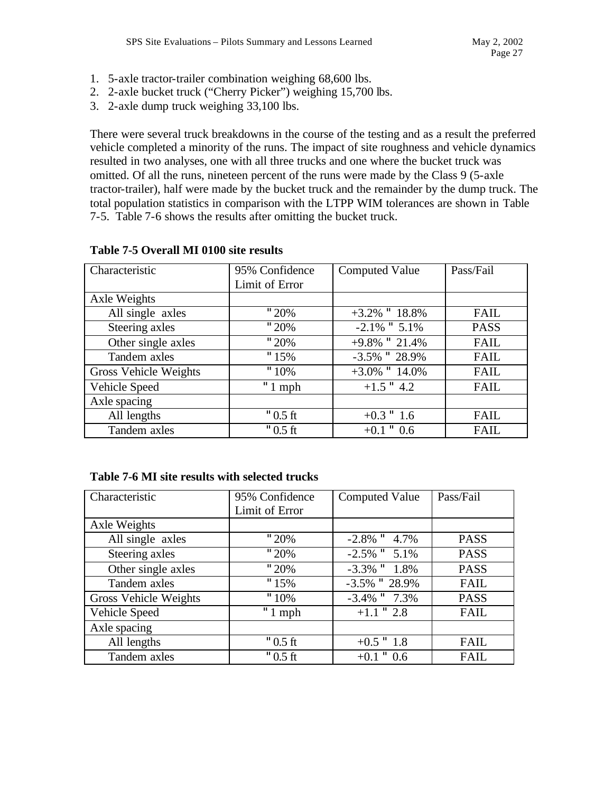- 1. 5-axle tractor-trailer combination weighing 68,600 lbs.
- 2. 2-axle bucket truck ("Cherry Picker") weighing 15,700 lbs.
- 3. 2-axle dump truck weighing 33,100 lbs.

There were several truck breakdowns in the course of the testing and as a result the preferred vehicle completed a minority of the runs. The impact of site roughness and vehicle dynamics resulted in two analyses, one with all three trucks and one where the bucket truck was omitted. Of all the runs, nineteen percent of the runs were made by the Class 9 (5-axle tractor-trailer), half were made by the bucket truck and the remainder by the dump truck. The total population statistics in comparison with the LTPP WIM tolerances are shown in Table 7-5. Table 7-6 shows the results after omitting the bucket truck.

| Characteristic        | 95% Confidence |                     | Pass/Fail   |
|-----------------------|----------------|---------------------|-------------|
|                       |                | Computed Value      |             |
|                       | Limit of Error |                     |             |
| Axle Weights          |                |                     |             |
| All single axles      | "20%           | $+3.2\%$ " $18.8\%$ | <b>FAIL</b> |
| Steering axles        | "20%           | $-2.1\%$ " $5.1\%$  | <b>PASS</b> |
| Other single axles    | "20%           | $+9.8\%$ " 21.4%    | <b>FAIL</b> |
| Tandem axles          | "15%           | $-3.5\%$ " 28.9%    | <b>FAIL</b> |
| Gross Vehicle Weights | $"10\%$        | $+3.0\%$ " 14.0%    | <b>FAIL</b> |
| Vehicle Speed         | " $1$ mph      | $+1.5$ " 4.2        | <b>FAIL</b> |
| Axle spacing          |                |                     |             |
| All lengths           | $"0.5$ ft      | $+0.3$ " 1.6        | <b>FAIL</b> |
| Tandem axles          | $"0.5$ ft      | $+0.1$ " 0.6        | <b>FAIL</b> |

#### **Table 7-5 Overall MI 0100 site results**

#### **Table 7-6 MI site results with selected trucks**

| Characteristic        | 95% Confidence | <b>Computed Value</b> | Pass/Fail   |
|-----------------------|----------------|-----------------------|-------------|
|                       | Limit of Error |                       |             |
| Axle Weights          |                |                       |             |
| All single axles      | "20%           | $-2.8\%$ " 4.7%       | <b>PASS</b> |
| Steering axles        | "20%           | $-2.5\%$ " $5.1\%$    | <b>PASS</b> |
| Other single axles    | "20%           | $-3.3\%$ " $1.8\%$    | <b>PASS</b> |
| Tandem axles          | "15%           | $-3.5\%$ " 28.9%      | <b>FAIL</b> |
| Gross Vehicle Weights | $"10\%$        | $-3.4\%$ " $7.3\%$    | <b>PASS</b> |
| Vehicle Speed         | " $1$ mph      | $+1.1$ " 2.8          | <b>FAIL</b> |
| Axle spacing          |                |                       |             |
| All lengths           | $"0.5$ ft      | $+0.5$ " 1.8          | <b>FAIL</b> |
| Tandem axles          | $"0.5$ ft      | $+0.1$ " 0.6          | <b>FAIL</b> |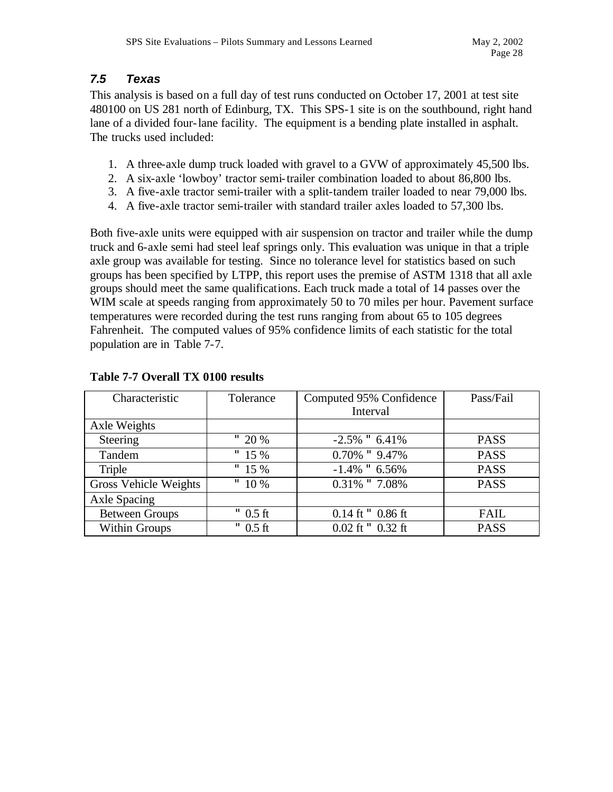#### *7.5 Texas*

This analysis is based on a full day of test runs conducted on October 17, 2001 at test site 480100 on US 281 north of Edinburg, TX. This SPS-1 site is on the southbound, right hand lane of a divided four-lane facility. The equipment is a bending plate installed in asphalt. The trucks used included:

- 1. A three-axle dump truck loaded with gravel to a GVW of approximately 45,500 lbs.
- 2. A six-axle 'lowboy' tractor semi-trailer combination loaded to about 86,800 lbs.
- 3. A five-axle tractor semi-trailer with a split-tandem trailer loaded to near 79,000 lbs.
- 4. A five-axle tractor semi-trailer with standard trailer axles loaded to 57,300 lbs.

Both five-axle units were equipped with air suspension on tractor and trailer while the dump truck and 6-axle semi had steel leaf springs only. This evaluation was unique in that a triple axle group was available for testing. Since no tolerance level for statistics based on such groups has been specified by LTPP, this report uses the premise of ASTM 1318 that all axle groups should meet the same qualifications. Each truck made a total of 14 passes over the WIM scale at speeds ranging from approximately 50 to 70 miles per hour. Pavement surface temperatures were recorded during the test runs ranging from about 65 to 105 degrees Fahrenheit. The computed values of 95% confidence limits of each statistic for the total population are in Table 7-7.

| Characteristic        | Tolerance  | Computed 95% Confidence | Pass/Fail   |
|-----------------------|------------|-------------------------|-------------|
|                       |            | Interval                |             |
| Axle Weights          |            |                         |             |
| Steering              | " $20%$    | $-2.5\%$ " 6.41%        | <b>PASS</b> |
| Tandem                | " $15%$    | $0.70\%$ " $9.47\%$     | <b>PASS</b> |
| Triple                | " $15%$    | $-1.4\%$ " 6.56%        | <b>PASS</b> |
| Gross Vehicle Weights | " $10\%$   | $0.31\%$ " $7.08\%$     | <b>PASS</b> |
| Axle Spacing          |            |                         |             |
| <b>Between Groups</b> | $"$ 0.5 ft | $0.14$ ft $"$ 0.86 ft   | FAIL        |
| Within Groups         | $"$ 0.5 ft | $0.02$ ft $"$ 0.32 ft   | <b>PASS</b> |

#### **Table 7-7 Overall TX 0100 results**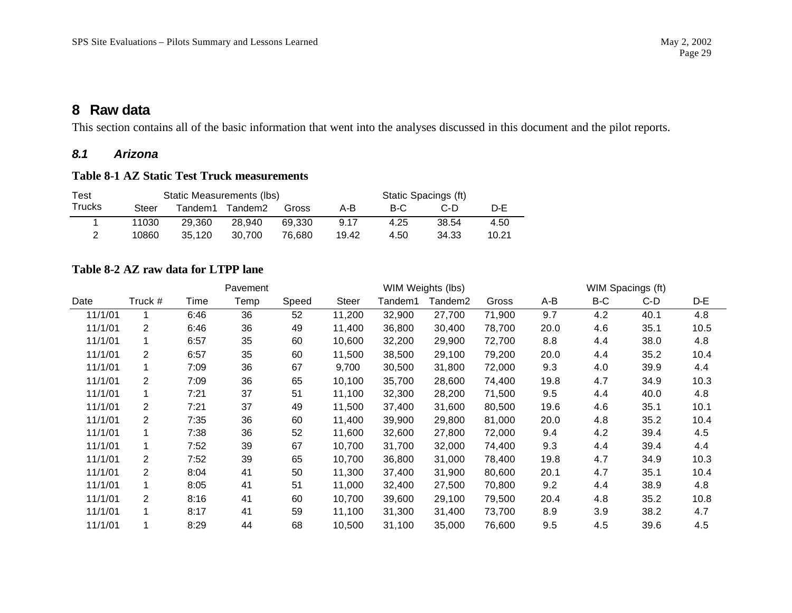This section contains all of the basic information that went into the analyses discussed in this document and the pilot reports.

#### *8.1 Arizona*

### **Table 8-1 AZ Static Test Truck measurements**

| Test          |       | Static Measurements (lbs) |         |        | Static Spacings (ft) |      |       |       |  |  |
|---------------|-------|---------------------------|---------|--------|----------------------|------|-------|-------|--|--|
| <b>Trucks</b> | Steer | Tandem1.                  | Tandem2 | Gross  | A-B                  | B-C  | C-D   | D-F   |  |  |
|               | 11030 | 29.360                    | 28.940  | 69.330 | 9.17                 | 4.25 | 38.54 | 4.50  |  |  |
|               | 10860 | 35.120                    | 30.700  | 76.680 | 19.42                | 4.50 | 34.33 | 10.21 |  |  |

#### **Table 8-2 AZ raw data for LTPP lane**

|         |                |      | Pavement |       |              |         | WIM Weights (lbs) |        | WIM Spacings (ft) |     |      |      |
|---------|----------------|------|----------|-------|--------------|---------|-------------------|--------|-------------------|-----|------|------|
| Date    | Truck #        | Time | Temp     | Speed | <b>Steer</b> | Tandem1 | Tandem2           | Gross  | A-B               | B-C | C-D  | D-E  |
| 11/1/01 |                | 6:46 | 36       | 52    | 11,200       | 32,900  | 27,700            | 71,900 | 9.7               | 4.2 | 40.1 | 4.8  |
| 11/1/01 | 2              | 6:46 | 36       | 49    | 11,400       | 36,800  | 30,400            | 78,700 | 20.0              | 4.6 | 35.1 | 10.5 |
| 11/1/01 |                | 6:57 | 35       | 60    | 10,600       | 32,200  | 29,900            | 72,700 | 8.8               | 4.4 | 38.0 | 4.8  |
| 11/1/01 | 2              | 6:57 | 35       | 60    | 11,500       | 38,500  | 29,100            | 79,200 | 20.0              | 4.4 | 35.2 | 10.4 |
| 11/1/01 |                | 7:09 | 36       | 67    | 9,700        | 30,500  | 31,800            | 72,000 | 9.3               | 4.0 | 39.9 | 4.4  |
| 11/1/01 | 2              | 7:09 | 36       | 65    | 10,100       | 35,700  | 28,600            | 74,400 | 19.8              | 4.7 | 34.9 | 10.3 |
| 11/1/01 |                | 7:21 | 37       | 51    | 11,100       | 32,300  | 28,200            | 71,500 | 9.5               | 4.4 | 40.0 | 4.8  |
| 11/1/01 | $\overline{2}$ | 7:21 | 37       | 49    | 11,500       | 37,400  | 31,600            | 80,500 | 19.6              | 4.6 | 35.1 | 10.1 |
| 11/1/01 | $\overline{2}$ | 7:35 | 36       | 60    | 11,400       | 39,900  | 29,800            | 81,000 | 20.0              | 4.8 | 35.2 | 10.4 |
| 11/1/01 |                | 7:38 | 36       | 52    | 11,600       | 32,600  | 27,800            | 72,000 | 9.4               | 4.2 | 39.4 | 4.5  |
| 11/1/01 | $\mathbf{1}$   | 7:52 | 39       | 67    | 10,700       | 31,700  | 32,000            | 74,400 | 9.3               | 4.4 | 39.4 | 4.4  |
| 11/1/01 | $\overline{2}$ | 7:52 | 39       | 65    | 10,700       | 36,800  | 31,000            | 78,400 | 19.8              | 4.7 | 34.9 | 10.3 |
| 11/1/01 | $\overline{2}$ | 8:04 | 41       | 50    | 11,300       | 37,400  | 31,900            | 80,600 | 20.1              | 4.7 | 35.1 | 10.4 |
| 11/1/01 |                | 8:05 | 41       | 51    | 11,000       | 32,400  | 27,500            | 70,800 | 9.2               | 4.4 | 38.9 | 4.8  |
| 11/1/01 | $\overline{2}$ | 8:16 | 41       | 60    | 10,700       | 39,600  | 29,100            | 79,500 | 20.4              | 4.8 | 35.2 | 10.8 |
| 11/1/01 | $\mathbf{1}$   | 8:17 | 41       | 59    | 11,100       | 31,300  | 31,400            | 73,700 | 8.9               | 3.9 | 38.2 | 4.7  |
| 11/1/01 |                | 8:29 | 44       | 68    | 10,500       | 31,100  | 35,000            | 76,600 | 9.5               | 4.5 | 39.6 | 4.5  |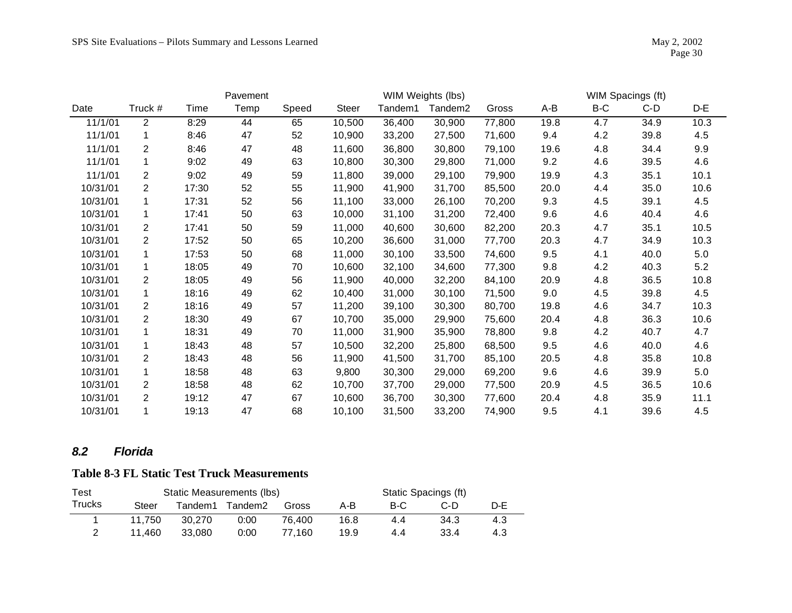|          |                |       | Pavement |       |              |         | WIM Weights (lbs)   |        | WIM Spacings (ft) |     |      |      |
|----------|----------------|-------|----------|-------|--------------|---------|---------------------|--------|-------------------|-----|------|------|
| Date     | Truck #        | Time  | Temp     | Speed | <b>Steer</b> | Tandem1 | Tandem <sub>2</sub> | Gross  | A-B               | B-C | C-D  | D-E  |
| 11/1/01  | $\overline{2}$ | 8:29  | 44       | 65    | 10,500       | 36,400  | 30,900              | 77,800 | 19.8              | 4.7 | 34.9 | 10.3 |
| 11/1/01  | 1              | 8:46  | 47       | 52    | 10,900       | 33,200  | 27,500              | 71,600 | 9.4               | 4.2 | 39.8 | 4.5  |
| 11/1/01  | $\overline{2}$ | 8:46  | 47       | 48    | 11,600       | 36,800  | 30,800              | 79,100 | 19.6              | 4.8 | 34.4 | 9.9  |
| 11/1/01  | 1              | 9:02  | 49       | 63    | 10,800       | 30,300  | 29,800              | 71,000 | 9.2               | 4.6 | 39.5 | 4.6  |
| 11/1/01  | $\overline{2}$ | 9:02  | 49       | 59    | 11,800       | 39,000  | 29,100              | 79,900 | 19.9              | 4.3 | 35.1 | 10.1 |
| 10/31/01 | $\overline{2}$ | 17:30 | 52       | 55    | 11,900       | 41,900  | 31,700              | 85,500 | 20.0              | 4.4 | 35.0 | 10.6 |
| 10/31/01 |                | 17:31 | 52       | 56    | 11,100       | 33,000  | 26,100              | 70,200 | 9.3               | 4.5 | 39.1 | 4.5  |
| 10/31/01 | 1              | 17:41 | 50       | 63    | 10,000       | 31,100  | 31,200              | 72,400 | 9.6               | 4.6 | 40.4 | 4.6  |
| 10/31/01 | $\overline{2}$ | 17:41 | 50       | 59    | 11,000       | 40,600  | 30,600              | 82,200 | 20.3              | 4.7 | 35.1 | 10.5 |
| 10/31/01 | $\overline{2}$ | 17:52 | 50       | 65    | 10,200       | 36,600  | 31,000              | 77,700 | 20.3              | 4.7 | 34.9 | 10.3 |
| 10/31/01 |                | 17:53 | 50       | 68    | 11,000       | 30,100  | 33,500              | 74,600 | 9.5               | 4.1 | 40.0 | 5.0  |
| 10/31/01 |                | 18:05 | 49       | 70    | 10,600       | 32,100  | 34,600              | 77,300 | 9.8               | 4.2 | 40.3 | 5.2  |
| 10/31/01 | $\overline{2}$ | 18:05 | 49       | 56    | 11,900       | 40,000  | 32,200              | 84,100 | 20.9              | 4.8 | 36.5 | 10.8 |
| 10/31/01 | 1              | 18:16 | 49       | 62    | 10,400       | 31,000  | 30,100              | 71,500 | 9.0               | 4.5 | 39.8 | 4.5  |
| 10/31/01 | $\overline{2}$ | 18:16 | 49       | 57    | 11,200       | 39,100  | 30,300              | 80,700 | 19.8              | 4.6 | 34.7 | 10.3 |
| 10/31/01 | $\overline{2}$ | 18:30 | 49       | 67    | 10,700       | 35,000  | 29,900              | 75,600 | 20.4              | 4.8 | 36.3 | 10.6 |
| 10/31/01 |                | 18:31 | 49       | 70    | 11,000       | 31,900  | 35,900              | 78,800 | 9.8               | 4.2 | 40.7 | 4.7  |
| 10/31/01 |                | 18:43 | 48       | 57    | 10,500       | 32,200  | 25,800              | 68,500 | 9.5               | 4.6 | 40.0 | 4.6  |
| 10/31/01 | 2              | 18:43 | 48       | 56    | 11,900       | 41,500  | 31,700              | 85,100 | 20.5              | 4.8 | 35.8 | 10.8 |
| 10/31/01 | 1              | 18:58 | 48       | 63    | 9,800        | 30,300  | 29,000              | 69,200 | 9.6               | 4.6 | 39.9 | 5.0  |
| 10/31/01 | 2              | 18:58 | 48       | 62    | 10,700       | 37,700  | 29,000              | 77,500 | 20.9              | 4.5 | 36.5 | 10.6 |
| 10/31/01 | $\overline{2}$ | 19:12 | 47       | 67    | 10,600       | 36,700  | 30,300              | 77,600 | 20.4              | 4.8 | 35.9 | 11.1 |
| 10/31/01 | 1              | 19:13 | 47       | 68    | 10,100       | 31,500  | 33,200              | 74,900 | 9.5               | 4.1 | 39.6 | 4.5  |

### *8.2 Florida*

## **Table 8-3 FL Static Test Truck Measurements**

| Test          |        |         | Static Measurements (lbs) | Static Spacings (ft) |      |     |      |     |  |
|---------------|--------|---------|---------------------------|----------------------|------|-----|------|-----|--|
| <b>Trucks</b> | Steer  | Tandem1 | Tandem2                   | Gross                | A-B  | B-C | C-D  | D-E |  |
|               | 11.750 | 30.270  | 0:00                      | 76.400               | 16.8 | 4.4 | 34.3 | 4.3 |  |
|               | 11.460 | 33.080  | 0:00                      | 77.160               | 19.9 | 4.4 | 33.4 | 4.3 |  |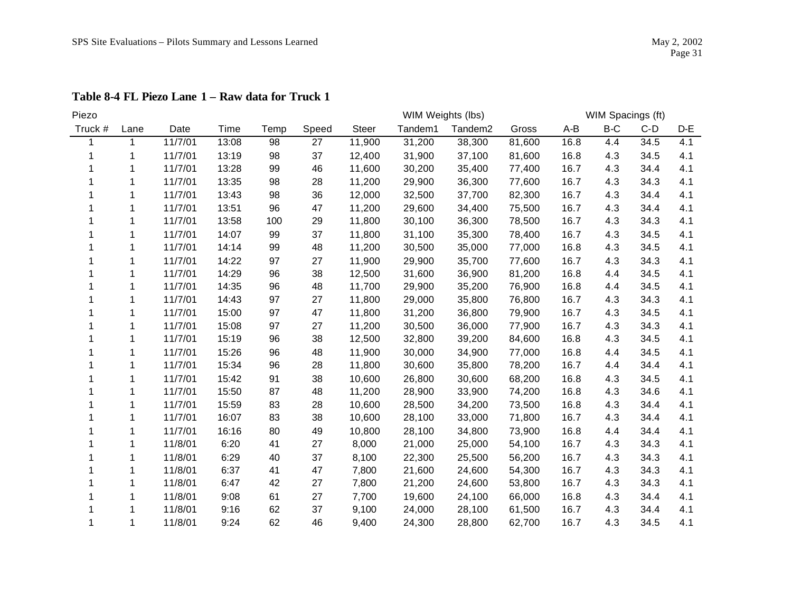| Piezo   |             |         |       |      |       | WIM Spacings (ft)<br>WIM Weights (lbs) |         |                     |        |       |       |       |       |
|---------|-------------|---------|-------|------|-------|----------------------------------------|---------|---------------------|--------|-------|-------|-------|-------|
| Truck # | Lane        | Date    | Time  | Temp | Speed | <b>Steer</b>                           | Tandem1 | Tandem <sub>2</sub> | Gross  | $A-B$ | $B-C$ | $C-D$ | $D-E$ |
|         | $\mathbf 1$ | 11/7/01 | 13:08 | 98   | 27    | 11,900                                 | 31,200  | 38,300              | 81,600 | 16.8  | 4.4   | 34.5  | 4.1   |
|         | 1           | 11/7/01 | 13:19 | 98   | 37    | 12,400                                 | 31,900  | 37,100              | 81,600 | 16.8  | 4.3   | 34.5  | 4.1   |
|         | 1           | 11/7/01 | 13:28 | 99   | 46    | 11,600                                 | 30,200  | 35,400              | 77,400 | 16.7  | 4.3   | 34.4  | 4.1   |
|         |             | 11/7/01 | 13:35 | 98   | 28    | 11,200                                 | 29,900  | 36,300              | 77,600 | 16.7  | 4.3   | 34.3  | 4.1   |
|         |             | 11/7/01 | 13:43 | 98   | 36    | 12,000                                 | 32,500  | 37,700              | 82,300 | 16.7  | 4.3   | 34.4  | 4.1   |
|         | 1           | 11/7/01 | 13:51 | 96   | 47    | 11,200                                 | 29,600  | 34,400              | 75,500 | 16.7  | 4.3   | 34.4  | 4.1   |
|         | 1           | 11/7/01 | 13:58 | 100  | 29    | 11,800                                 | 30,100  | 36,300              | 78,500 | 16.7  | 4.3   | 34.3  | 4.1   |
|         | 1           | 11/7/01 | 14:07 | 99   | 37    | 11,800                                 | 31,100  | 35,300              | 78,400 | 16.7  | 4.3   | 34.5  | 4.1   |
|         | 1           | 11/7/01 | 14:14 | 99   | 48    | 11,200                                 | 30,500  | 35,000              | 77,000 | 16.8  | 4.3   | 34.5  | 4.1   |
|         |             | 11/7/01 | 14:22 | 97   | 27    | 11,900                                 | 29,900  | 35,700              | 77,600 | 16.7  | 4.3   | 34.3  | 4.1   |
|         |             | 11/7/01 | 14:29 | 96   | 38    | 12,500                                 | 31,600  | 36,900              | 81,200 | 16.8  | 4.4   | 34.5  | 4.1   |
|         | 1           | 11/7/01 | 14:35 | 96   | 48    | 11,700                                 | 29,900  | 35,200              | 76,900 | 16.8  | 4.4   | 34.5  | 4.1   |
|         | 1           | 11/7/01 | 14:43 | 97   | 27    | 11,800                                 | 29,000  | 35,800              | 76,800 | 16.7  | 4.3   | 34.3  | 4.1   |
|         | 1           | 11/7/01 | 15:00 | 97   | 47    | 11,800                                 | 31,200  | 36,800              | 79,900 | 16.7  | 4.3   | 34.5  | 4.1   |
|         | 1           | 11/7/01 | 15:08 | 97   | 27    | 11,200                                 | 30,500  | 36,000              | 77,900 | 16.7  | 4.3   | 34.3  | 4.1   |
|         |             | 11/7/01 | 15:19 | 96   | 38    | 12,500                                 | 32,800  | 39,200              | 84,600 | 16.8  | 4.3   | 34.5  | 4.1   |
|         | 1           | 11/7/01 | 15:26 | 96   | 48    | 11,900                                 | 30,000  | 34,900              | 77,000 | 16.8  | 4.4   | 34.5  | 4.1   |
|         | 1           | 11/7/01 | 15:34 | 96   | 28    | 11,800                                 | 30,600  | 35,800              | 78,200 | 16.7  | 4.4   | 34.4  | 4.1   |
|         |             | 11/7/01 | 15:42 | 91   | 38    | 10,600                                 | 26,800  | 30,600              | 68,200 | 16.8  | 4.3   | 34.5  | 4.1   |
|         |             | 11/7/01 | 15:50 | 87   | 48    | 11,200                                 | 28,900  | 33,900              | 74,200 | 16.8  | 4.3   | 34.6  | 4.1   |
|         | 1           | 11/7/01 | 15:59 | 83   | 28    | 10,600                                 | 28,500  | 34,200              | 73,500 | 16.8  | 4.3   | 34.4  | 4.1   |
|         | 1           | 11/7/01 | 16:07 | 83   | 38    | 10,600                                 | 28,100  | 33,000              | 71,800 | 16.7  | 4.3   | 34.4  | 4.1   |
|         |             | 11/7/01 | 16:16 | 80   | 49    | 10,800                                 | 28,100  | 34,800              | 73,900 | 16.8  | 4.4   | 34.4  | 4.1   |
|         | 1           | 11/8/01 | 6:20  | 41   | 27    | 8,000                                  | 21,000  | 25,000              | 54,100 | 16.7  | 4.3   | 34.3  | 4.1   |
|         | 1           | 11/8/01 | 6:29  | 40   | 37    | 8,100                                  | 22,300  | 25,500              | 56,200 | 16.7  | 4.3   | 34.3  | 4.1   |
|         |             | 11/8/01 | 6:37  | 41   | 47    | 7,800                                  | 21,600  | 24,600              | 54,300 | 16.7  | 4.3   | 34.3  | 4.1   |
|         | 1           | 11/8/01 | 6:47  | 42   | 27    | 7,800                                  | 21,200  | 24,600              | 53,800 | 16.7  | 4.3   | 34.3  | 4.1   |
|         |             | 11/8/01 | 9:08  | 61   | 27    | 7,700                                  | 19,600  | 24,100              | 66,000 | 16.8  | 4.3   | 34.4  | 4.1   |
|         |             | 11/8/01 | 9:16  | 62   | 37    | 9,100                                  | 24,000  | 28,100              | 61,500 | 16.7  | 4.3   | 34.4  | 4.1   |
|         | 1           | 11/8/01 | 9:24  | 62   | 46    | 9,400                                  | 24,300  | 28,800              | 62,700 | 16.7  | 4.3   | 34.5  | 4.1   |

**Table 8-4 FL Piezo Lane 1 – Raw data for Truck 1**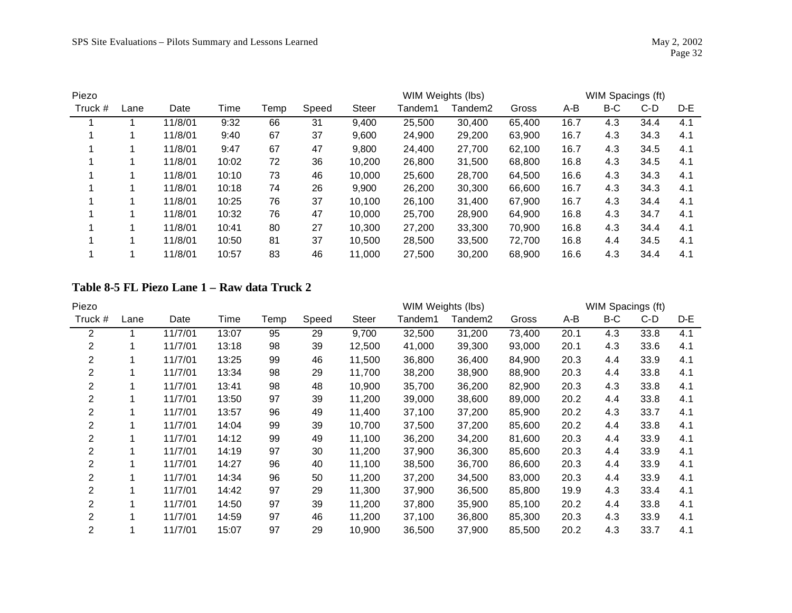| Piezo   |      |         |       |      |       |              | WIM Weights (lbs) |         | WIM Spacings (ft) |      |     |      |     |
|---------|------|---------|-------|------|-------|--------------|-------------------|---------|-------------------|------|-----|------|-----|
| Truck # | Lane | Date    | Time  | Temp | Speed | <b>Steer</b> | Tandem1           | Tandem2 | Gross             | A-B  | B-C | C-D  | D-E |
|         |      | 11/8/01 | 9:32  | 66   | 31    | 9,400        | 25,500            | 30,400  | 65,400            | 16.7 | 4.3 | 34.4 | 4.1 |
|         |      | 11/8/01 | 9:40  | 67   | 37    | 9,600        | 24,900            | 29,200  | 63,900            | 16.7 | 4.3 | 34.3 | 4.1 |
|         |      | 11/8/01 | 9:47  | 67   | 47    | 9,800        | 24,400            | 27,700  | 62,100            | 16.7 | 4.3 | 34.5 | 4.1 |
|         |      | 11/8/01 | 10:02 | 72   | 36    | 10,200       | 26,800            | 31,500  | 68,800            | 16.8 | 4.3 | 34.5 | 4.1 |
|         |      | 11/8/01 | 10:10 | 73   | 46    | 10,000       | 25,600            | 28,700  | 64.500            | 16.6 | 4.3 | 34.3 | 4.1 |
|         |      | 11/8/01 | 10:18 | 74   | 26    | 9,900        | 26,200            | 30,300  | 66,600            | 16.7 | 4.3 | 34.3 | 4.1 |
|         |      | 11/8/01 | 10:25 | 76   | 37    | 10.100       | 26,100            | 31,400  | 67.900            | 16.7 | 4.3 | 34.4 | 4.1 |
|         |      | 11/8/01 | 10:32 | 76   | 47    | 10,000       | 25,700            | 28,900  | 64,900            | 16.8 | 4.3 | 34.7 | 4.1 |
|         |      | 11/8/01 | 10:41 | 80   | 27    | 10.300       | 27,200            | 33,300  | 70.900            | 16.8 | 4.3 | 34.4 | 4.1 |
|         |      | 11/8/01 | 10:50 | 81   | 37    | 10.500       | 28,500            | 33,500  | 72,700            | 16.8 | 4.4 | 34.5 | 4.1 |
|         |      | 11/8/01 | 10:57 | 83   | 46    | 11,000       | 27,500            | 30,200  | 68,900            | 16.6 | 4.3 | 34.4 | 4.1 |

#### **Table 8-5 FL Piezo Lane 1 – Raw data Truck 2**

| Piezo          |      |         |       |      |       |              | WIM Weights (lbs) |         |        | WIM Spacings (ft) |     |      |     |
|----------------|------|---------|-------|------|-------|--------------|-------------------|---------|--------|-------------------|-----|------|-----|
| Truck $#$      | Lane | Date    | Time  | Temp | Speed | <b>Steer</b> | Tandem1           | Tandem2 | Gross  | A-B               | B-C | C-D  | D-E |
| 2              |      | 11/7/01 | 13:07 | 95   | 29    | 9,700        | 32,500            | 31,200  | 73,400 | 20.1              | 4.3 | 33.8 | 4.1 |
| 2              |      | 11/7/01 | 13:18 | 98   | 39    | 12,500       | 41,000            | 39,300  | 93,000 | 20.1              | 4.3 | 33.6 | 4.1 |
| 2              |      | 11/7/01 | 13:25 | 99   | 46    | 11,500       | 36,800            | 36,400  | 84,900 | 20.3              | 4.4 | 33.9 | 4.1 |
| $\overline{2}$ |      | 11/7/01 | 13:34 | 98   | 29    | 11,700       | 38,200            | 38,900  | 88,900 | 20.3              | 4.4 | 33.8 | 4.1 |
| 2              |      | 11/7/01 | 13:41 | 98   | 48    | 10,900       | 35,700            | 36,200  | 82,900 | 20.3              | 4.3 | 33.8 | 4.1 |
| 2              |      | 11/7/01 | 13:50 | 97   | 39    | 11,200       | 39,000            | 38,600  | 89,000 | 20.2              | 4.4 | 33.8 | 4.1 |
| 2              |      | 11/7/01 | 13:57 | 96   | 49    | 11,400       | 37,100            | 37,200  | 85,900 | 20.2              | 4.3 | 33.7 | 4.1 |
| 2              |      | 11/7/01 | 14:04 | 99   | 39    | 10,700       | 37,500            | 37,200  | 85,600 | 20.2              | 4.4 | 33.8 | 4.1 |
| 2              |      | 11/7/01 | 14:12 | 99   | 49    | 11,100       | 36,200            | 34,200  | 81,600 | 20.3              | 4.4 | 33.9 | 4.1 |
| 2              |      | 11/7/01 | 14:19 | 97   | 30    | 11,200       | 37,900            | 36,300  | 85,600 | 20.3              | 4.4 | 33.9 | 4.1 |
| $\overline{2}$ |      | 11/7/01 | 14:27 | 96   | 40    | 11,100       | 38,500            | 36,700  | 86,600 | 20.3              | 4.4 | 33.9 | 4.1 |
| $\overline{2}$ |      | 11/7/01 | 14:34 | 96   | 50    | 11,200       | 37,200            | 34,500  | 83,000 | 20.3              | 4.4 | 33.9 | 4.1 |
| 2              |      | 11/7/01 | 14:42 | 97   | 29    | 11,300       | 37,900            | 36,500  | 85,800 | 19.9              | 4.3 | 33.4 | 4.1 |
| 2              |      | 11/7/01 | 14:50 | 97   | 39    | 11,200       | 37,800            | 35,900  | 85,100 | 20.2              | 4.4 | 33.8 | 4.1 |
| 2              |      | 11/7/01 | 14:59 | 97   | 46    | 11,200       | 37,100            | 36,800  | 85,300 | 20.3              | 4.3 | 33.9 | 4.1 |
| 2              |      | 11/7/01 | 15:07 | 97   | 29    | 10,900       | 36,500            | 37,900  | 85,500 | 20.2              | 4.3 | 33.7 | 4.1 |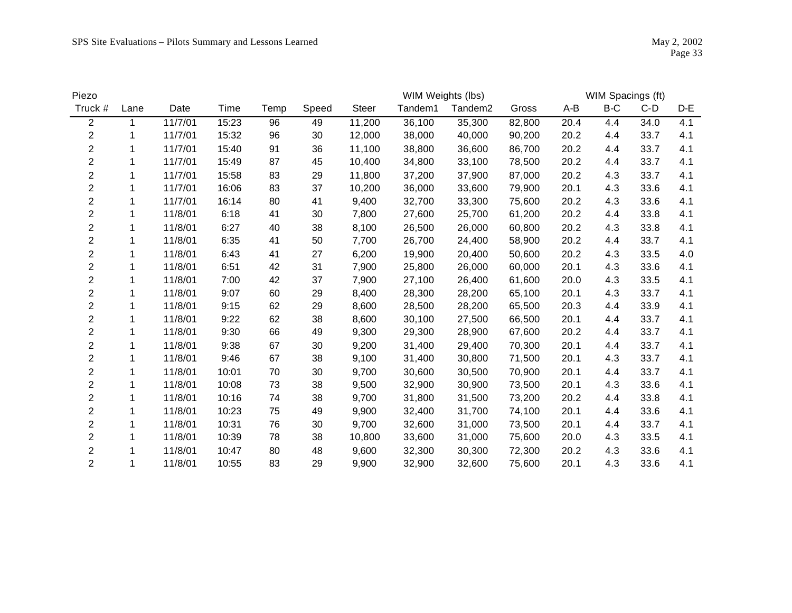| Piezo          |      |         |       |      |       |              |         | WIM Weights (lbs) |        |      | WIM Spacings (ft) |       |     |
|----------------|------|---------|-------|------|-------|--------------|---------|-------------------|--------|------|-------------------|-------|-----|
| Truck #        | Lane | Date    | Time  | Temp | Speed | <b>Steer</b> | Tandem1 | Tandem2           | Gross  | A-B  | B-C               | $C-D$ | D-E |
| $\overline{2}$ | 1    | 11/7/01 | 15:23 | 96   | 49    | 11,200       | 36,100  | 35,300            | 82,800 | 20.4 | 4.4               | 34.0  | 4.1 |
| $\overline{2}$ |      | 11/7/01 | 15:32 | 96   | 30    | 12,000       | 38,000  | 40,000            | 90,200 | 20.2 | 4.4               | 33.7  | 4.1 |
| $\overline{c}$ | 1    | 11/7/01 | 15:40 | 91   | 36    | 11,100       | 38,800  | 36,600            | 86,700 | 20.2 | 4.4               | 33.7  | 4.1 |
| $\overline{2}$ |      | 11/7/01 | 15:49 | 87   | 45    | 10,400       | 34,800  | 33,100            | 78,500 | 20.2 | 4.4               | 33.7  | 4.1 |
| $\overline{2}$ |      | 11/7/01 | 15:58 | 83   | 29    | 11,800       | 37,200  | 37,900            | 87,000 | 20.2 | 4.3               | 33.7  | 4.1 |
| $\overline{2}$ |      | 11/7/01 | 16:06 | 83   | 37    | 10,200       | 36,000  | 33,600            | 79,900 | 20.1 | 4.3               | 33.6  | 4.1 |
| $\overline{c}$ |      | 11/7/01 | 16:14 | 80   | 41    | 9,400        | 32,700  | 33,300            | 75,600 | 20.2 | 4.3               | 33.6  | 4.1 |
| $\overline{2}$ | 1    | 11/8/01 | 6:18  | 41   | 30    | 7,800        | 27,600  | 25,700            | 61,200 | 20.2 | 4.4               | 33.8  | 4.1 |
| $\overline{2}$ |      | 11/8/01 | 6:27  | 40   | 38    | 8,100        | 26,500  | 26,000            | 60,800 | 20.2 | 4.3               | 33.8  | 4.1 |
| $\overline{c}$ |      | 11/8/01 | 6:35  | 41   | 50    | 7,700        | 26,700  | 24,400            | 58,900 | 20.2 | 4.4               | 33.7  | 4.1 |
| $\overline{c}$ |      | 11/8/01 | 6:43  | 41   | 27    | 6,200        | 19,900  | 20,400            | 50,600 | 20.2 | 4.3               | 33.5  | 4.0 |
| $\overline{c}$ |      | 11/8/01 | 6:51  | 42   | 31    | 7,900        | 25,800  | 26,000            | 60,000 | 20.1 | 4.3               | 33.6  | 4.1 |
| $\overline{c}$ | 1    | 11/8/01 | 7:00  | 42   | 37    | 7,900        | 27,100  | 26,400            | 61,600 | 20.0 | 4.3               | 33.5  | 4.1 |
| $\overline{2}$ | 1    | 11/8/01 | 9:07  | 60   | 29    | 8,400        | 28,300  | 28,200            | 65,100 | 20.1 | 4.3               | 33.7  | 4.1 |
| $\overline{2}$ | 1    | 11/8/01 | 9:15  | 62   | 29    | 8,600        | 28,500  | 28,200            | 65,500 | 20.3 | 4.4               | 33.9  | 4.1 |
| $\overline{c}$ |      | 11/8/01 | 9:22  | 62   | 38    | 8,600        | 30,100  | 27,500            | 66,500 | 20.1 | 4.4               | 33.7  | 4.1 |
| $\overline{2}$ |      | 11/8/01 | 9:30  | 66   | 49    | 9,300        | 29,300  | 28,900            | 67,600 | 20.2 | 4.4               | 33.7  | 4.1 |
| $\overline{c}$ | 1    | 11/8/01 | 9:38  | 67   | 30    | 9,200        | 31,400  | 29,400            | 70,300 | 20.1 | 4.4               | 33.7  | 4.1 |
| $\overline{c}$ |      | 11/8/01 | 9:46  | 67   | 38    | 9,100        | 31,400  | 30,800            | 71,500 | 20.1 | 4.3               | 33.7  | 4.1 |
| $\overline{2}$ |      | 11/8/01 | 10:01 | 70   | 30    | 9,700        | 30,600  | 30,500            | 70,900 | 20.1 | 4.4               | 33.7  | 4.1 |
| $\overline{2}$ |      | 11/8/01 | 10:08 | 73   | 38    | 9,500        | 32,900  | 30,900            | 73,500 | 20.1 | 4.3               | 33.6  | 4.1 |
| $\overline{2}$ |      | 11/8/01 | 10:16 | 74   | 38    | 9,700        | 31,800  | 31,500            | 73,200 | 20.2 | 4.4               | 33.8  | 4.1 |
| $\overline{c}$ |      | 11/8/01 | 10:23 | 75   | 49    | 9,900        | 32,400  | 31,700            | 74,100 | 20.1 | 4.4               | 33.6  | 4.1 |
| $\overline{2}$ |      | 11/8/01 | 10:31 | 76   | 30    | 9,700        | 32,600  | 31,000            | 73,500 | 20.1 | 4.4               | 33.7  | 4.1 |
| $\overline{2}$ | 1    | 11/8/01 | 10:39 | 78   | 38    | 10,800       | 33,600  | 31,000            | 75,600 | 20.0 | 4.3               | 33.5  | 4.1 |
| 2              |      | 11/8/01 | 10:47 | 80   | 48    | 9,600        | 32,300  | 30,300            | 72,300 | 20.2 | 4.3               | 33.6  | 4.1 |
| $\overline{2}$ |      | 11/8/01 | 10:55 | 83   | 29    | 9,900        | 32,900  | 32,600            | 75,600 | 20.1 | 4.3               | 33.6  | 4.1 |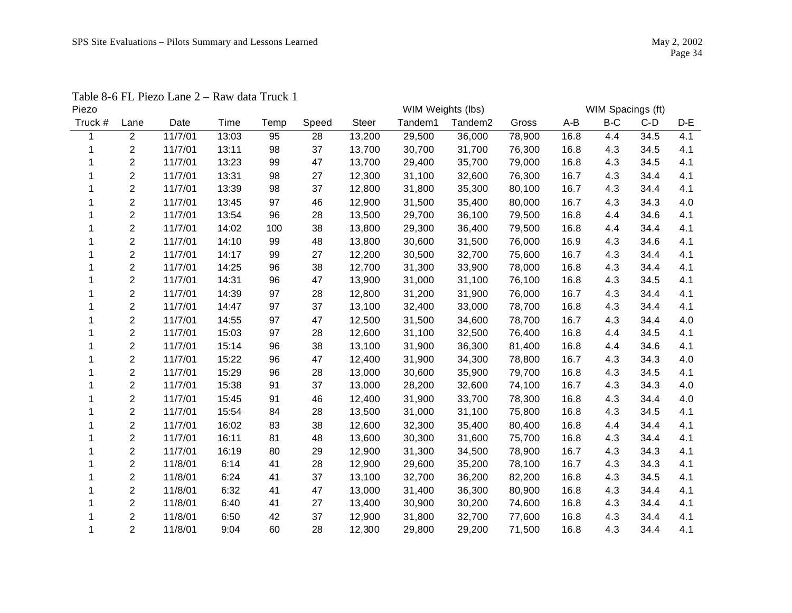| Piezo   |                         |         |       |      |       |        | WIM Weights (lbs) |         |        |      | WIM Spacings (ft) |       |     |
|---------|-------------------------|---------|-------|------|-------|--------|-------------------|---------|--------|------|-------------------|-------|-----|
| Truck # | Lane                    | Date    | Time  | Temp | Speed | Steer  | Tandem1           | Tandem2 | Gross  | A-B  | $B-C$             | $C-D$ | D-E |
|         | $\overline{2}$          | 11/7/01 | 13:03 | 95   | 28    | 13,200 | 29,500            | 36,000  | 78,900 | 16.8 | 4.4               | 34.5  | 4.1 |
|         | $\overline{c}$          | 11/7/01 | 13:11 | 98   | 37    | 13,700 | 30,700            | 31,700  | 76,300 | 16.8 | 4.3               | 34.5  | 4.1 |
|         | $\overline{2}$          | 11/7/01 | 13:23 | 99   | 47    | 13,700 | 29,400            | 35,700  | 79,000 | 16.8 | 4.3               | 34.5  | 4.1 |
|         | $\overline{c}$          | 11/7/01 | 13:31 | 98   | 27    | 12,300 | 31,100            | 32,600  | 76,300 | 16.7 | 4.3               | 34.4  | 4.1 |
|         | $\overline{2}$          | 11/7/01 | 13:39 | 98   | 37    | 12,800 | 31,800            | 35,300  | 80,100 | 16.7 | 4.3               | 34.4  | 4.1 |
|         | $\overline{c}$          | 11/7/01 | 13:45 | 97   | 46    | 12,900 | 31,500            | 35,400  | 80,000 | 16.7 | 4.3               | 34.3  | 4.0 |
|         | $\overline{2}$          | 11/7/01 | 13:54 | 96   | 28    | 13,500 | 29,700            | 36,100  | 79,500 | 16.8 | 4.4               | 34.6  | 4.1 |
|         | $\overline{2}$          | 11/7/01 | 14:02 | 100  | 38    | 13,800 | 29,300            | 36,400  | 79,500 | 16.8 | 4.4               | 34.4  | 4.1 |
|         | $\overline{c}$          | 11/7/01 | 14:10 | 99   | 48    | 13,800 | 30,600            | 31,500  | 76,000 | 16.9 | 4.3               | 34.6  | 4.1 |
|         | $\overline{2}$          | 11/7/01 | 14:17 | 99   | 27    | 12,200 | 30,500            | 32,700  | 75,600 | 16.7 | 4.3               | 34.4  | 4.1 |
|         | $\overline{\mathbf{c}}$ | 11/7/01 | 14:25 | 96   | 38    | 12,700 | 31,300            | 33,900  | 78,000 | 16.8 | 4.3               | 34.4  | 4.1 |
|         | $\overline{2}$          | 11/7/01 | 14:31 | 96   | 47    | 13,900 | 31,000            | 31,100  | 76,100 | 16.8 | 4.3               | 34.5  | 4.1 |
|         | $\overline{2}$          | 11/7/01 | 14:39 | 97   | 28    | 12,800 | 31,200            | 31,900  | 76,000 | 16.7 | 4.3               | 34.4  | 4.1 |
|         | $\overline{2}$          | 11/7/01 | 14:47 | 97   | 37    | 13,100 | 32,400            | 33,000  | 78,700 | 16.8 | 4.3               | 34.4  | 4.1 |
|         | $\overline{c}$          | 11/7/01 | 14:55 | 97   | 47    | 12,500 | 31,500            | 34,600  | 78,700 | 16.7 | 4.3               | 34.4  | 4.0 |
|         | $\overline{2}$          | 11/7/01 | 15:03 | 97   | 28    | 12,600 | 31,100            | 32,500  | 76,400 | 16.8 | 4.4               | 34.5  | 4.1 |
|         | 2                       | 11/7/01 | 15:14 | 96   | 38    | 13,100 | 31,900            | 36,300  | 81,400 | 16.8 | 4.4               | 34.6  | 4.1 |
|         | $\overline{c}$          | 11/7/01 | 15:22 | 96   | 47    | 12,400 | 31,900            | 34,300  | 78,800 | 16.7 | 4.3               | 34.3  | 4.0 |
|         | $\overline{2}$          | 11/7/01 | 15:29 | 96   | 28    | 13,000 | 30,600            | 35,900  | 79,700 | 16.8 | 4.3               | 34.5  | 4.1 |
|         | $\overline{2}$          | 11/7/01 | 15:38 | 91   | 37    | 13,000 | 28,200            | 32,600  | 74,100 | 16.7 | 4.3               | 34.3  | 4.0 |
|         | $\overline{2}$          | 11/7/01 | 15:45 | 91   | 46    | 12,400 | 31,900            | 33,700  | 78,300 | 16.8 | 4.3               | 34.4  | 4.0 |
|         | $\overline{2}$          | 11/7/01 | 15:54 | 84   | 28    | 13,500 | 31,000            | 31,100  | 75,800 | 16.8 | 4.3               | 34.5  | 4.1 |
|         | $\overline{2}$          | 11/7/01 | 16:02 | 83   | 38    | 12,600 | 32,300            | 35,400  | 80,400 | 16.8 | 4.4               | 34.4  | 4.1 |
|         | $\overline{2}$          | 11/7/01 | 16:11 | 81   | 48    | 13,600 | 30,300            | 31,600  | 75,700 | 16.8 | 4.3               | 34.4  | 4.1 |
|         | $\overline{c}$          | 11/7/01 | 16:19 | 80   | 29    | 12,900 | 31,300            | 34,500  | 78,900 | 16.7 | 4.3               | 34.3  | 4.1 |
|         | $\overline{c}$          | 11/8/01 | 6:14  | 41   | 28    | 12,900 | 29,600            | 35,200  | 78,100 | 16.7 | 4.3               | 34.3  | 4.1 |
|         | $\overline{2}$          | 11/8/01 | 6:24  | 41   | 37    | 13,100 | 32,700            | 36,200  | 82,200 | 16.8 | 4.3               | 34.5  | 4.1 |
|         | $\overline{c}$          | 11/8/01 | 6:32  | 41   | 47    | 13,000 | 31,400            | 36,300  | 80,900 | 16.8 | 4.3               | 34.4  | 4.1 |
|         | $\overline{2}$          | 11/8/01 | 6:40  | 41   | 27    | 13,400 | 30,900            | 30,200  | 74,600 | 16.8 | 4.3               | 34.4  | 4.1 |
|         | 2                       | 11/8/01 | 6:50  | 42   | 37    | 12,900 | 31,800            | 32,700  | 77,600 | 16.8 | 4.3               | 34.4  | 4.1 |
| 1       | $\overline{2}$          | 11/8/01 | 9:04  | 60   | 28    | 12,300 | 29,800            | 29,200  | 71,500 | 16.8 | 4.3               | 34.4  | 4.1 |
|         |                         |         |       |      |       |        |                   |         |        |      |                   |       |     |

Table 8-6 FL Piezo Lane 2 – Raw data Truck 1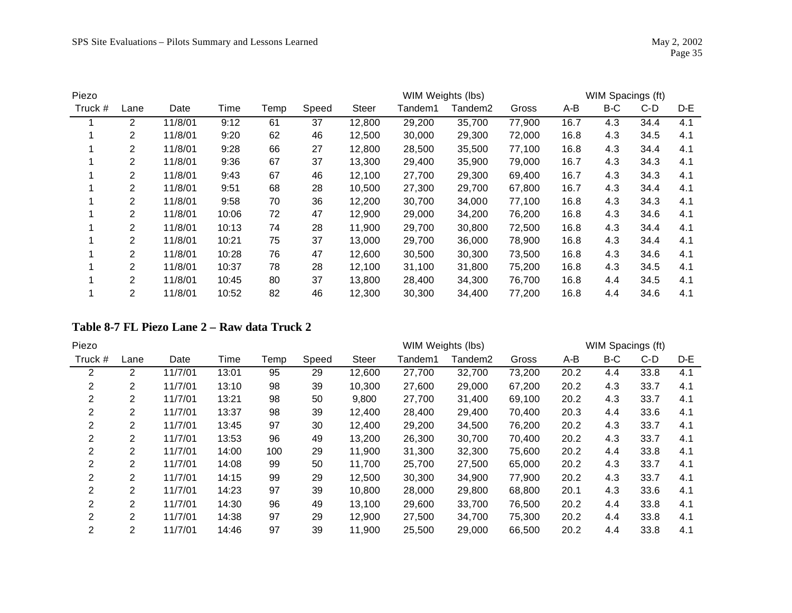| Piezo   |                |         |       |      |       |              | WIM Weights (lbs) |         |        |      | WIM Spacings (ft) |       |     |
|---------|----------------|---------|-------|------|-------|--------------|-------------------|---------|--------|------|-------------------|-------|-----|
| Truck # | Lane           | Date    | Time  | Temp | Speed | <b>Steer</b> | Tandem1           | Tandem2 | Gross  | A-B  | B-C               | $C-D$ | D-E |
|         | 2              | 11/8/01 | 9:12  | 61   | 37    | 12,800       | 29,200            | 35,700  | 77,900 | 16.7 | 4.3               | 34.4  | 4.1 |
|         | 2              | 11/8/01 | 9:20  | 62   | 46    | 12,500       | 30,000            | 29,300  | 72,000 | 16.8 | 4.3               | 34.5  | 4.1 |
|         | $\overline{2}$ | 11/8/01 | 9:28  | 66   | 27    | 12,800       | 28,500            | 35,500  | 77,100 | 16.8 | 4.3               | 34.4  | 4.1 |
|         | 2              | 11/8/01 | 9:36  | 67   | 37    | 13,300       | 29,400            | 35,900  | 79,000 | 16.7 | 4.3               | 34.3  | 4.1 |
|         | 2              | 11/8/01 | 9:43  | 67   | 46    | 12,100       | 27,700            | 29,300  | 69,400 | 16.7 | 4.3               | 34.3  | 4.1 |
|         | 2              | 11/8/01 | 9:51  | 68   | 28    | 10,500       | 27,300            | 29,700  | 67,800 | 16.7 | 4.3               | 34.4  | 4.1 |
|         | 2              | 11/8/01 | 9:58  | 70   | 36    | 12,200       | 30,700            | 34,000  | 77,100 | 16.8 | 4.3               | 34.3  | 4.1 |
|         | $\overline{2}$ | 11/8/01 | 10:06 | 72   | 47    | 12,900       | 29,000            | 34,200  | 76,200 | 16.8 | 4.3               | 34.6  | 4.1 |
|         | 2              | 11/8/01 | 10:13 | 74   | 28    | 11,900       | 29,700            | 30,800  | 72,500 | 16.8 | 4.3               | 34.4  | 4.1 |
|         | 2              | 11/8/01 | 10:21 | 75   | 37    | 13,000       | 29,700            | 36,000  | 78,900 | 16.8 | 4.3               | 34.4  | 4.1 |
|         | $\mathbf{2}$   | 11/8/01 | 10:28 | 76   | 47    | 12,600       | 30,500            | 30,300  | 73,500 | 16.8 | 4.3               | 34.6  | 4.1 |
|         | $\overline{2}$ | 11/8/01 | 10:37 | 78   | 28    | 12,100       | 31,100            | 31,800  | 75,200 | 16.8 | 4.3               | 34.5  | 4.1 |
|         | 2              | 11/8/01 | 10:45 | 80   | 37    | 13,800       | 28,400            | 34,300  | 76,700 | 16.8 | 4.4               | 34.5  | 4.1 |
|         | 2              | 11/8/01 | 10:52 | 82   | 46    | 12,300       | 30,300            | 34,400  | 77,200 | 16.8 | 4.4               | 34.6  | 4.1 |

# **Table 8-7 FL Piezo Lane 2 – Raw data Truck 2**

| Piezo          |                |         |       |      |       |              | WIM Weights (lbs) |         |        |      | WIM Spacings (ft) |      |     |
|----------------|----------------|---------|-------|------|-------|--------------|-------------------|---------|--------|------|-------------------|------|-----|
| Truck #        | Lane           | Date    | Time  | Temp | Speed | <b>Steer</b> | Tandem1           | Tandem2 | Gross  | A-B  | B-C               | C-D  | D-E |
| 2              | 2              | 11/7/01 | 13:01 | 95   | 29    | 12,600       | 27,700            | 32,700  | 73,200 | 20.2 | 4.4               | 33.8 | 4.1 |
| 2              | 2              | 11/7/01 | 13:10 | 98   | 39    | 10,300       | 27,600            | 29,000  | 67,200 | 20.2 | 4.3               | 33.7 | 4.1 |
| 2              | 2              | 11/7/01 | 13:21 | 98   | 50    | 9,800        | 27,700            | 31,400  | 69,100 | 20.2 | 4.3               | 33.7 | 4.1 |
| 2              | 2              | 11/7/01 | 13:37 | 98   | 39    | 12.400       | 28,400            | 29,400  | 70,400 | 20.3 | 4.4               | 33.6 | 4.1 |
| 2              | 2              | 11/7/01 | 13:45 | 97   | 30    | 12,400       | 29,200            | 34,500  | 76,200 | 20.2 | 4.3               | 33.7 | 4.1 |
| 2              | 2              | 11/7/01 | 13:53 | 96   | 49    | 13,200       | 26,300            | 30,700  | 70,400 | 20.2 | 4.3               | 33.7 | 4.1 |
| 2              | 2              | 11/7/01 | 14:00 | 100  | 29    | 11,900       | 31,300            | 32,300  | 75,600 | 20.2 | 4.4               | 33.8 | 4.1 |
| 2              | 2              | 11/7/01 | 14:08 | 99   | 50    | 11,700       | 25,700            | 27,500  | 65,000 | 20.2 | 4.3               | 33.7 | 4.1 |
| 2              | 2              | 11/7/01 | 14:15 | 99   | 29    | 12,500       | 30,300            | 34,900  | 77.900 | 20.2 | 4.3               | 33.7 | 4.1 |
| 2              | $\overline{2}$ | 11/7/01 | 14:23 | 97   | 39    | 10,800       | 28,000            | 29,800  | 68,800 | 20.1 | 4.3               | 33.6 | 4.1 |
| 2              | 2              | 11/7/01 | 14:30 | 96   | 49    | 13,100       | 29,600            | 33,700  | 76.500 | 20.2 | 4.4               | 33.8 | 4.1 |
| 2              | 2              | 11/7/01 | 14:38 | 97   | 29    | 12,900       | 27,500            | 34,700  | 75,300 | 20.2 | 4.4               | 33.8 | 4.1 |
| $\overline{2}$ | 2              | 11/7/01 | 14:46 | 97   | 39    | 11,900       | 25,500            | 29,000  | 66,500 | 20.2 | 4.4               | 33.8 | 4.1 |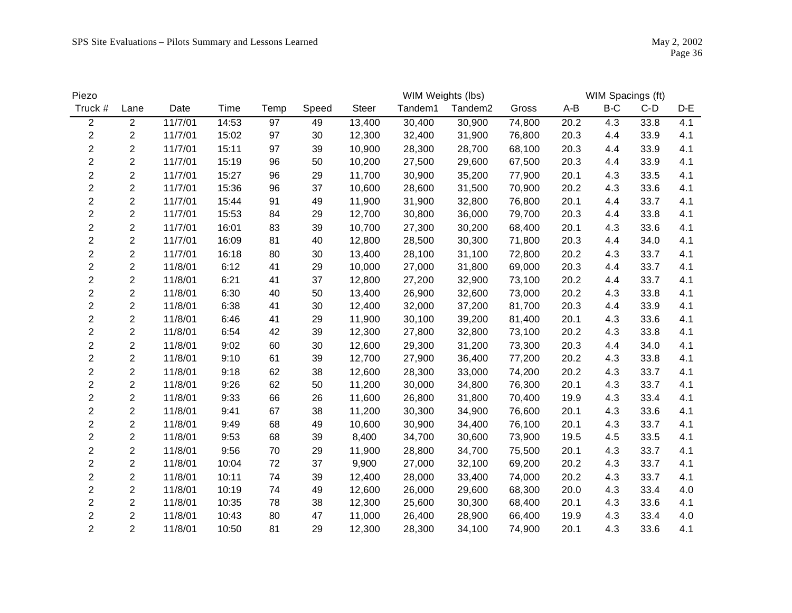| Piezo                   |                |         |       |      |       |              | WIM Weights (lbs) |                     |        |       | WIM Spacings (ft) |       |     |
|-------------------------|----------------|---------|-------|------|-------|--------------|-------------------|---------------------|--------|-------|-------------------|-------|-----|
| Truck #                 | Lane           | Date    | Time  | Temp | Speed | <b>Steer</b> | Tandem1           | Tandem <sub>2</sub> | Gross  | $A-B$ | $B-C$             | $C-D$ | D-E |
| $\overline{2}$          | $\overline{2}$ | 11/7/01 | 14:53 | 97   | 49    | 13,400       | 30,400            | 30,900              | 74,800 | 20.2  | 4.3               | 33.8  | 4.1 |
| $\overline{c}$          | $\overline{2}$ | 11/7/01 | 15:02 | 97   | 30    | 12,300       | 32,400            | 31,900              | 76,800 | 20.3  | 4.4               | 33.9  | 4.1 |
| $\boldsymbol{2}$        | $\overline{c}$ | 11/7/01 | 15:11 | 97   | 39    | 10,900       | 28,300            | 28,700              | 68,100 | 20.3  | 4.4               | 33.9  | 4.1 |
| $\overline{c}$          | $\overline{2}$ | 11/7/01 | 15:19 | 96   | 50    | 10,200       | 27,500            | 29,600              | 67,500 | 20.3  | 4.4               | 33.9  | 4.1 |
| $\overline{c}$          | $\overline{c}$ | 11/7/01 | 15:27 | 96   | 29    | 11,700       | 30,900            | 35,200              | 77,900 | 20.1  | 4.3               | 33.5  | 4.1 |
| $\overline{\mathbf{c}}$ | $\overline{c}$ | 11/7/01 | 15:36 | 96   | 37    | 10,600       | 28,600            | 31,500              | 70,900 | 20.2  | 4.3               | 33.6  | 4.1 |
| $\overline{c}$          | $\overline{2}$ | 11/7/01 | 15:44 | 91   | 49    | 11,900       | 31,900            | 32,800              | 76,800 | 20.1  | 4.4               | 33.7  | 4.1 |
| $\overline{c}$          | $\overline{2}$ | 11/7/01 | 15:53 | 84   | 29    | 12,700       | 30,800            | 36,000              | 79,700 | 20.3  | 4.4               | 33.8  | 4.1 |
| $\overline{c}$          | $\overline{c}$ | 11/7/01 | 16:01 | 83   | 39    | 10,700       | 27,300            | 30,200              | 68,400 | 20.1  | 4.3               | 33.6  | 4.1 |
| $\overline{c}$          | $\overline{2}$ | 11/7/01 | 16:09 | 81   | 40    | 12,800       | 28,500            | 30,300              | 71,800 | 20.3  | 4.4               | 34.0  | 4.1 |
| $\overline{\mathbf{c}}$ | $\overline{c}$ | 11/7/01 | 16:18 | 80   | 30    | 13,400       | 28,100            | 31,100              | 72,800 | 20.2  | 4.3               | 33.7  | 4.1 |
| $\overline{\mathbf{c}}$ | $\overline{c}$ | 11/8/01 | 6:12  | 41   | 29    | 10,000       | 27,000            | 31,800              | 69,000 | 20.3  | 4.4               | 33.7  | 4.1 |
| $\overline{c}$          | $\overline{c}$ | 11/8/01 | 6:21  | 41   | 37    | 12,800       | 27,200            | 32,900              | 73,100 | 20.2  | 4.4               | 33.7  | 4.1 |
| $\overline{2}$          | $\overline{c}$ | 11/8/01 | 6:30  | 40   | 50    | 13,400       | 26,900            | 32,600              | 73,000 | 20.2  | 4.3               | 33.8  | 4.1 |
| $\overline{c}$          | $\overline{c}$ | 11/8/01 | 6:38  | 41   | 30    | 12,400       | 32,000            | 37,200              | 81,700 | 20.3  | 4.4               | 33.9  | 4.1 |
| $\overline{\mathbf{c}}$ | $\overline{c}$ | 11/8/01 | 6:46  | 41   | 29    | 11,900       | 30,100            | 39,200              | 81,400 | 20.1  | 4.3               | 33.6  | 4.1 |
| $\overline{\mathbf{c}}$ | $\overline{c}$ | 11/8/01 | 6:54  | 42   | 39    | 12,300       | 27,800            | 32,800              | 73,100 | 20.2  | 4.3               | 33.8  | 4.1 |
| $\overline{c}$          | $\overline{2}$ | 11/8/01 | 9:02  | 60   | 30    | 12,600       | 29,300            | 31,200              | 73,300 | 20.3  | 4.4               | 34.0  | 4.1 |
| $\overline{2}$          | $\overline{2}$ | 11/8/01 | 9:10  | 61   | 39    | 12,700       | 27,900            | 36,400              | 77,200 | 20.2  | 4.3               | 33.8  | 4.1 |
| $\overline{c}$          | $\overline{2}$ | 11/8/01 | 9:18  | 62   | 38    | 12,600       | 28,300            | 33,000              | 74,200 | 20.2  | 4.3               | 33.7  | 4.1 |
| $\overline{c}$          | $\overline{2}$ | 11/8/01 | 9:26  | 62   | 50    | 11,200       | 30,000            | 34,800              | 76,300 | 20.1  | 4.3               | 33.7  | 4.1 |
| $\boldsymbol{2}$        | $\overline{c}$ | 11/8/01 | 9:33  | 66   | 26    | 11,600       | 26,800            | 31,800              | 70,400 | 19.9  | 4.3               | 33.4  | 4.1 |
| $\overline{c}$          | $\overline{2}$ | 11/8/01 | 9:41  | 67   | 38    | 11,200       | 30,300            | 34,900              | 76,600 | 20.1  | 4.3               | 33.6  | 4.1 |
| $\overline{2}$          | $\overline{2}$ | 11/8/01 | 9:49  | 68   | 49    | 10,600       | 30,900            | 34,400              | 76,100 | 20.1  | 4.3               | 33.7  | 4.1 |
| $\overline{2}$          | $\overline{2}$ | 11/8/01 | 9:53  | 68   | 39    | 8,400        | 34,700            | 30,600              | 73,900 | 19.5  | 4.5               | 33.5  | 4.1 |
| $\overline{\mathbf{c}}$ | $\overline{c}$ | 11/8/01 | 9:56  | 70   | 29    | 11,900       | 28,800            | 34,700              | 75,500 | 20.1  | 4.3               | 33.7  | 4.1 |
| $\overline{c}$          | $\overline{2}$ | 11/8/01 | 10:04 | 72   | 37    | 9,900        | 27,000            | 32,100              | 69,200 | 20.2  | 4.3               | 33.7  | 4.1 |
| $\overline{c}$          | $\overline{c}$ | 11/8/01 | 10:11 | 74   | 39    | 12,400       | 28,000            | 33,400              | 74,000 | 20.2  | 4.3               | 33.7  | 4.1 |
| $\overline{c}$          | $\overline{c}$ | 11/8/01 | 10:19 | 74   | 49    | 12,600       | 26,000            | 29,600              | 68,300 | 20.0  | 4.3               | 33.4  | 4.0 |
| $\overline{c}$          | $\overline{2}$ | 11/8/01 | 10:35 | 78   | 38    | 12,300       | 25,600            | 30,300              | 68,400 | 20.1  | 4.3               | 33.6  | 4.1 |
| $\overline{c}$          | $\overline{2}$ | 11/8/01 | 10:43 | 80   | 47    | 11,000       | 26,400            | 28,900              | 66,400 | 19.9  | 4.3               | 33.4  | 4.0 |
| $\overline{2}$          | $\overline{2}$ | 11/8/01 | 10:50 | 81   | 29    | 12,300       | 28,300            | 34,100              | 74,900 | 20.1  | 4.3               | 33.6  | 4.1 |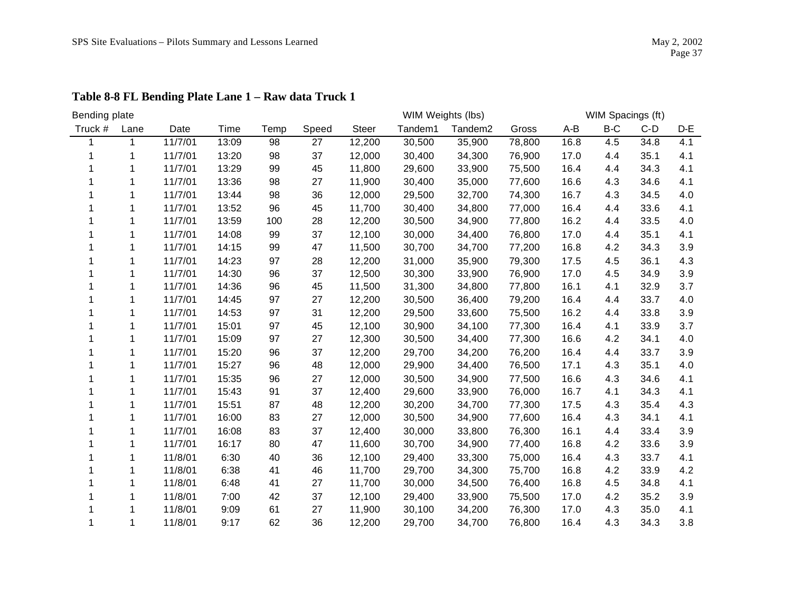| Bending plate |      |         |       |      |       |        | WIM Weights (lbs) |                     |        |       | WIM Spacings (ft) |       |     |
|---------------|------|---------|-------|------|-------|--------|-------------------|---------------------|--------|-------|-------------------|-------|-----|
| Truck #       | Lane | Date    | Time  | Temp | Speed | Steer  | Tandem1           | Tandem <sub>2</sub> | Gross  | $A-B$ | $B-C$             | $C-D$ | D-E |
|               | 1    | 11/7/01 | 13:09 | 98   | 27    | 12,200 | 30,500            | 35,900              | 78,800 | 16.8  | 4.5               | 34.8  | 4.1 |
|               |      | 11/7/01 | 13:20 | 98   | 37    | 12,000 | 30,400            | 34,300              | 76,900 | 17.0  | 4.4               | 35.1  | 4.1 |
|               |      | 11/7/01 | 13:29 | 99   | 45    | 11,800 | 29,600            | 33,900              | 75,500 | 16.4  | 4.4               | 34.3  | 4.1 |
|               |      | 11/7/01 | 13:36 | 98   | 27    | 11,900 | 30,400            | 35,000              | 77,600 | 16.6  | 4.3               | 34.6  | 4.1 |
|               |      | 11/7/01 | 13:44 | 98   | 36    | 12,000 | 29,500            | 32,700              | 74,300 | 16.7  | 4.3               | 34.5  | 4.0 |
|               |      | 11/7/01 | 13:52 | 96   | 45    | 11,700 | 30,400            | 34,800              | 77,000 | 16.4  | 4.4               | 33.6  | 4.1 |
|               |      | 11/7/01 | 13:59 | 100  | 28    | 12,200 | 30,500            | 34,900              | 77,800 | 16.2  | 4.4               | 33.5  | 4.0 |
|               |      | 11/7/01 | 14:08 | 99   | 37    | 12,100 | 30,000            | 34,400              | 76,800 | 17.0  | 4.4               | 35.1  | 4.1 |
|               |      | 11/7/01 | 14:15 | 99   | 47    | 11,500 | 30,700            | 34,700              | 77,200 | 16.8  | 4.2               | 34.3  | 3.9 |
|               |      | 11/7/01 | 14:23 | 97   | 28    | 12,200 | 31,000            | 35,900              | 79,300 | 17.5  | 4.5               | 36.1  | 4.3 |
|               |      | 11/7/01 | 14:30 | 96   | 37    | 12,500 | 30,300            | 33,900              | 76,900 | 17.0  | 4.5               | 34.9  | 3.9 |
|               |      | 11/7/01 | 14:36 | 96   | 45    | 11,500 | 31,300            | 34,800              | 77,800 | 16.1  | 4.1               | 32.9  | 3.7 |
|               |      | 11/7/01 | 14:45 | 97   | 27    | 12,200 | 30,500            | 36,400              | 79,200 | 16.4  | 4.4               | 33.7  | 4.0 |
|               |      | 11/7/01 | 14:53 | 97   | 31    | 12,200 | 29,500            | 33,600              | 75,500 | 16.2  | 4.4               | 33.8  | 3.9 |
|               |      | 11/7/01 | 15:01 | 97   | 45    | 12,100 | 30,900            | 34,100              | 77,300 | 16.4  | 4.1               | 33.9  | 3.7 |
|               |      | 11/7/01 | 15:09 | 97   | 27    | 12,300 | 30,500            | 34,400              | 77,300 | 16.6  | 4.2               | 34.1  | 4.0 |
|               |      | 11/7/01 | 15:20 | 96   | 37    | 12,200 | 29,700            | 34,200              | 76,200 | 16.4  | 4.4               | 33.7  | 3.9 |
|               |      | 11/7/01 | 15:27 | 96   | 48    | 12,000 | 29,900            | 34,400              | 76,500 | 17.1  | 4.3               | 35.1  | 4.0 |
|               |      | 11/7/01 | 15:35 | 96   | 27    | 12,000 | 30,500            | 34,900              | 77,500 | 16.6  | 4.3               | 34.6  | 4.1 |
|               |      | 11/7/01 | 15:43 | 91   | 37    | 12,400 | 29,600            | 33,900              | 76,000 | 16.7  | 4.1               | 34.3  | 4.1 |
|               |      | 11/7/01 | 15:51 | 87   | 48    | 12,200 | 30,200            | 34,700              | 77,300 | 17.5  | 4.3               | 35.4  | 4.3 |
|               |      | 11/7/01 | 16:00 | 83   | 27    | 12,000 | 30,500            | 34,900              | 77,600 | 16.4  | 4.3               | 34.1  | 4.1 |
|               |      | 11/7/01 | 16:08 | 83   | 37    | 12,400 | 30,000            | 33,800              | 76,300 | 16.1  | 4.4               | 33.4  | 3.9 |
|               |      | 11/7/01 | 16:17 | 80   | 47    | 11,600 | 30,700            | 34,900              | 77,400 | 16.8  | 4.2               | 33.6  | 3.9 |
|               |      | 11/8/01 | 6:30  | 40   | 36    | 12,100 | 29,400            | 33,300              | 75,000 | 16.4  | 4.3               | 33.7  | 4.1 |
|               |      | 11/8/01 | 6:38  | 41   | 46    | 11,700 | 29,700            | 34,300              | 75,700 | 16.8  | 4.2               | 33.9  | 4.2 |
|               |      | 11/8/01 | 6:48  | 41   | 27    | 11,700 | 30,000            | 34,500              | 76,400 | 16.8  | 4.5               | 34.8  | 4.1 |
|               |      | 11/8/01 | 7:00  | 42   | 37    | 12,100 | 29,400            | 33,900              | 75,500 | 17.0  | 4.2               | 35.2  | 3.9 |
|               |      | 11/8/01 | 9:09  | 61   | 27    | 11,900 | 30,100            | 34,200              | 76,300 | 17.0  | 4.3               | 35.0  | 4.1 |
|               | 1    | 11/8/01 | 9:17  | 62   | 36    | 12,200 | 29,700            | 34,700              | 76,800 | 16.4  | 4.3               | 34.3  | 3.8 |

**Table 8-8 FL Bending Plate Lane 1 – Raw data Truck 1**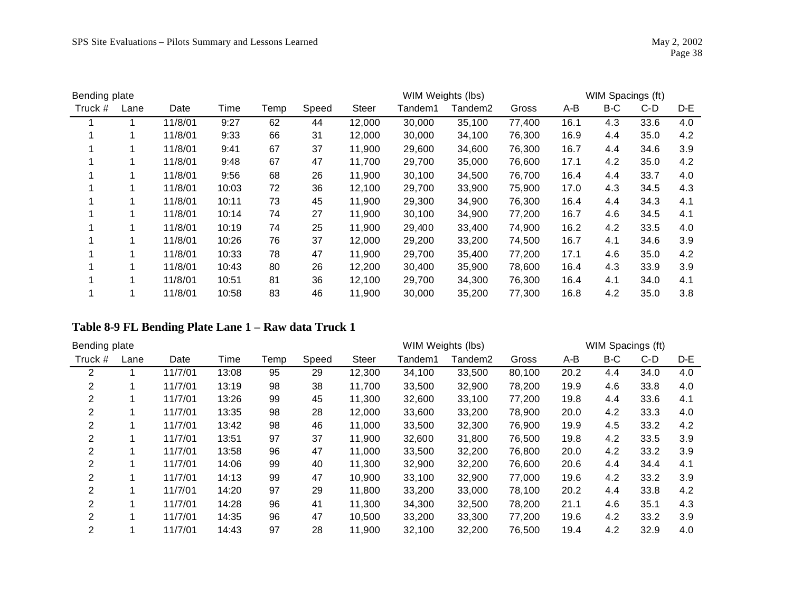| Bending plate |      |         |       |      |       |              | WIM Weights (lbs) |         |        |      | WIM Spacings (ft) |      |     |
|---------------|------|---------|-------|------|-------|--------------|-------------------|---------|--------|------|-------------------|------|-----|
| Truck #       | Lane | Date    | Time  | Temp | Speed | <b>Steer</b> | Tandem1           | Tandem2 | Gross  | A-B  | B-C               | C-D  | D-E |
|               |      | 11/8/01 | 9:27  | 62   | 44    | 12,000       | 30,000            | 35,100  | 77,400 | 16.1 | 4.3               | 33.6 | 4.0 |
|               |      | 11/8/01 | 9:33  | 66   | 31    | 12,000       | 30,000            | 34,100  | 76,300 | 16.9 | 4.4               | 35.0 | 4.2 |
|               |      | 11/8/01 | 9:41  | 67   | 37    | 11,900       | 29,600            | 34,600  | 76,300 | 16.7 | 4.4               | 34.6 | 3.9 |
|               |      | 11/8/01 | 9:48  | 67   | 47    | 11,700       | 29,700            | 35,000  | 76,600 | 17.1 | 4.2               | 35.0 | 4.2 |
|               |      | 11/8/01 | 9:56  | 68   | 26    | 11,900       | 30,100            | 34,500  | 76,700 | 16.4 | 4.4               | 33.7 | 4.0 |
|               |      | 11/8/01 | 10:03 | 72   | 36    | 12,100       | 29,700            | 33,900  | 75,900 | 17.0 | 4.3               | 34.5 | 4.3 |
|               |      | 11/8/01 | 10:11 | 73   | 45    | 11,900       | 29,300            | 34,900  | 76,300 | 16.4 | 4.4               | 34.3 | 4.1 |
|               |      | 11/8/01 | 10:14 | 74   | 27    | 11,900       | 30,100            | 34,900  | 77,200 | 16.7 | 4.6               | 34.5 | 4.1 |
|               |      | 11/8/01 | 10:19 | 74   | 25    | 11,900       | 29,400            | 33,400  | 74,900 | 16.2 | 4.2               | 33.5 | 4.0 |
|               |      | 11/8/01 | 10:26 | 76   | 37    | 12,000       | 29,200            | 33,200  | 74,500 | 16.7 | 4.1               | 34.6 | 3.9 |
|               |      | 11/8/01 | 10:33 | 78   | 47    | 11,900       | 29.700            | 35.400  | 77,200 | 17.1 | 4.6               | 35.0 | 4.2 |
|               |      | 11/8/01 | 10:43 | 80   | 26    | 12,200       | 30,400            | 35,900  | 78,600 | 16.4 | 4.3               | 33.9 | 3.9 |
|               |      | 11/8/01 | 10:51 | 81   | 36    | 12,100       | 29,700            | 34,300  | 76,300 | 16.4 | 4.1               | 34.0 | 4.1 |
|               |      | 11/8/01 | 10:58 | 83   | 46    | 11,900       | 30,000            | 35,200  | 77,300 | 16.8 | 4.2               | 35.0 | 3.8 |

#### **Table 8-9 FL Bending Plate Lane 1 – Raw data Truck 1**

| Bending plate  |      |         |       |      |       |              | WIM Weights (lbs) |         |        |      | WIM Spacings (ft) |      |     |
|----------------|------|---------|-------|------|-------|--------------|-------------------|---------|--------|------|-------------------|------|-----|
| Truck #        | Lane | Date    | Time  | Temp | Speed | <b>Steer</b> | Tandem1           | Tandem2 | Gross  | A-B  | B-C               | C-D  | D-E |
| 2              |      | 11/7/01 | 13:08 | 95   | 29    | 12,300       | 34,100            | 33,500  | 80,100 | 20.2 | 4.4               | 34.0 | 4.0 |
| 2              |      | 11/7/01 | 13:19 | 98   | 38    | 11,700       | 33,500            | 32,900  | 78,200 | 19.9 | 4.6               | 33.8 | 4.0 |
| 2              |      | 11/7/01 | 13:26 | 99   | 45    | 11,300       | 32,600            | 33,100  | 77,200 | 19.8 | 4.4               | 33.6 | 4.1 |
| 2              |      | 11/7/01 | 13:35 | 98   | 28    | 12,000       | 33,600            | 33,200  | 78,900 | 20.0 | 4.2               | 33.3 | 4.0 |
| 2              |      | 11/7/01 | 13:42 | 98   | 46    | 11,000       | 33,500            | 32,300  | 76,900 | 19.9 | 4.5               | 33.2 | 4.2 |
| 2              |      | 11/7/01 | 13:51 | 97   | 37    | 11,900       | 32,600            | 31,800  | 76,500 | 19.8 | 4.2               | 33.5 | 3.9 |
| 2              |      | 11/7/01 | 13:58 | 96   | 47    | 11,000       | 33,500            | 32,200  | 76,800 | 20.0 | 4.2               | 33.2 | 3.9 |
| 2              |      | 11/7/01 | 14:06 | 99   | 40    | 11,300       | 32,900            | 32,200  | 76,600 | 20.6 | 4.4               | 34.4 | 4.1 |
| 2              |      | 11/7/01 | 14:13 | 99   | 47    | 10,900       | 33,100            | 32,900  | 77,000 | 19.6 | 4.2               | 33.2 | 3.9 |
| 2              |      | 11/7/01 | 14:20 | 97   | 29    | 11,800       | 33,200            | 33,000  | 78,100 | 20.2 | 4.4               | 33.8 | 4.2 |
| $\overline{2}$ |      | 11/7/01 | 14:28 | 96   | 41    | 11,300       | 34,300            | 32,500  | 78,200 | 21.1 | 4.6               | 35.1 | 4.3 |
| 2              |      | 11/7/01 | 14:35 | 96   | 47    | 10,500       | 33,200            | 33,300  | 77,200 | 19.6 | 4.2               | 33.2 | 3.9 |
| 2              |      | 11/7/01 | 14:43 | 97   | 28    | 11,900       | 32,100            | 32,200  | 76,500 | 19.4 | 4.2               | 32.9 | 4.0 |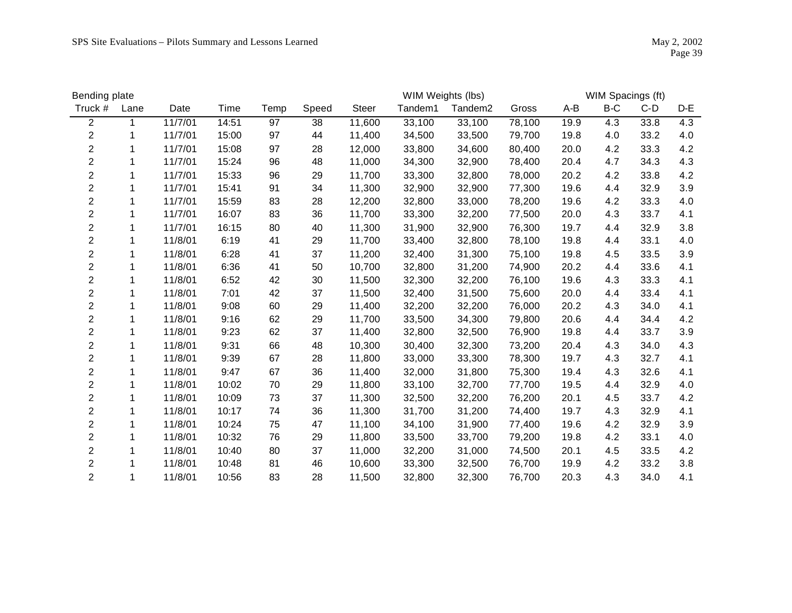| Bending plate           |      |         |       |      |       |              | WIM Weights (lbs) |                     |        |      | WIM Spacings (ft) |      |     |
|-------------------------|------|---------|-------|------|-------|--------------|-------------------|---------------------|--------|------|-------------------|------|-----|
| Truck #                 | Lane | Date    | Time  | Temp | Speed | <b>Steer</b> | Tandem1           | Tandem <sub>2</sub> | Gross  | A-B  | B-C               | C-D  | D-E |
| $\overline{2}$          | 1    | 11/7/01 | 14:51 | 97   | 38    | 11,600       | 33,100            | 33,100              | 78,100 | 19.9 | 4.3               | 33.8 | 4.3 |
| $\overline{c}$          | 1    | 11/7/01 | 15:00 | 97   | 44    | 11,400       | 34,500            | 33,500              | 79,700 | 19.8 | 4.0               | 33.2 | 4.0 |
| $\overline{c}$          | 1    | 11/7/01 | 15:08 | 97   | 28    | 12,000       | 33,800            | 34,600              | 80,400 | 20.0 | 4.2               | 33.3 | 4.2 |
| $\overline{c}$          | 1    | 11/7/01 | 15:24 | 96   | 48    | 11,000       | 34,300            | 32,900              | 78,400 | 20.4 | 4.7               | 34.3 | 4.3 |
| $\overline{c}$          | 1    | 11/7/01 | 15:33 | 96   | 29    | 11,700       | 33,300            | 32,800              | 78,000 | 20.2 | 4.2               | 33.8 | 4.2 |
| $\overline{c}$          | 1    | 11/7/01 | 15:41 | 91   | 34    | 11,300       | 32,900            | 32,900              | 77,300 | 19.6 | 4.4               | 32.9 | 3.9 |
| $\overline{c}$          |      | 11/7/01 | 15:59 | 83   | 28    | 12,200       | 32,800            | 33,000              | 78,200 | 19.6 | 4.2               | 33.3 | 4.0 |
| $\overline{c}$          | 1    | 11/7/01 | 16:07 | 83   | 36    | 11,700       | 33,300            | 32,200              | 77,500 | 20.0 | 4.3               | 33.7 | 4.1 |
| $\overline{c}$          | 1    | 11/7/01 | 16:15 | 80   | 40    | 11,300       | 31,900            | 32,900              | 76,300 | 19.7 | 4.4               | 32.9 | 3.8 |
| $\overline{c}$          | 1    | 11/8/01 | 6:19  | 41   | 29    | 11,700       | 33,400            | 32,800              | 78,100 | 19.8 | 4.4               | 33.1 | 4.0 |
| $\overline{c}$          |      | 11/8/01 | 6:28  | 41   | 37    | 11,200       | 32,400            | 31,300              | 75,100 | 19.8 | 4.5               | 33.5 | 3.9 |
| $\overline{c}$          |      | 11/8/01 | 6:36  | 41   | 50    | 10,700       | 32,800            | 31,200              | 74,900 | 20.2 | 4.4               | 33.6 | 4.1 |
| $\overline{c}$          | 1    | 11/8/01 | 6:52  | 42   | 30    | 11,500       | 32,300            | 32,200              | 76,100 | 19.6 | 4.3               | 33.3 | 4.1 |
| $\overline{c}$          | 1    | 11/8/01 | 7:01  | 42   | 37    | 11,500       | 32,400            | 31,500              | 75,600 | 20.0 | 4.4               | 33.4 | 4.1 |
| $\overline{c}$          | 1    | 11/8/01 | 9:08  | 60   | 29    | 11,400       | 32,200            | 32,200              | 76,000 | 20.2 | 4.3               | 34.0 | 4.1 |
| $\overline{\mathbf{c}}$ | 1    | 11/8/01 | 9:16  | 62   | 29    | 11,700       | 33,500            | 34,300              | 79,800 | 20.6 | 4.4               | 34.4 | 4.2 |
| $\overline{c}$          | 1    | 11/8/01 | 9:23  | 62   | 37    | 11,400       | 32,800            | 32,500              | 76,900 | 19.8 | 4.4               | 33.7 | 3.9 |
| $\overline{c}$          | 1    | 11/8/01 | 9:31  | 66   | 48    | 10,300       | 30,400            | 32,300              | 73,200 | 20.4 | 4.3               | 34.0 | 4.3 |
| $\overline{2}$          | 1    | 11/8/01 | 9:39  | 67   | 28    | 11,800       | 33,000            | 33,300              | 78,300 | 19.7 | 4.3               | 32.7 | 4.1 |
| $\overline{\mathbf{c}}$ | 1    | 11/8/01 | 9:47  | 67   | 36    | 11,400       | 32,000            | 31,800              | 75,300 | 19.4 | 4.3               | 32.6 | 4.1 |
| $\overline{c}$          | 1    | 11/8/01 | 10:02 | 70   | 29    | 11,800       | 33,100            | 32,700              | 77,700 | 19.5 | 4.4               | 32.9 | 4.0 |
| $\overline{c}$          | 1    | 11/8/01 | 10:09 | 73   | 37    | 11,300       | 32,500            | 32,200              | 76,200 | 20.1 | 4.5               | 33.7 | 4.2 |
| $\overline{2}$          | 1    | 11/8/01 | 10:17 | 74   | 36    | 11,300       | 31,700            | 31,200              | 74,400 | 19.7 | 4.3               | 32.9 | 4.1 |
| $\overline{\mathbf{c}}$ | 1    | 11/8/01 | 10:24 | 75   | 47    | 11,100       | 34,100            | 31,900              | 77,400 | 19.6 | 4.2               | 32.9 | 3.9 |
| $\overline{c}$          | 1    | 11/8/01 | 10:32 | 76   | 29    | 11,800       | 33,500            | 33,700              | 79,200 | 19.8 | 4.2               | 33.1 | 4.0 |
| $\overline{c}$          | 1    | 11/8/01 | 10:40 | 80   | 37    | 11,000       | 32,200            | 31,000              | 74,500 | 20.1 | 4.5               | 33.5 | 4.2 |
| $\overline{c}$          | 1    | 11/8/01 | 10:48 | 81   | 46    | 10,600       | 33,300            | 32,500              | 76,700 | 19.9 | 4.2               | 33.2 | 3.8 |
| $\overline{2}$          | 1    | 11/8/01 | 10:56 | 83   | 28    | 11,500       | 32,800            | 32,300              | 76,700 | 20.3 | 4.3               | 34.0 | 4.1 |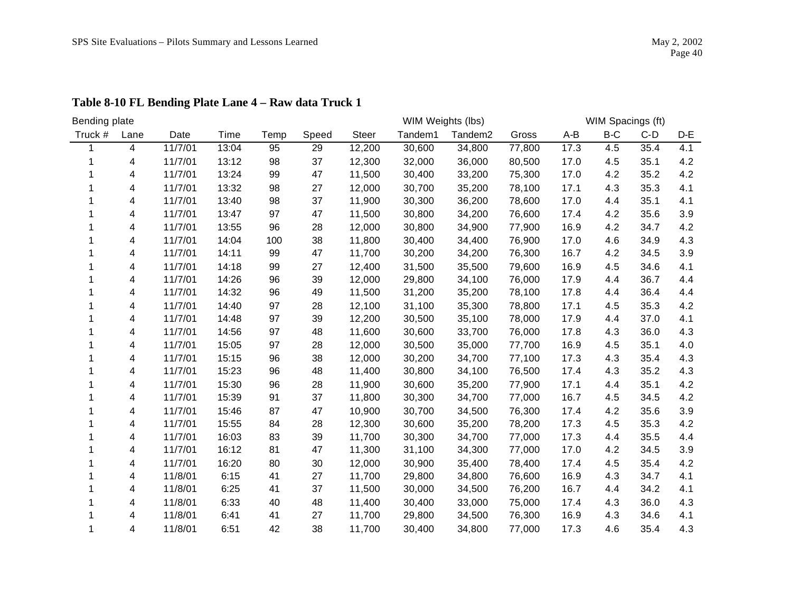| Bending plate |      |         |       |      |       |              | WIM Weights (lbs) |                     |        |      | WIM Spacings (ft) |       |     |
|---------------|------|---------|-------|------|-------|--------------|-------------------|---------------------|--------|------|-------------------|-------|-----|
| Truck #       | Lane | Date    | Time  | Temp | Speed | <b>Steer</b> | Tandem1           | Tandem <sub>2</sub> | Gross  | A-B  | B-C               | $C-D$ | D-E |
|               | 4    | 11/7/01 | 13:04 | 95   | 29    | 12,200       | 30,600            | 34,800              | 77,800 | 17.3 | 4.5               | 35.4  | 4.1 |
|               | 4    | 11/7/01 | 13:12 | 98   | 37    | 12,300       | 32,000            | 36,000              | 80,500 | 17.0 | 4.5               | 35.1  | 4.2 |
|               | 4    | 11/7/01 | 13:24 | 99   | 47    | 11,500       | 30,400            | 33,200              | 75,300 | 17.0 | 4.2               | 35.2  | 4.2 |
|               | 4    | 11/7/01 | 13:32 | 98   | 27    | 12,000       | 30,700            | 35,200              | 78,100 | 17.1 | 4.3               | 35.3  | 4.1 |
|               | 4    | 11/7/01 | 13:40 | 98   | 37    | 11,900       | 30,300            | 36,200              | 78,600 | 17.0 | 4.4               | 35.1  | 4.1 |
|               | 4    | 11/7/01 | 13:47 | 97   | 47    | 11,500       | 30,800            | 34,200              | 76,600 | 17.4 | 4.2               | 35.6  | 3.9 |
|               | 4    | 11/7/01 | 13:55 | 96   | 28    | 12,000       | 30,800            | 34,900              | 77,900 | 16.9 | 4.2               | 34.7  | 4.2 |
|               | 4    | 11/7/01 | 14:04 | 100  | 38    | 11,800       | 30,400            | 34,400              | 76,900 | 17.0 | 4.6               | 34.9  | 4.3 |
|               | 4    | 11/7/01 | 14:11 | 99   | 47    | 11,700       | 30,200            | 34,200              | 76,300 | 16.7 | 4.2               | 34.5  | 3.9 |
|               | 4    | 11/7/01 | 14:18 | 99   | 27    | 12,400       | 31,500            | 35,500              | 79,600 | 16.9 | 4.5               | 34.6  | 4.1 |
|               | 4    | 11/7/01 | 14:26 | 96   | 39    | 12,000       | 29,800            | 34,100              | 76,000 | 17.9 | 4.4               | 36.7  | 4.4 |
|               | 4    | 11/7/01 | 14:32 | 96   | 49    | 11,500       | 31,200            | 35,200              | 78,100 | 17.8 | 4.4               | 36.4  | 4.4 |
|               | 4    | 11/7/01 | 14:40 | 97   | 28    | 12,100       | 31,100            | 35,300              | 78,800 | 17.1 | 4.5               | 35.3  | 4.2 |
|               | 4    | 11/7/01 | 14:48 | 97   | 39    | 12,200       | 30,500            | 35,100              | 78,000 | 17.9 | 4.4               | 37.0  | 4.1 |
|               | 4    | 11/7/01 | 14:56 | 97   | 48    | 11,600       | 30,600            | 33,700              | 76,000 | 17.8 | 4.3               | 36.0  | 4.3 |
|               | 4    | 11/7/01 | 15:05 | 97   | 28    | 12,000       | 30,500            | 35,000              | 77,700 | 16.9 | 4.5               | 35.1  | 4.0 |
|               | 4    | 11/7/01 | 15:15 | 96   | 38    | 12,000       | 30,200            | 34,700              | 77,100 | 17.3 | 4.3               | 35.4  | 4.3 |
|               | 4    | 11/7/01 | 15:23 | 96   | 48    | 11,400       | 30,800            | 34,100              | 76,500 | 17.4 | 4.3               | 35.2  | 4.3 |
|               | 4    | 11/7/01 | 15:30 | 96   | 28    | 11,900       | 30,600            | 35,200              | 77,900 | 17.1 | 4.4               | 35.1  | 4.2 |
|               | 4    | 11/7/01 | 15:39 | 91   | 37    | 11,800       | 30,300            | 34,700              | 77,000 | 16.7 | 4.5               | 34.5  | 4.2 |
|               | 4    | 11/7/01 | 15:46 | 87   | 47    | 10,900       | 30,700            | 34,500              | 76,300 | 17.4 | 4.2               | 35.6  | 3.9 |
|               | 4    | 11/7/01 | 15:55 | 84   | 28    | 12,300       | 30,600            | 35,200              | 78,200 | 17.3 | 4.5               | 35.3  | 4.2 |
|               | 4    | 11/7/01 | 16:03 | 83   | 39    | 11,700       | 30,300            | 34,700              | 77,000 | 17.3 | 4.4               | 35.5  | 4.4 |
|               | 4    | 11/7/01 | 16:12 | 81   | 47    | 11,300       | 31,100            | 34,300              | 77,000 | 17.0 | 4.2               | 34.5  | 3.9 |
|               | 4    | 11/7/01 | 16:20 | 80   | 30    | 12,000       | 30,900            | 35,400              | 78,400 | 17.4 | 4.5               | 35.4  | 4.2 |
|               | 4    | 11/8/01 | 6:15  | 41   | 27    | 11,700       | 29,800            | 34,800              | 76,600 | 16.9 | 4.3               | 34.7  | 4.1 |
|               | 4    | 11/8/01 | 6:25  | 41   | 37    | 11,500       | 30,000            | 34,500              | 76,200 | 16.7 | 4.4               | 34.2  | 4.1 |
|               | 4    | 11/8/01 | 6:33  | 40   | 48    | 11,400       | 30,400            | 33,000              | 75,000 | 17.4 | 4.3               | 36.0  | 4.3 |
|               | 4    | 11/8/01 | 6:41  | 41   | 27    | 11,700       | 29,800            | 34,500              | 76,300 | 16.9 | 4.3               | 34.6  | 4.1 |
|               | 4    | 11/8/01 | 6:51  | 42   | 38    | 11,700       | 30,400            | 34,800              | 77,000 | 17.3 | 4.6               | 35.4  | 4.3 |

# **Table 8-10 FL Bending Plate Lane 4 – Raw data Truck 1**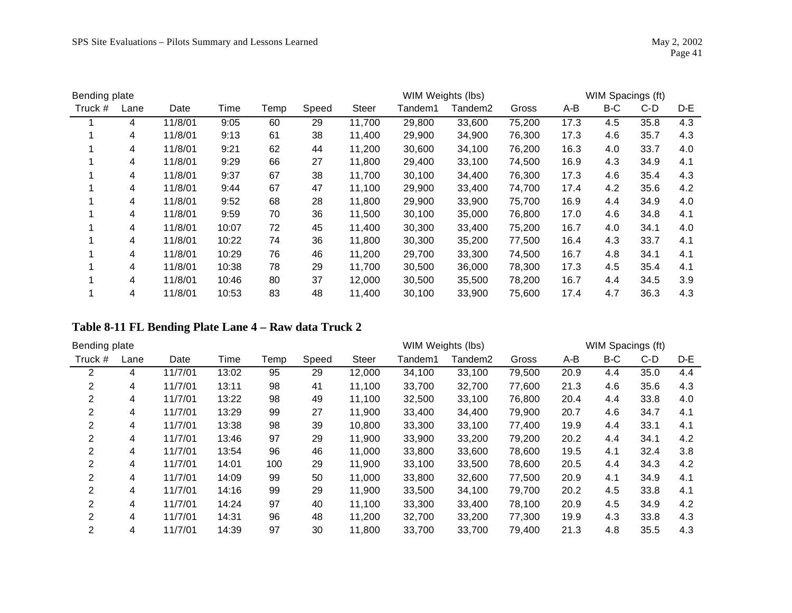| Bending plate |      |         |       |      |       |              | WIM Weights (lbs) |         |        |      | WIM Spacings (ft) |      |     |
|---------------|------|---------|-------|------|-------|--------------|-------------------|---------|--------|------|-------------------|------|-----|
| Truck #       | Lane | Date    | Time  | Temp | Speed | <b>Steer</b> | Tandem1           | Tandem2 | Gross  | A-B  | B-C               | C-D  | D-E |
|               | 4    | 11/8/01 | 9:05  | 60   | 29    | 11,700       | 29,800            | 33,600  | 75,200 | 17.3 | 4.5               | 35.8 | 4.3 |
|               | 4    | 11/8/01 | 9:13  | 61   | 38    | 11,400       | 29,900            | 34,900  | 76,300 | 17.3 | 4.6               | 35.7 | 4.3 |
|               | 4    | 11/8/01 | 9:21  | 62   | 44    | 11,200       | 30,600            | 34,100  | 76,200 | 16.3 | 4.0               | 33.7 | 4.0 |
|               | 4    | 11/8/01 | 9:29  | 66   | 27    | 11,800       | 29,400            | 33,100  | 74,500 | 16.9 | 4.3               | 34.9 | 4.1 |
|               | 4    | 11/8/01 | 9:37  | 67   | 38    | 11,700       | 30,100            | 34,400  | 76,300 | 17.3 | 4.6               | 35.4 | 4.3 |
|               | 4    | 11/8/01 | 9:44  | 67   | 47    | 11,100       | 29,900            | 33,400  | 74,700 | 17.4 | 4.2               | 35.6 | 4.2 |
|               | 4    | 11/8/01 | 9:52  | 68   | 28    | 11,800       | 29,900            | 33,900  | 75,700 | 16.9 | 4.4               | 34.9 | 4.0 |
|               | 4    | 11/8/01 | 9:59  | 70   | 36    | 11,500       | 30,100            | 35,000  | 76,800 | 17.0 | 4.6               | 34.8 | 4.1 |
|               | 4    | 11/8/01 | 10:07 | 72   | 45    | 11,400       | 30,300            | 33,400  | 75,200 | 16.7 | 4.0               | 34.1 | 4.0 |
|               | 4    | 11/8/01 | 10:22 | 74   | 36    | 11,800       | 30,300            | 35,200  | 77,500 | 16.4 | 4.3               | 33.7 | 4.1 |
|               | 4    | 11/8/01 | 10:29 | 76   | 46    | 11,200       | 29,700            | 33,300  | 74,500 | 16.7 | 4.8               | 34.1 | 4.1 |
|               | 4    | 11/8/01 | 10:38 | 78   | 29    | 11,700       | 30,500            | 36,000  | 78,300 | 17.3 | 4.5               | 35.4 | 4.1 |
|               | 4    | 11/8/01 | 10:46 | 80   | 37    | 12,000       | 30,500            | 35,500  | 78,200 | 16.7 | 4.4               | 34.5 | 3.9 |
|               | 4    | 11/8/01 | 10:53 | 83   | 48    | 11,400       | 30,100            | 33,900  | 75,600 | 17.4 | 4.7               | 36.3 | 4.3 |

#### **Table 8-11 FL Bending Plate Lane 4 – Raw data Truck 2**

| Bending plate |      |         |       |      |       |              | WIM Weights (lbs) |         |        |      |     | WIM Spacings (ft) |     |
|---------------|------|---------|-------|------|-------|--------------|-------------------|---------|--------|------|-----|-------------------|-----|
| Truck #       | Lane | Date    | Time  | Temp | Speed | <b>Steer</b> | Tandem1           | Tandem2 | Gross  | A-B  | B-C | C-D               | D-E |
| 2             | 4    | 11/7/01 | 13:02 | 95   | 29    | 12,000       | 34,100            | 33,100  | 79,500 | 20.9 | 4.4 | 35.0              | 4.4 |
| 2             | 4    | 11/7/01 | 13:11 | 98   | 41    | 11,100       | 33,700            | 32,700  | 77,600 | 21.3 | 4.6 | 35.6              | 4.3 |
| 2             | 4    | 11/7/01 | 13:22 | 98   | 49    | 11,100       | 32,500            | 33,100  | 76,800 | 20.4 | 4.4 | 33.8              | 4.0 |
| 2             | 4    | 11/7/01 | 13:29 | 99   | 27    | 11,900       | 33,400            | 34,400  | 79,900 | 20.7 | 4.6 | 34.7              | 4.1 |
| 2             | 4    | 11/7/01 | 13:38 | 98   | 39    | 10,800       | 33,300            | 33,100  | 77,400 | 19.9 | 4.4 | 33.1              | 4.1 |
| 2             | 4    | 11/7/01 | 13:46 | 97   | 29    | 11,900       | 33,900            | 33,200  | 79,200 | 20.2 | 4.4 | 34.1              | 4.2 |
| 2             | 4    | 11/7/01 | 13:54 | 96   | 46    | 11,000       | 33,800            | 33,600  | 78,600 | 19.5 | 4.1 | 32.4              | 3.8 |
| 2             | 4    | 11/7/01 | 14:01 | 100  | 29    | 11,900       | 33,100            | 33,500  | 78,600 | 20.5 | 4.4 | 34.3              | 4.2 |
| 2             | 4    | 11/7/01 | 14:09 | 99   | 50    | 11,000       | 33,800            | 32,600  | 77,500 | 20.9 | 4.1 | 34.9              | 4.1 |
| 2             | 4    | 11/7/01 | 14:16 | 99   | 29    | 11,900       | 33,500            | 34,100  | 79,700 | 20.2 | 4.5 | 33.8              | 4.1 |
| 2             | 4    | 11/7/01 | 14:24 | 97   | 40    | 11,100       | 33,300            | 33,400  | 78,100 | 20.9 | 4.5 | 34.9              | 4.2 |
| 2             | 4    | 11/7/01 | 14:31 | 96   | 48    | 11,200       | 32,700            | 33,200  | 77,300 | 19.9 | 4.3 | 33.8              | 4.3 |
| 2             | 4    | 11/7/01 | 14:39 | 97   | 30    | 11,800       | 33,700            | 33,700  | 79,400 | 21.3 | 4.8 | 35.5              | 4.3 |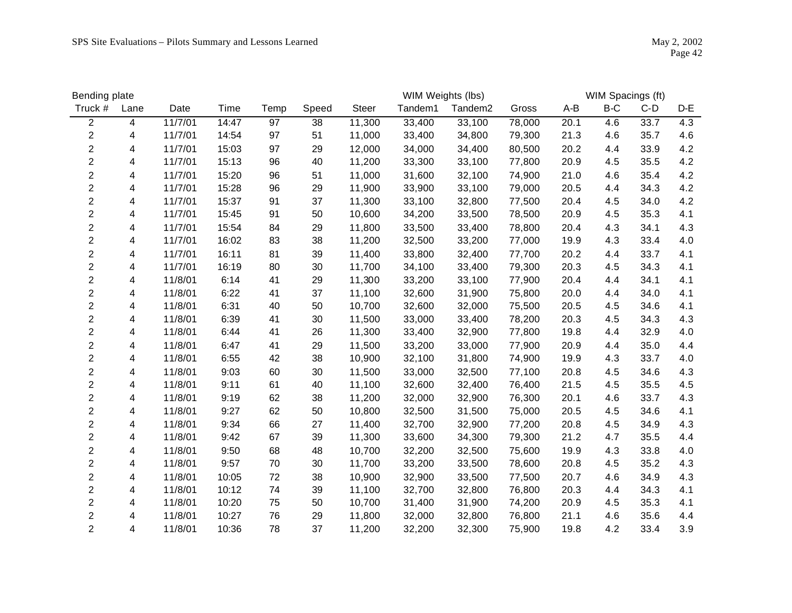| Bending plate           |      |         |       |      |       |              | WIM Weights (lbs) |                     |        |       | WIM Spacings (ft) |       |     |
|-------------------------|------|---------|-------|------|-------|--------------|-------------------|---------------------|--------|-------|-------------------|-------|-----|
| Truck #                 | Lane | Date    | Time  | Temp | Speed | <b>Steer</b> | Tandem1           | Tandem <sub>2</sub> | Gross  | $A-B$ | $B-C$             | $C-D$ | D-E |
| $\overline{2}$          | 4    | 11/7/01 | 14:47 | 97   | 38    | 11,300       | 33,400            | 33,100              | 78,000 | 20.1  | 4.6               | 33.7  | 4.3 |
| $\overline{2}$          | 4    | 11/7/01 | 14:54 | 97   | 51    | 11,000       | 33,400            | 34,800              | 79,300 | 21.3  | 4.6               | 35.7  | 4.6 |
| $\overline{c}$          | 4    | 11/7/01 | 15:03 | 97   | 29    | 12,000       | 34,000            | 34,400              | 80,500 | 20.2  | 4.4               | 33.9  | 4.2 |
| $\overline{c}$          | 4    | 11/7/01 | 15:13 | 96   | 40    | 11,200       | 33,300            | 33,100              | 77,800 | 20.9  | 4.5               | 35.5  | 4.2 |
| $\overline{c}$          | 4    | 11/7/01 | 15:20 | 96   | 51    | 11,000       | 31,600            | 32,100              | 74,900 | 21.0  | 4.6               | 35.4  | 4.2 |
| $\overline{c}$          | 4    | 11/7/01 | 15:28 | 96   | 29    | 11,900       | 33,900            | 33,100              | 79,000 | 20.5  | 4.4               | 34.3  | 4.2 |
| $\overline{c}$          | 4    | 11/7/01 | 15:37 | 91   | 37    | 11,300       | 33,100            | 32,800              | 77,500 | 20.4  | 4.5               | 34.0  | 4.2 |
| $\overline{2}$          | 4    | 11/7/01 | 15:45 | 91   | 50    | 10,600       | 34,200            | 33,500              | 78,500 | 20.9  | 4.5               | 35.3  | 4.1 |
| $\overline{2}$          | 4    | 11/7/01 | 15:54 | 84   | 29    | 11,800       | 33,500            | 33,400              | 78,800 | 20.4  | 4.3               | 34.1  | 4.3 |
| $\overline{c}$          | 4    | 11/7/01 | 16:02 | 83   | 38    | 11,200       | 32,500            | 33,200              | 77,000 | 19.9  | 4.3               | 33.4  | 4.0 |
| $\overline{c}$          | 4    | 11/7/01 | 16:11 | 81   | 39    | 11,400       | 33,800            | 32,400              | 77,700 | 20.2  | 4.4               | 33.7  | 4.1 |
| $\overline{c}$          | 4    | 11/7/01 | 16:19 | 80   | 30    | 11,700       | 34,100            | 33,400              | 79,300 | 20.3  | 4.5               | 34.3  | 4.1 |
| $\overline{c}$          | 4    | 11/8/01 | 6:14  | 41   | 29    | 11,300       | 33,200            | 33,100              | 77,900 | 20.4  | 4.4               | 34.1  | 4.1 |
| $\overline{c}$          | 4    | 11/8/01 | 6:22  | 41   | 37    | 11,100       | 32,600            | 31,900              | 75,800 | 20.0  | 4.4               | 34.0  | 4.1 |
| $\overline{c}$          | 4    | 11/8/01 | 6:31  | 40   | 50    | 10,700       | 32,600            | 32,000              | 75,500 | 20.5  | 4.5               | 34.6  | 4.1 |
| $\overline{c}$          | 4    | 11/8/01 | 6:39  | 41   | 30    | 11,500       | 33,000            | 33,400              | 78,200 | 20.3  | 4.5               | 34.3  | 4.3 |
| $\overline{c}$          | 4    | 11/8/01 | 6:44  | 41   | 26    | 11,300       | 33,400            | 32,900              | 77,800 | 19.8  | 4.4               | 32.9  | 4.0 |
| $\overline{c}$          | 4    | 11/8/01 | 6:47  | 41   | 29    | 11,500       | 33,200            | 33,000              | 77,900 | 20.9  | 4.4               | 35.0  | 4.4 |
| $\overline{2}$          | 4    | 11/8/01 | 6:55  | 42   | 38    | 10,900       | 32,100            | 31,800              | 74,900 | 19.9  | 4.3               | 33.7  | 4.0 |
| $\overline{\mathbf{c}}$ | 4    | 11/8/01 | 9:03  | 60   | 30    | 11,500       | 33,000            | 32,500              | 77,100 | 20.8  | 4.5               | 34.6  | 4.3 |
| $\overline{c}$          | 4    | 11/8/01 | 9:11  | 61   | 40    | 11,100       | 32,600            | 32,400              | 76,400 | 21.5  | 4.5               | 35.5  | 4.5 |
| $\overline{c}$          | 4    | 11/8/01 | 9:19  | 62   | 38    | 11,200       | 32,000            | 32,900              | 76,300 | 20.1  | 4.6               | 33.7  | 4.3 |
| $\overline{c}$          | 4    | 11/8/01 | 9:27  | 62   | 50    | 10,800       | 32,500            | 31,500              | 75,000 | 20.5  | 4.5               | 34.6  | 4.1 |
| $\overline{c}$          | 4    | 11/8/01 | 9:34  | 66   | 27    | 11,400       | 32,700            | 32,900              | 77,200 | 20.8  | 4.5               | 34.9  | 4.3 |
| $\overline{\mathbf{c}}$ | 4    | 11/8/01 | 9:42  | 67   | 39    | 11,300       | 33,600            | 34,300              | 79,300 | 21.2  | 4.7               | 35.5  | 4.4 |
| $\overline{c}$          | 4    | 11/8/01 | 9:50  | 68   | 48    | 10,700       | 32,200            | 32,500              | 75,600 | 19.9  | 4.3               | 33.8  | 4.0 |
| $\overline{c}$          | 4    | 11/8/01 | 9:57  | 70   | 30    | 11,700       | 33,200            | 33,500              | 78,600 | 20.8  | 4.5               | 35.2  | 4.3 |
| $\overline{2}$          | 4    | 11/8/01 | 10:05 | 72   | 38    | 10,900       | 32,900            | 33,500              | 77,500 | 20.7  | 4.6               | 34.9  | 4.3 |
| $\overline{2}$          | 4    | 11/8/01 | 10:12 | 74   | 39    | 11,100       | 32,700            | 32,800              | 76,800 | 20.3  | 4.4               | 34.3  | 4.1 |
| $\overline{c}$          | 4    | 11/8/01 | 10:20 | 75   | 50    | 10,700       | 31,400            | 31,900              | 74,200 | 20.9  | 4.5               | 35.3  | 4.1 |
| $\overline{c}$          | 4    | 11/8/01 | 10:27 | 76   | 29    | 11,800       | 32,000            | 32,800              | 76,800 | 21.1  | 4.6               | 35.6  | 4.4 |
| $\overline{2}$          | 4    | 11/8/01 | 10:36 | 78   | 37    | 11,200       | 32,200            | 32,300              | 75,900 | 19.8  | 4.2               | 33.4  | 3.9 |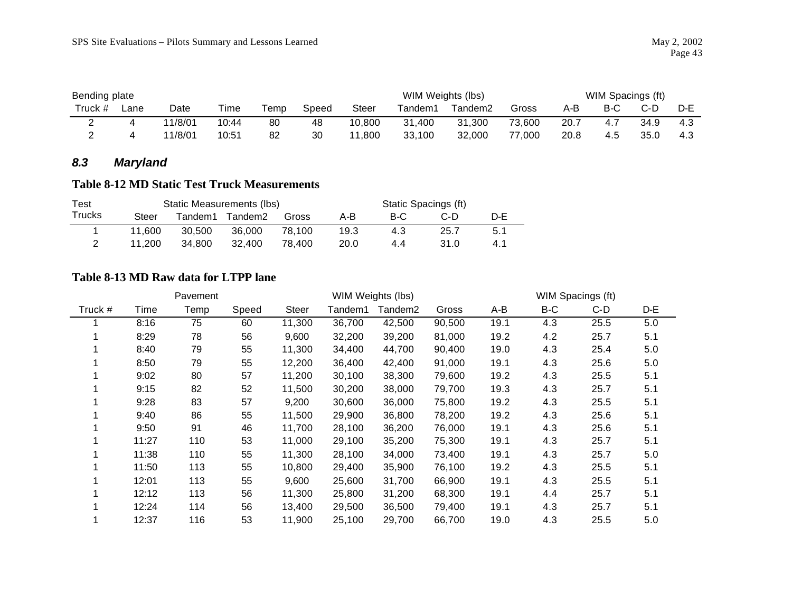| Bending plate |      |         |       |      |       |        | WIM Weights (lbs) |                     |        |      |      | WIM Spacings (ft) |     |
|---------------|------|---------|-------|------|-------|--------|-------------------|---------------------|--------|------|------|-------------------|-----|
| Truck #       | ∟ane | Date    | Time  | Геmр | Speed | Steer  | Tandem1           | Tandem <sub>2</sub> | Gross  | A-B  | B-C  | C-D               | D-E |
| -             |      | 11/8/01 | 10:44 | 80   | 48    | 10,800 | . .400<br>31      | 31,300              | 73,600 | 20.7 | -4.7 | 34.9              | 4.3 |
|               |      | 11/8/01 | 10:51 | 82   | 30    | ,800   | 33,100            | 32,000              | 77,000 | 20.8 | 4.5  | 35.0              | 4.3 |

# *8.3 Maryland*

#### **Table 8-12 MD Static Test Truck Measurements**

| Test          |        |          | Static Measurements (lbs) |        |      |     | Static Spacings (ft) |     |
|---------------|--------|----------|---------------------------|--------|------|-----|----------------------|-----|
| <b>Trucks</b> | Steer  | Tandem1. | Tandem2                   | Gross  | A-B  | B-C | C-D                  | D-F |
|               | 11.600 | 30.500   | 36,000                    | 78.100 | 19.3 | 4.3 | 25.7                 | 5.1 |
|               | 11.200 | 34.800   | 32.400                    | 78.400 | 20.0 | 4.4 | 31.0                 | 4.1 |

#### **Table 8-13 MD Raw data for LTPP lane**

|         |       | Pavement |       |        |         | WIM Weights (lbs) |        |      |     | WIM Spacings (ft) |     |
|---------|-------|----------|-------|--------|---------|-------------------|--------|------|-----|-------------------|-----|
| Truck # | Time  | Temp     | Speed | Steer  | Tandem1 | Tandem2           | Gross  | A-B  | B-C | C-D               | D-E |
|         | 8:16  | 75       | 60    | 11,300 | 36,700  | 42,500            | 90,500 | 19.1 | 4.3 | 25.5              | 5.0 |
|         | 8:29  | 78       | 56    | 9,600  | 32,200  | 39,200            | 81,000 | 19.2 | 4.2 | 25.7              | 5.1 |
|         | 8:40  | 79       | 55    | 11,300 | 34,400  | 44,700            | 90,400 | 19.0 | 4.3 | 25.4              | 5.0 |
|         | 8:50  | 79       | 55    | 12,200 | 36,400  | 42,400            | 91,000 | 19.1 | 4.3 | 25.6              | 5.0 |
|         | 9:02  | 80       | 57    | 11,200 | 30,100  | 38,300            | 79,600 | 19.2 | 4.3 | 25.5              | 5.1 |
|         | 9:15  | 82       | 52    | 11,500 | 30,200  | 38,000            | 79,700 | 19.3 | 4.3 | 25.7              | 5.1 |
|         | 9:28  | 83       | 57    | 9,200  | 30,600  | 36,000            | 75,800 | 19.2 | 4.3 | 25.5              | 5.1 |
|         | 9:40  | 86       | 55    | 11,500 | 29,900  | 36,800            | 78,200 | 19.2 | 4.3 | 25.6              | 5.1 |
|         | 9:50  | 91       | 46    | 11,700 | 28,100  | 36,200            | 76,000 | 19.1 | 4.3 | 25.6              | 5.1 |
|         | 11:27 | 110      | 53    | 11,000 | 29,100  | 35,200            | 75,300 | 19.1 | 4.3 | 25.7              | 5.1 |
|         | 11:38 | 110      | 55    | 11,300 | 28,100  | 34,000            | 73,400 | 19.1 | 4.3 | 25.7              | 5.0 |
|         | 11:50 | 113      | 55    | 10,800 | 29,400  | 35,900            | 76,100 | 19.2 | 4.3 | 25.5              | 5.1 |
|         | 12:01 | 113      | 55    | 9,600  | 25,600  | 31,700            | 66,900 | 19.1 | 4.3 | 25.5              | 5.1 |
|         | 12:12 | 113      | 56    | 11,300 | 25,800  | 31,200            | 68,300 | 19.1 | 4.4 | 25.7              | 5.1 |
|         | 12:24 | 114      | 56    | 13,400 | 29,500  | 36,500            | 79,400 | 19.1 | 4.3 | 25.7              | 5.1 |
|         | 12:37 | 116      | 53    | 11,900 | 25,100  | 29,700            | 66,700 | 19.0 | 4.3 | 25.5              | 5.0 |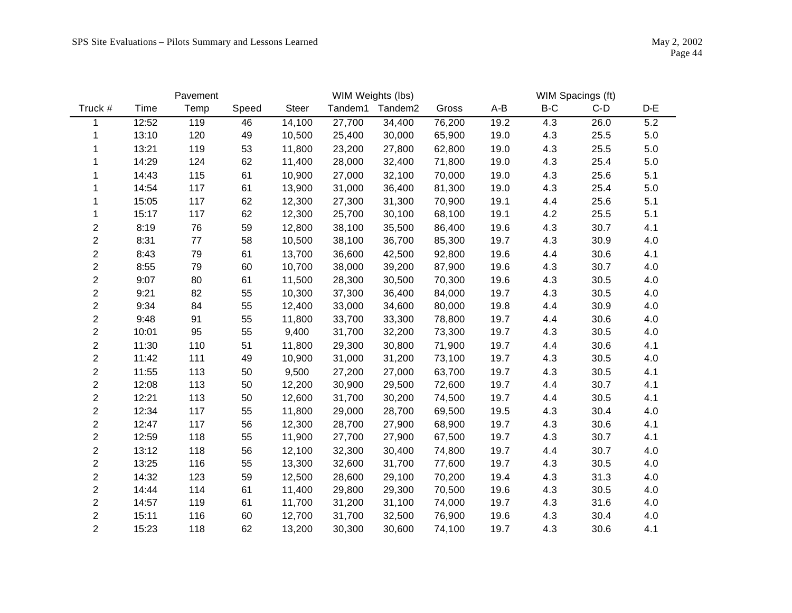|                         |       | Pavement |       |              |         | WIM Weights (lbs)   |        |      |     | WIM Spacings (ft) |       |
|-------------------------|-------|----------|-------|--------------|---------|---------------------|--------|------|-----|-------------------|-------|
| Truck #                 | Time  | Temp     | Speed | <b>Steer</b> | Tandem1 | Tandem <sub>2</sub> | Gross  | A-B  | B-C | $C-D$             | $D-E$ |
| 1                       | 12:52 | 119      | 46    | 14,100       | 27,700  | 34,400              | 76,200 | 19.2 | 4.3 | 26.0              | 5.2   |
| 1                       | 13:10 | 120      | 49    | 10,500       | 25,400  | 30,000              | 65,900 | 19.0 | 4.3 | 25.5              | 5.0   |
| 1                       | 13:21 | 119      | 53    | 11,800       | 23,200  | 27,800              | 62,800 | 19.0 | 4.3 | 25.5              | 5.0   |
| 1                       | 14:29 | 124      | 62    | 11,400       | 28,000  | 32,400              | 71,800 | 19.0 | 4.3 | 25.4              | 5.0   |
|                         | 14:43 | 115      | 61    | 10,900       | 27,000  | 32,100              | 70,000 | 19.0 | 4.3 | 25.6              | 5.1   |
|                         | 14:54 | 117      | 61    | 13,900       | 31,000  | 36,400              | 81,300 | 19.0 | 4.3 | 25.4              | 5.0   |
|                         | 15:05 | 117      | 62    | 12,300       | 27,300  | 31,300              | 70,900 | 19.1 | 4.4 | 25.6              | 5.1   |
| 1                       | 15:17 | 117      | 62    | 12,300       | 25,700  | 30,100              | 68,100 | 19.1 | 4.2 | 25.5              | 5.1   |
| $\overline{\mathbf{c}}$ | 8:19  | 76       | 59    | 12,800       | 38,100  | 35,500              | 86,400 | 19.6 | 4.3 | 30.7              | 4.1   |
| $\overline{c}$          | 8:31  | 77       | 58    | 10,500       | 38,100  | 36,700              | 85,300 | 19.7 | 4.3 | 30.9              | 4.0   |
| $\overline{\mathbf{c}}$ | 8:43  | 79       | 61    | 13,700       | 36,600  | 42,500              | 92,800 | 19.6 | 4.4 | 30.6              | 4.1   |
| $\boldsymbol{2}$        | 8:55  | 79       | 60    | 10,700       | 38,000  | 39,200              | 87,900 | 19.6 | 4.3 | 30.7              | 4.0   |
| $\overline{c}$          | 9:07  | 80       | 61    | 11,500       | 28,300  | 30,500              | 70,300 | 19.6 | 4.3 | 30.5              | 4.0   |
| $\overline{\mathbf{c}}$ | 9:21  | 82       | 55    | 10,300       | 37,300  | 36,400              | 84,000 | 19.7 | 4.3 | 30.5              | 4.0   |
| $\overline{c}$          | 9:34  | 84       | 55    | 12,400       | 33,000  | 34,600              | 80,000 | 19.8 | 4.4 | 30.9              | 4.0   |
| $\overline{\mathbf{c}}$ | 9:48  | 91       | 55    | 11,800       | 33,700  | 33,300              | 78,800 | 19.7 | 4.4 | 30.6              | 4.0   |
| $\overline{c}$          | 10:01 | 95       | 55    | 9,400        | 31,700  | 32,200              | 73,300 | 19.7 | 4.3 | 30.5              | 4.0   |
| $\overline{c}$          | 11:30 | 110      | 51    | 11,800       | 29,300  | 30,800              | 71,900 | 19.7 | 4.4 | 30.6              | 4.1   |
| $\overline{c}$          | 11:42 | 111      | 49    | 10,900       | 31,000  | 31,200              | 73,100 | 19.7 | 4.3 | 30.5              | 4.0   |
| $\overline{c}$          | 11:55 | 113      | 50    | 9,500        | 27,200  | 27,000              | 63,700 | 19.7 | 4.3 | 30.5              | 4.1   |
| $\overline{c}$          | 12:08 | 113      | 50    | 12,200       | 30,900  | 29,500              | 72,600 | 19.7 | 4.4 | 30.7              | 4.1   |
| $\overline{\mathbf{c}}$ | 12:21 | 113      | 50    | 12,600       | 31,700  | 30,200              | 74,500 | 19.7 | 4.4 | 30.5              | 4.1   |
| $\overline{c}$          | 12:34 | 117      | 55    | 11,800       | 29,000  | 28,700              | 69,500 | 19.5 | 4.3 | 30.4              | 4.0   |
| $\overline{c}$          | 12:47 | 117      | 56    | 12,300       | 28,700  | 27,900              | 68,900 | 19.7 | 4.3 | 30.6              | 4.1   |
| $\overline{c}$          | 12:59 | 118      | 55    | 11,900       | 27,700  | 27,900              | 67,500 | 19.7 | 4.3 | 30.7              | 4.1   |
| $\overline{c}$          | 13:12 | 118      | 56    | 12,100       | 32,300  | 30,400              | 74,800 | 19.7 | 4.4 | 30.7              | 4.0   |
| $\overline{\mathbf{c}}$ | 13:25 | 116      | 55    | 13,300       | 32,600  | 31,700              | 77,600 | 19.7 | 4.3 | 30.5              | 4.0   |
| $\overline{c}$          | 14:32 | 123      | 59    | 12,500       | 28,600  | 29,100              | 70,200 | 19.4 | 4.3 | 31.3              | 4.0   |
| $\overline{c}$          | 14:44 | 114      | 61    | 11,400       | 29,800  | 29,300              | 70,500 | 19.6 | 4.3 | 30.5              | 4.0   |
| $\overline{c}$          | 14:57 | 119      | 61    | 11,700       | 31,200  | 31,100              | 74,000 | 19.7 | 4.3 | 31.6              | 4.0   |
| $\overline{c}$          | 15:11 | 116      | 60    | 12,700       | 31,700  | 32,500              | 76,900 | 19.6 | 4.3 | 30.4              | 4.0   |
| $\overline{2}$          | 15:23 | 118      | 62    | 13,200       | 30,300  | 30,600              | 74,100 | 19.7 | 4.3 | 30.6              | 4.1   |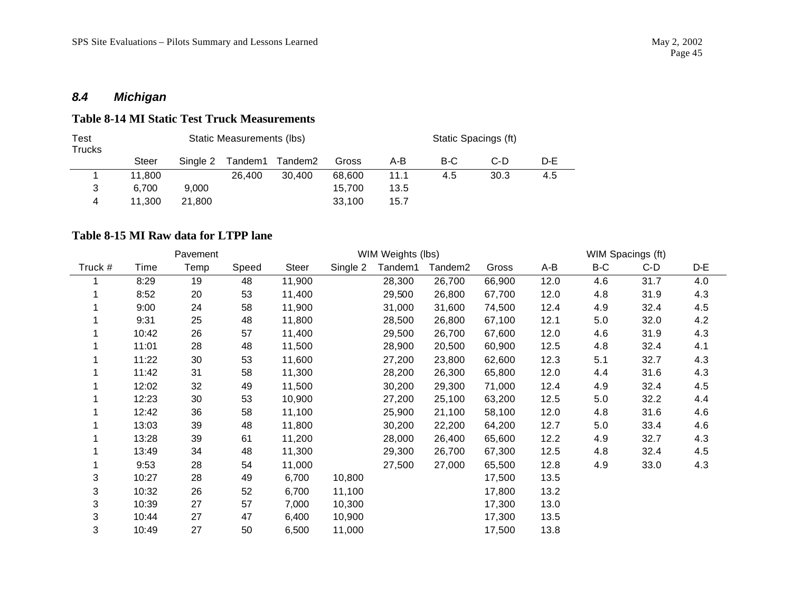# *8.4 Michigan*

#### **Table 8-14 MI Static Test Truck Measurements**

| Test<br><b>Trucks</b> |        |          | Static Measurements (lbs) |         |        |      |     | Static Spacings (ft) |     |
|-----------------------|--------|----------|---------------------------|---------|--------|------|-----|----------------------|-----|
|                       | Steer  | Single 2 | Tandem1                   | Tandem2 | Gross  | A-B  | B-C | C-D                  | D-E |
|                       | 11.800 |          | 26,400                    | 30.400  | 68.600 | 11.1 | 4.5 | 30.3                 | 4.5 |
| 3                     | 6.700  | 9.000    |                           |         | 15.700 | 13.5 |     |                      |     |
| 4                     | 11.300 | 21.800   |                           |         | 33,100 | 15.7 |     |                      |     |

### **Table 8-15 MI Raw data for LTPP lane**

|         |       | Pavement |       |              |          | WIM Weights (lbs) |                     |        |      |     | WIM Spacings (ft) |     |
|---------|-------|----------|-------|--------------|----------|-------------------|---------------------|--------|------|-----|-------------------|-----|
| Truck # | Time  | Temp     | Speed | <b>Steer</b> | Single 2 | Tandem1           | Tandem <sub>2</sub> | Gross  | A-B  | B-C | $C-D$             | D-E |
|         | 8:29  | 19       | 48    | 11,900       |          | 28,300            | 26,700              | 66,900 | 12.0 | 4.6 | 31.7              | 4.0 |
|         | 8:52  | 20       | 53    | 11,400       |          | 29,500            | 26,800              | 67,700 | 12.0 | 4.8 | 31.9              | 4.3 |
|         | 9:00  | 24       | 58    | 11,900       |          | 31,000            | 31,600              | 74,500 | 12.4 | 4.9 | 32.4              | 4.5 |
|         | 9:31  | 25       | 48    | 11,800       |          | 28,500            | 26,800              | 67,100 | 12.1 | 5.0 | 32.0              | 4.2 |
|         | 10:42 | 26       | 57    | 11,400       |          | 29,500            | 26,700              | 67,600 | 12.0 | 4.6 | 31.9              | 4.3 |
|         | 11:01 | 28       | 48    | 11,500       |          | 28,900            | 20,500              | 60,900 | 12.5 | 4.8 | 32.4              | 4.1 |
|         | 11:22 | 30       | 53    | 11,600       |          | 27,200            | 23,800              | 62,600 | 12.3 | 5.1 | 32.7              | 4.3 |
|         | 11:42 | 31       | 58    | 11,300       |          | 28,200            | 26,300              | 65,800 | 12.0 | 4.4 | 31.6              | 4.3 |
|         | 12:02 | 32       | 49    | 11,500       |          | 30,200            | 29,300              | 71,000 | 12.4 | 4.9 | 32.4              | 4.5 |
|         | 12:23 | 30       | 53    | 10,900       |          | 27,200            | 25,100              | 63,200 | 12.5 | 5.0 | 32.2              | 4.4 |
|         | 12:42 | 36       | 58    | 11,100       |          | 25,900            | 21,100              | 58,100 | 12.0 | 4.8 | 31.6              | 4.6 |
|         | 13:03 | 39       | 48    | 11,800       |          | 30,200            | 22,200              | 64,200 | 12.7 | 5.0 | 33.4              | 4.6 |
|         | 13:28 | 39       | 61    | 11,200       |          | 28,000            | 26,400              | 65,600 | 12.2 | 4.9 | 32.7              | 4.3 |
|         | 13:49 | 34       | 48    | 11,300       |          | 29,300            | 26,700              | 67,300 | 12.5 | 4.8 | 32.4              | 4.5 |
|         | 9:53  | 28       | 54    | 11,000       |          | 27,500            | 27,000              | 65,500 | 12.8 | 4.9 | 33.0              | 4.3 |
| 3       | 10:27 | 28       | 49    | 6,700        | 10,800   |                   |                     | 17,500 | 13.5 |     |                   |     |
| 3       | 10:32 | 26       | 52    | 6,700        | 11,100   |                   |                     | 17,800 | 13.2 |     |                   |     |
| 3       | 10:39 | 27       | 57    | 7,000        | 10,300   |                   |                     | 17,300 | 13.0 |     |                   |     |
| 3       | 10:44 | 27       | 47    | 6,400        | 10,900   |                   |                     | 17,300 | 13.5 |     |                   |     |
| 3       | 10:49 | 27       | 50    | 6,500        | 11,000   |                   |                     | 17,500 | 13.8 |     |                   |     |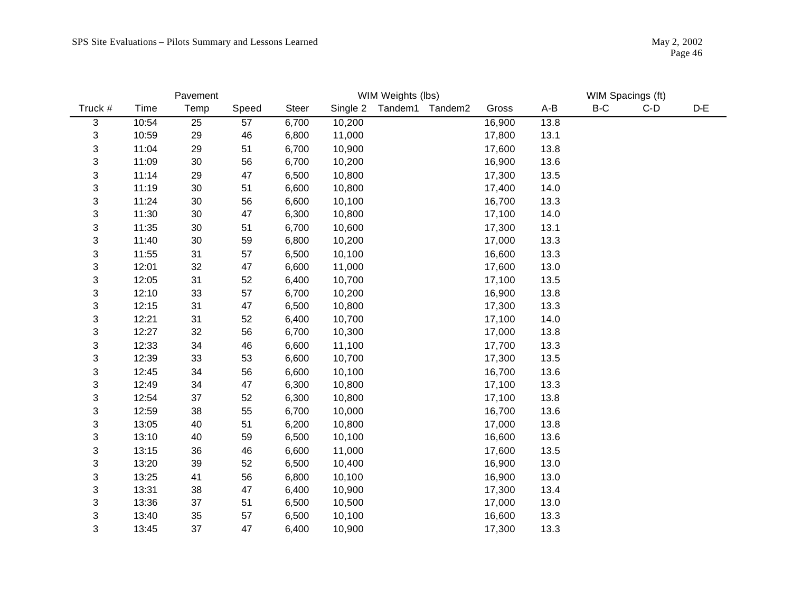|         | Pavement |        |       |              |          | WIM Weights (lbs) |        |       |       | WIM Spacings (ft) |       |
|---------|----------|--------|-------|--------------|----------|-------------------|--------|-------|-------|-------------------|-------|
| Truck # | Time     | Temp   | Speed | <b>Steer</b> | Single 2 | Tandem1 Tandem2   | Gross  | $A-B$ | $B-C$ | $C-D$             | $D-E$ |
| 3       | 10:54    | 25     | 57    | 6,700        | 10,200   |                   | 16,900 | 13.8  |       |                   |       |
| 3       | 10:59    | 29     | 46    | 6,800        | 11,000   |                   | 17,800 | 13.1  |       |                   |       |
| 3       | 11:04    | 29     | 51    | 6,700        | 10,900   |                   | 17,600 | 13.8  |       |                   |       |
| 3       | 11:09    | $30\,$ | 56    | 6,700        | 10,200   |                   | 16,900 | 13.6  |       |                   |       |
| 3       | 11:14    | 29     | 47    | 6,500        | 10,800   |                   | 17,300 | 13.5  |       |                   |       |
| 3       | 11:19    | $30\,$ | 51    | 6,600        | 10,800   |                   | 17,400 | 14.0  |       |                   |       |
| 3       | 11:24    | $30\,$ | 56    | 6,600        | 10,100   |                   | 16,700 | 13.3  |       |                   |       |
| 3       | 11:30    | $30\,$ | 47    | 6,300        | 10,800   |                   | 17,100 | 14.0  |       |                   |       |
| 3       | 11:35    | $30\,$ | 51    | 6,700        | 10,600   |                   | 17,300 | 13.1  |       |                   |       |
| 3       | 11:40    | 30     | 59    | 6,800        | 10,200   |                   | 17,000 | 13.3  |       |                   |       |
| 3       | 11:55    | 31     | 57    | 6,500        | 10,100   |                   | 16,600 | 13.3  |       |                   |       |
| 3       | 12:01    | $32\,$ | 47    | 6,600        | 11,000   |                   | 17,600 | 13.0  |       |                   |       |
| 3       | 12:05    | 31     | 52    | 6,400        | 10,700   |                   | 17,100 | 13.5  |       |                   |       |
| 3       | 12:10    | 33     | 57    | 6,700        | 10,200   |                   | 16,900 | 13.8  |       |                   |       |
| 3       | 12:15    | 31     | 47    | 6,500        | 10,800   |                   | 17,300 | 13.3  |       |                   |       |
| 3       | 12:21    | 31     | 52    | 6,400        | 10,700   |                   | 17,100 | 14.0  |       |                   |       |
| 3       | 12:27    | $32\,$ | 56    | 6,700        | 10,300   |                   | 17,000 | 13.8  |       |                   |       |
| 3       | 12:33    | 34     | 46    | 6,600        | 11,100   |                   | 17,700 | 13.3  |       |                   |       |
| 3       | 12:39    | 33     | 53    | 6,600        | 10,700   |                   | 17,300 | 13.5  |       |                   |       |
| 3       | 12:45    | 34     | 56    | 6,600        | 10,100   |                   | 16,700 | 13.6  |       |                   |       |
| 3       | 12:49    | 34     | 47    | 6,300        | 10,800   |                   | 17,100 | 13.3  |       |                   |       |
| 3       | 12:54    | 37     | 52    | 6,300        | 10,800   |                   | 17,100 | 13.8  |       |                   |       |
| 3       | 12:59    | 38     | 55    | 6,700        | 10,000   |                   | 16,700 | 13.6  |       |                   |       |
| 3       | 13:05    | 40     | 51    | 6,200        | 10,800   |                   | 17,000 | 13.8  |       |                   |       |
| 3       | 13:10    | 40     | 59    | 6,500        | 10,100   |                   | 16,600 | 13.6  |       |                   |       |
| 3       | 13:15    | 36     | 46    | 6,600        | 11,000   |                   | 17,600 | 13.5  |       |                   |       |
| 3       | 13:20    | 39     | 52    | 6,500        | 10,400   |                   | 16,900 | 13.0  |       |                   |       |
| 3       | 13:25    | 41     | 56    | 6,800        | 10,100   |                   | 16,900 | 13.0  |       |                   |       |
| 3       | 13:31    | 38     | 47    | 6,400        | 10,900   |                   | 17,300 | 13.4  |       |                   |       |
| 3       | 13:36    | 37     | 51    | 6,500        | 10,500   |                   | 17,000 | 13.0  |       |                   |       |
| 3       | 13:40    | 35     | 57    | 6,500        | 10,100   |                   | 16,600 | 13.3  |       |                   |       |
| 3       | 13:45    | 37     | 47    | 6,400        | 10,900   |                   | 17,300 | 13.3  |       |                   |       |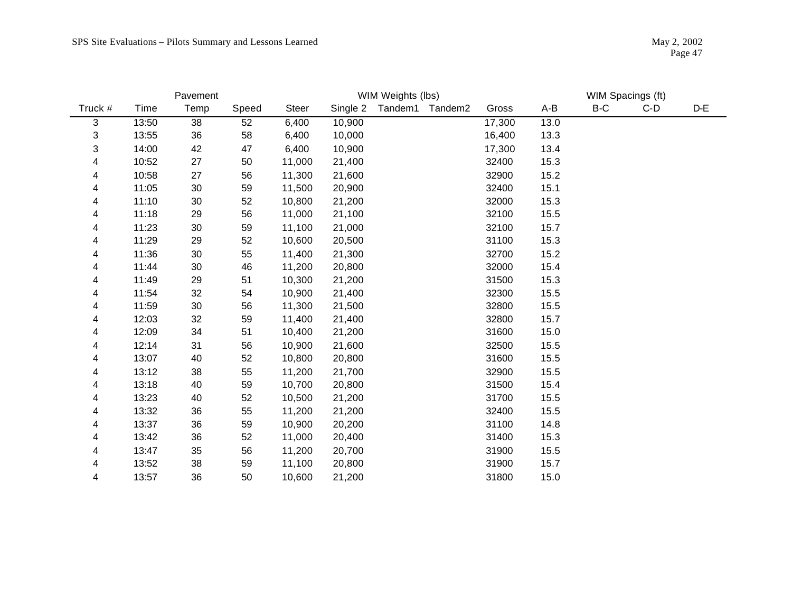|         |       | Pavement |       |              |          | WIM Weights (lbs) |        |      |       | WIM Spacings (ft) |       |
|---------|-------|----------|-------|--------------|----------|-------------------|--------|------|-------|-------------------|-------|
| Truck # | Time  | Temp     | Speed | <b>Steer</b> | Single 2 | Tandem1 Tandem2   | Gross  | A-B  | $B-C$ | $C-D$             | $D-E$ |
| 3       | 13:50 | 38       | 52    | 6,400        | 10,900   |                   | 17,300 | 13.0 |       |                   |       |
| 3       | 13:55 | 36       | 58    | 6,400        | 10,000   |                   | 16,400 | 13.3 |       |                   |       |
| 3       | 14:00 | 42       | 47    | 6,400        | 10,900   |                   | 17,300 | 13.4 |       |                   |       |
| 4       | 10:52 | 27       | 50    | 11,000       | 21,400   |                   | 32400  | 15.3 |       |                   |       |
| 4       | 10:58 | 27       | 56    | 11,300       | 21,600   |                   | 32900  | 15.2 |       |                   |       |
| 4       | 11:05 | $30\,$   | 59    | 11,500       | 20,900   |                   | 32400  | 15.1 |       |                   |       |
| 4       | 11:10 | 30       | 52    | 10,800       | 21,200   |                   | 32000  | 15.3 |       |                   |       |
| 4       | 11:18 | 29       | 56    | 11,000       | 21,100   |                   | 32100  | 15.5 |       |                   |       |
| 4       | 11:23 | 30       | 59    | 11,100       | 21,000   |                   | 32100  | 15.7 |       |                   |       |
| 4       | 11:29 | 29       | 52    | 10,600       | 20,500   |                   | 31100  | 15.3 |       |                   |       |
| 4       | 11:36 | 30       | 55    | 11,400       | 21,300   |                   | 32700  | 15.2 |       |                   |       |
| 4       | 11:44 | 30       | 46    | 11,200       | 20,800   |                   | 32000  | 15.4 |       |                   |       |
| 4       | 11:49 | 29       | 51    | 10,300       | 21,200   |                   | 31500  | 15.3 |       |                   |       |
| 4       | 11:54 | 32       | 54    | 10,900       | 21,400   |                   | 32300  | 15.5 |       |                   |       |
| 4       | 11:59 | 30       | 56    | 11,300       | 21,500   |                   | 32800  | 15.5 |       |                   |       |
| 4       | 12:03 | 32       | 59    | 11,400       | 21,400   |                   | 32800  | 15.7 |       |                   |       |
| 4       | 12:09 | 34       | 51    | 10,400       | 21,200   |                   | 31600  | 15.0 |       |                   |       |
| 4       | 12:14 | 31       | 56    | 10,900       | 21,600   |                   | 32500  | 15.5 |       |                   |       |
| 4       | 13:07 | 40       | 52    | 10,800       | 20,800   |                   | 31600  | 15.5 |       |                   |       |
| 4       | 13:12 | 38       | 55    | 11,200       | 21,700   |                   | 32900  | 15.5 |       |                   |       |
| 4       | 13:18 | 40       | 59    | 10,700       | 20,800   |                   | 31500  | 15.4 |       |                   |       |
| 4       | 13:23 | 40       | 52    | 10,500       | 21,200   |                   | 31700  | 15.5 |       |                   |       |
| 4       | 13:32 | 36       | 55    | 11,200       | 21,200   |                   | 32400  | 15.5 |       |                   |       |
| 4       | 13:37 | 36       | 59    | 10,900       | 20,200   |                   | 31100  | 14.8 |       |                   |       |
| 4       | 13:42 | 36       | 52    | 11,000       | 20,400   |                   | 31400  | 15.3 |       |                   |       |
| 4       | 13:47 | 35       | 56    | 11,200       | 20,700   |                   | 31900  | 15.5 |       |                   |       |
| 4       | 13:52 | 38       | 59    | 11,100       | 20,800   |                   | 31900  | 15.7 |       |                   |       |
| 4       | 13:57 | 36       | 50    | 10,600       | 21,200   |                   | 31800  | 15.0 |       |                   |       |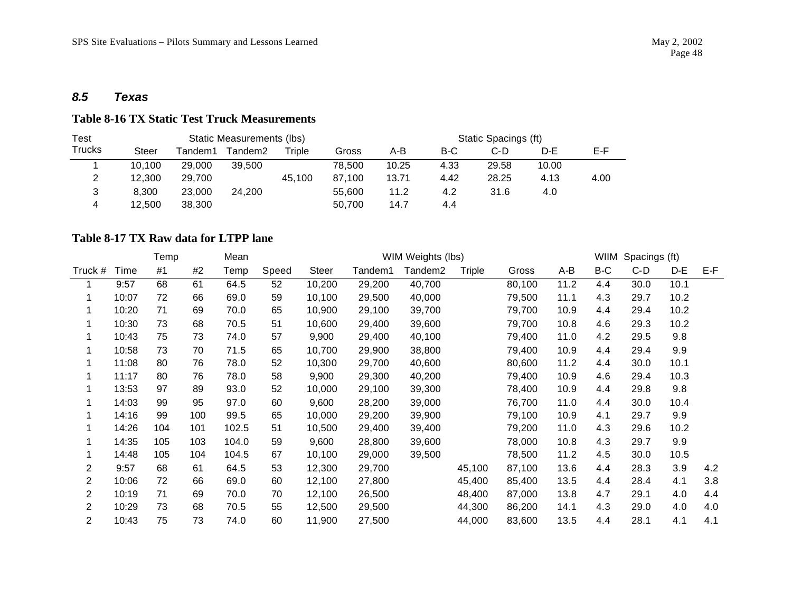#### *8.5 Texas*

#### **Table 8-16 TX Static Test Truck Measurements**

| Test   |              |         | Static Measurements (lbs) |        |        |       |      | Static Spacings (ft) |       |      |
|--------|--------------|---------|---------------------------|--------|--------|-------|------|----------------------|-------|------|
| Trucks | <b>Steer</b> | Tandem1 | Tandem2                   | Triple | Gross  | A-B   | B-C  | $C-D$                | D-E   | E-F. |
|        | 10.100       | 29.000  | 39.500                    |        | 78.500 | 10.25 | 4.33 | 29.58                | 10.00 |      |
| っ<br>∸ | 12.300       | 29.700  |                           | 45.100 | 87.100 | 13.71 | 4.42 | 28.25                | 4.13  | 4.00 |
| 3      | 8.300        | 23,000  | 24.200                    |        | 55.600 | 11.2  | 4.2  | 31.6                 | 4.0   |      |
| 4      | 12.500       | 38.300  |                           |        | 50.700 | 14.7  | 4.4  |                      |       |      |

#### **Table 8-17 TX Raw data for LTPP lane**

|                |       | Temp |     | Mean  |       | WIM Weights (lbs) |         |         |        |        |      | WIIM | Spacings (ft) |      |     |
|----------------|-------|------|-----|-------|-------|-------------------|---------|---------|--------|--------|------|------|---------------|------|-----|
| Truck #        | Time  | #1   | #2  | Temp  | Speed | <b>Steer</b>      | Tandem1 | Tandem2 | Triple | Gross  | A-B  | B-C  | $C-D$         | D-E  | E-F |
|                | 9:57  | 68   | 61  | 64.5  | 52    | 10,200            | 29,200  | 40,700  |        | 80,100 | 11.2 | 4.4  | 30.0          | 10.1 |     |
| $\mathbf 1$    | 10:07 | 72   | 66  | 69.0  | 59    | 10,100            | 29,500  | 40,000  |        | 79,500 | 11.1 | 4.3  | 29.7          | 10.2 |     |
|                | 10:20 | 71   | 69  | 70.0  | 65    | 10,900            | 29,100  | 39,700  |        | 79,700 | 10.9 | 4.4  | 29.4          | 10.2 |     |
|                | 10:30 | 73   | 68  | 70.5  | 51    | 10,600            | 29,400  | 39,600  |        | 79,700 | 10.8 | 4.6  | 29.3          | 10.2 |     |
|                | 10:43 | 75   | 73  | 74.0  | 57    | 9,900             | 29,400  | 40,100  |        | 79,400 | 11.0 | 4.2  | 29.5          | 9.8  |     |
|                | 10:58 | 73   | 70  | 71.5  | 65    | 10,700            | 29,900  | 38,800  |        | 79,400 | 10.9 | 4.4  | 29.4          | 9.9  |     |
|                | 11:08 | 80   | 76  | 78.0  | 52    | 10,300            | 29,700  | 40,600  |        | 80,600 | 11.2 | 4.4  | 30.0          | 10.1 |     |
|                | 11:17 | 80   | 76  | 78.0  | 58    | 9,900             | 29,300  | 40,200  |        | 79,400 | 10.9 | 4.6  | 29.4          | 10.3 |     |
|                | 13:53 | 97   | 89  | 93.0  | 52    | 10,000            | 29,100  | 39,300  |        | 78,400 | 10.9 | 4.4  | 29.8          | 9.8  |     |
|                | 14:03 | 99   | 95  | 97.0  | 60    | 9,600             | 28,200  | 39,000  |        | 76,700 | 11.0 | 4.4  | 30.0          | 10.4 |     |
|                | 14:16 | 99   | 100 | 99.5  | 65    | 10,000            | 29,200  | 39,900  |        | 79,100 | 10.9 | 4.1  | 29.7          | 9.9  |     |
|                | 14:26 | 104  | 101 | 102.5 | 51    | 10,500            | 29,400  | 39,400  |        | 79,200 | 11.0 | 4.3  | 29.6          | 10.2 |     |
|                | 14:35 | 105  | 103 | 104.0 | 59    | 9,600             | 28,800  | 39,600  |        | 78,000 | 10.8 | 4.3  | 29.7          | 9.9  |     |
|                | 14:48 | 105  | 104 | 104.5 | 67    | 10,100            | 29,000  | 39,500  |        | 78,500 | 11.2 | 4.5  | 30.0          | 10.5 |     |
| 2              | 9:57  | 68   | 61  | 64.5  | 53    | 12,300            | 29,700  |         | 45,100 | 87,100 | 13.6 | 4.4  | 28.3          | 3.9  | 4.2 |
| $\overline{2}$ | 10:06 | 72   | 66  | 69.0  | 60    | 12,100            | 27,800  |         | 45,400 | 85,400 | 13.5 | 4.4  | 28.4          | 4.1  | 3.8 |
| $\overline{2}$ | 10:19 | 71   | 69  | 70.0  | 70    | 12,100            | 26,500  |         | 48,400 | 87,000 | 13.8 | 4.7  | 29.1          | 4.0  | 4.4 |
| $\overline{2}$ | 10:29 | 73   | 68  | 70.5  | 55    | 12,500            | 29,500  |         | 44,300 | 86,200 | 14.1 | 4.3  | 29.0          | 4.0  | 4.0 |
| $\overline{2}$ | 10:43 | 75   | 73  | 74.0  | 60    | 11,900            | 27,500  |         | 44,000 | 83,600 | 13.5 | 4.4  | 28.1          | 4.1  | 4.1 |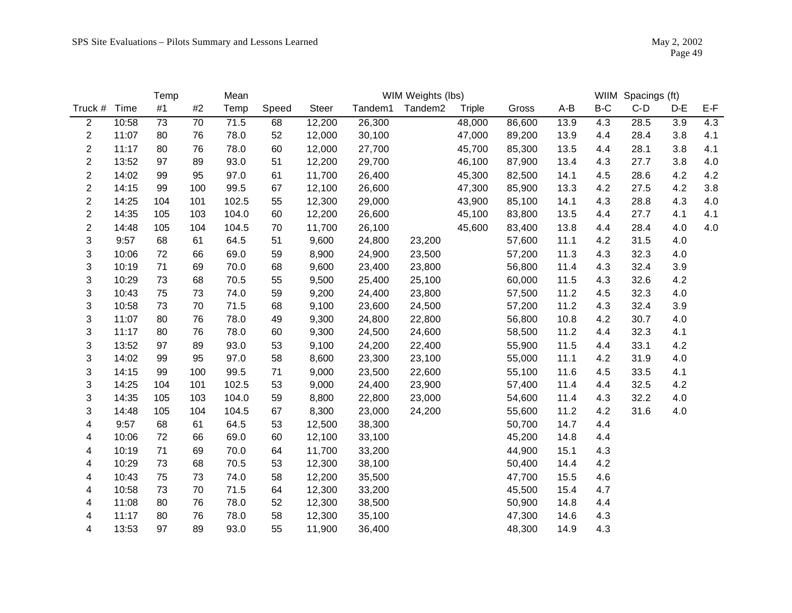|                  |       | Temp |     | Mean  |       | WIM Weights (lbs) |         |                     |               |        |       |     | WIIM Spacings (ft) |         |     |
|------------------|-------|------|-----|-------|-------|-------------------|---------|---------------------|---------------|--------|-------|-----|--------------------|---------|-----|
| Truck # Time     |       | #1   | #2  | Temp  | Speed | Steer             | Tandem1 | Tandem <sub>2</sub> | <b>Triple</b> | Gross  | $A-B$ | B-C | $C-D$              | $D-E$   | E-F |
| $\overline{2}$   | 10:58 | 73   | 70  | 71.5  | 68    | 12,200            | 26,300  |                     | 48,000        | 86,600 | 13.9  | 4.3 | 28.5               | 3.9     | 4.3 |
| $\overline{2}$   | 11:07 | 80   | 76  | 78.0  | 52    | 12,000            | 30,100  |                     | 47,000        | 89,200 | 13.9  | 4.4 | 28.4               | 3.8     | 4.1 |
| $\overline{c}$   | 11:17 | 80   | 76  | 78.0  | 60    | 12,000            | 27,700  |                     | 45,700        | 85,300 | 13.5  | 4.4 | 28.1               | 3.8     | 4.1 |
| $\overline{c}$   | 13:52 | 97   | 89  | 93.0  | 51    | 12,200            | 29,700  |                     | 46,100        | 87,900 | 13.4  | 4.3 | 27.7               | 3.8     | 4.0 |
| $\overline{2}$   | 14:02 | 99   | 95  | 97.0  | 61    | 11,700            | 26,400  |                     | 45,300        | 82,500 | 14.1  | 4.5 | 28.6               | 4.2     | 4.2 |
| $\boldsymbol{2}$ | 14:15 | 99   | 100 | 99.5  | 67    | 12,100            | 26,600  |                     | 47,300        | 85,900 | 13.3  | 4.2 | 27.5               | 4.2     | 3.8 |
| $\overline{2}$   | 14:25 | 104  | 101 | 102.5 | 55    | 12,300            | 29,000  |                     | 43,900        | 85,100 | 14.1  | 4.3 | 28.8               | 4.3     | 4.0 |
| $\overline{2}$   | 14:35 | 105  | 103 | 104.0 | 60    | 12,200            | 26,600  |                     | 45,100        | 83,800 | 13.5  | 4.4 | 27.7               | 4.1     | 4.1 |
| $\overline{c}$   | 14:48 | 105  | 104 | 104.5 | 70    | 11,700            | 26,100  |                     | 45,600        | 83,400 | 13.8  | 4.4 | 28.4               | 4.0     | 4.0 |
| 3                | 9:57  | 68   | 61  | 64.5  | 51    | 9,600             | 24,800  | 23,200              |               | 57,600 | 11.1  | 4.2 | 31.5               | 4.0     |     |
| 3                | 10:06 | 72   | 66  | 69.0  | 59    | 8,900             | 24,900  | 23,500              |               | 57,200 | 11.3  | 4.3 | 32.3               | 4.0     |     |
| 3                | 10:19 | 71   | 69  | 70.0  | 68    | 9,600             | 23,400  | 23,800              |               | 56,800 | 11.4  | 4.3 | 32.4               | 3.9     |     |
| 3                | 10:29 | 73   | 68  | 70.5  | 55    | 9,500             | 25,400  | 25,100              |               | 60,000 | 11.5  | 4.3 | 32.6               | 4.2     |     |
| 3                | 10:43 | 75   | 73  | 74.0  | 59    | 9,200             | 24,400  | 23,800              |               | 57,500 | 11.2  | 4.5 | 32.3               | 4.0     |     |
| 3                | 10:58 | 73   | 70  | 71.5  | 68    | 9,100             | 23,600  | 24,500              |               | 57,200 | 11.2  | 4.3 | 32.4               | 3.9     |     |
| 3                | 11:07 | 80   | 76  | 78.0  | 49    | 9,300             | 24,800  | 22,800              |               | 56,800 | 10.8  | 4.2 | 30.7               | 4.0     |     |
| 3                | 11:17 | 80   | 76  | 78.0  | 60    | 9,300             | 24,500  | 24,600              |               | 58,500 | 11.2  | 4.4 | 32.3               | 4.1     |     |
| 3                | 13:52 | 97   | 89  | 93.0  | 53    | 9,100             | 24,200  | 22,400              |               | 55,900 | 11.5  | 4.4 | 33.1               | 4.2     |     |
| 3                | 14:02 | 99   | 95  | 97.0  | 58    | 8,600             | 23,300  | 23,100              |               | 55,000 | 11.1  | 4.2 | 31.9               | 4.0     |     |
| 3                | 14:15 | 99   | 100 | 99.5  | 71    | 9,000             | 23,500  | 22,600              |               | 55,100 | 11.6  | 4.5 | 33.5               | 4.1     |     |
| 3                | 14:25 | 104  | 101 | 102.5 | 53    | 9,000             | 24,400  | 23,900              |               | 57,400 | 11.4  | 4.4 | 32.5               | 4.2     |     |
| 3                | 14:35 | 105  | 103 | 104.0 | 59    | 8,800             | 22,800  | 23,000              |               | 54,600 | 11.4  | 4.3 | 32.2               | 4.0     |     |
| 3                | 14:48 | 105  | 104 | 104.5 | 67    | 8,300             | 23,000  | 24,200              |               | 55,600 | 11.2  | 4.2 | 31.6               | $4.0\,$ |     |
| 4                | 9:57  | 68   | 61  | 64.5  | 53    | 12,500            | 38,300  |                     |               | 50,700 | 14.7  | 4.4 |                    |         |     |
| 4                | 10:06 | 72   | 66  | 69.0  | 60    | 12,100            | 33,100  |                     |               | 45,200 | 14.8  | 4.4 |                    |         |     |
| 4                | 10:19 | 71   | 69  | 70.0  | 64    | 11,700            | 33,200  |                     |               | 44,900 | 15.1  | 4.3 |                    |         |     |
| 4                | 10:29 | 73   | 68  | 70.5  | 53    | 12,300            | 38,100  |                     |               | 50,400 | 14.4  | 4.2 |                    |         |     |
| 4                | 10:43 | 75   | 73  | 74.0  | 58    | 12,200            | 35,500  |                     |               | 47,700 | 15.5  | 4.6 |                    |         |     |
| 4                | 10:58 | 73   | 70  | 71.5  | 64    | 12,300            | 33,200  |                     |               | 45,500 | 15.4  | 4.7 |                    |         |     |
| 4                | 11:08 | 80   | 76  | 78.0  | 52    | 12,300            | 38,500  |                     |               | 50,900 | 14.8  | 4.4 |                    |         |     |
| 4                | 11:17 | 80   | 76  | 78.0  | 58    | 12,300            | 35,100  |                     |               | 47,300 | 14.6  | 4.3 |                    |         |     |
| 4                | 13:53 | 97   | 89  | 93.0  | 55    | 11,900            | 36,400  |                     |               | 48,300 | 14.9  | 4.3 |                    |         |     |